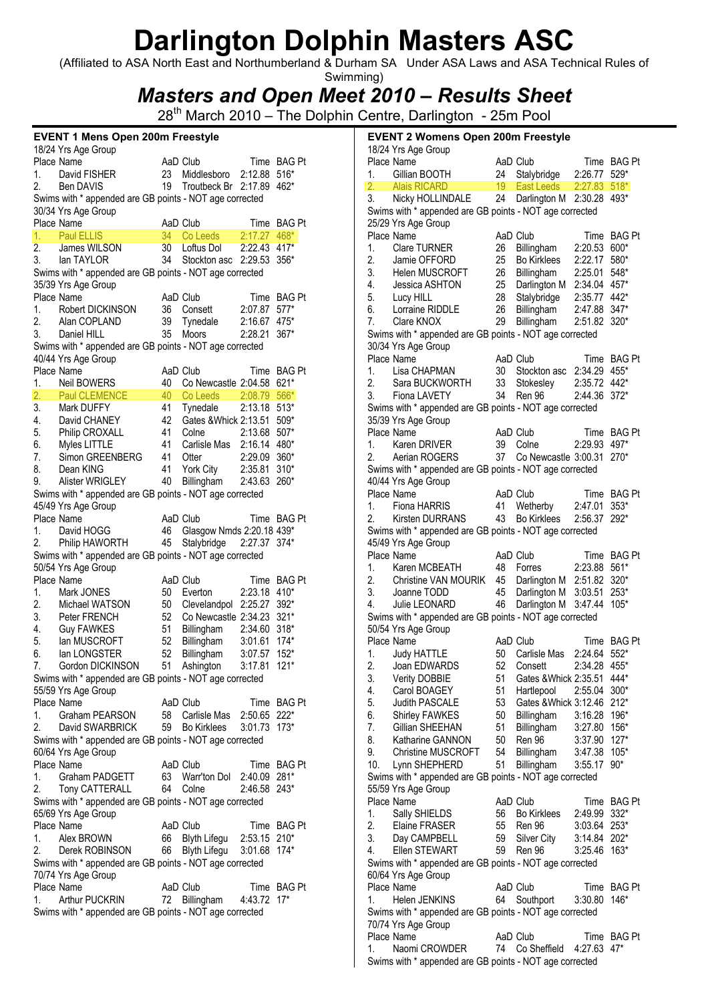(Affiliated to ASA North East and Northumberland & Durham SA Under ASA Laws and ASA Technical Rules of Swimming)

Masters and Open Meet 2010 – Results Sheet

28<sup>th</sup> March 2010 – The Dolphin Centre, Darlington - 25m Pool

|    | <b>EVENT 1 Mens Open 200m Freestyle</b>                                   |    |                                       |              |             |                  | <b>EVENT 2 Womens Open 200m Freestyle</b>               |    |                              |              |                       |
|----|---------------------------------------------------------------------------|----|---------------------------------------|--------------|-------------|------------------|---------------------------------------------------------|----|------------------------------|--------------|-----------------------|
|    | 18/24 Yrs Age Group                                                       |    |                                       |              |             |                  | 18/24 Yrs Age Group                                     |    |                              |              |                       |
|    | Place Name                                                                |    | AaD Club                              |              | Time BAG Pt | Place Name       |                                                         |    | AaD Club                     |              | Time BAG Pt           |
| 1. | David FISHER                                                              | 23 | Middlesboro                           | 2:12.88 516* |             | 1.               | Gillian BOOTH                                           | 24 | Stalybridge                  | 2:26.77 529* |                       |
| 2. | <b>Ben DAVIS</b>                                                          | 19 | Troutbeck Br 2:17.89 462*             |              |             | 2.               | <b>Alais RICARD</b>                                     | 19 | <b>East Leeds</b>            | 2:27.83 518* |                       |
|    | Swims with * appended are GB points - NOT age corrected                   |    |                                       |              |             | 3.               | Nicky HOLLINDALE                                        | 24 | Darlington M 2:30.28 493*    |              |                       |
|    | 30/34 Yrs Age Group                                                       |    |                                       |              |             |                  | Swims with * appended are GB points - NOT age corrected |    |                              |              |                       |
|    | Place Name                                                                |    | AaD Club                              |              | Time BAG Pt |                  | 25/29 Yrs Age Group                                     |    |                              |              |                       |
| 1. | <b>Paul ELLIS</b>                                                         |    | 34 Co Leeds                           | 2:17.27 468* |             | Place Name       |                                                         |    | AaD Club                     |              | Time BAG Pt           |
| 2. | James WILSON                                                              |    | 30 Loftus Dol                         | 2:22.43 417* |             | 1.               | Clare TURNER                                            | 26 | Billingham                   | 2:20.53 600* |                       |
| 3. | lan TAYLOR                                                                | 34 | Stockton asc 2:29.53 356*             |              |             | 2.               | Jamie OFFORD                                            | 25 | <b>Bo Kirklees</b>           | 2:22.17 580* |                       |
|    | Swims with * appended are GB points - NOT age corrected                   |    |                                       |              |             | 3.               | Helen MUSCROFT                                          | 26 | Billingham                   | 2:25.01 548* |                       |
|    | 35/39 Yrs Age Group                                                       |    |                                       |              |             | 4.               | Jessica ASHTON                                          | 25 | Darlington M 2:34.04 457*    |              |                       |
|    | Place Name                                                                |    | AaD Club                              |              | Time BAG Pt | 5.               | Lucy HILL                                               | 28 | Stalybridge                  | 2:35.77 442* |                       |
| 1. | Robert DICKINSON                                                          |    | 36 Consett                            | 2:07.87 577* |             | 6.               | Lorraine RIDDLE                                         | 26 | Billingham                   | 2:47.88 347* |                       |
| 2. | Alan COPLAND                                                              |    | 39 Tynedale                           | 2:16.67 475* |             | 7.               | Clare KNOX                                              | 29 | Billingham                   | 2:51.82 320* |                       |
| 3. | Daniel HILL                                                               | 35 | Moors                                 | 2:28.21 367* |             |                  | Swims with * appended are GB points - NOT age corrected |    |                              |              |                       |
|    | Swims with * appended are GB points - NOT age corrected                   |    |                                       |              |             |                  | 30/34 Yrs Age Group                                     |    |                              |              |                       |
|    | 40/44 Yrs Age Group                                                       |    |                                       |              |             | Place Name       |                                                         |    | AaD Club                     |              | Time BAG Pt           |
|    | Place Name                                                                |    | AaD Club                              |              | Time BAG Pt | 1.               | Lisa CHAPMAN                                            | 30 | Stockton asc 2:34.29 455*    |              |                       |
| 1. | Neil BOWERS                                                               | 40 | Co Newcastle 2:04.58 621*             |              |             | 2.               | Sara BUCKWORTH                                          | 33 | Stokesley                    | 2:35.72 442* |                       |
| 2. | <b>Paul CLEMENCE</b>                                                      | 40 | Co Leeds                              | 2:08.79 566* |             | 3.               | Fiona LAVETY                                            | 34 | <b>Ren 96</b>                | 2:44.36 372* |                       |
| 3. | Mark DUFFY                                                                | 41 | Tynedale                              | 2:13.18 513* |             |                  | Swims with * appended are GB points - NOT age corrected |    |                              |              |                       |
| 4. | David CHANEY                                                              | 42 | Gates & Whick 2:13.51 509*            |              |             |                  | 35/39 Yrs Age Group                                     |    |                              |              |                       |
| 5. | Philip CROXALL                                                            | 41 | Colne                                 | 2:13.68 507* |             | Place Name       |                                                         |    | AaD Club                     |              | Time BAG Pt           |
| 6. | Myles LITTLE                                                              | 41 | Carlisle Mas 2:16.14 480*             |              |             | 1.               | Karen DRIVER                                            | 39 | Colne                        | 2:29.93 497* |                       |
| 7. | Simon GREENBERG                                                           | 41 | Otter                                 | 2:29.09 360* |             | 2.               | Aerian ROGERS                                           |    | 37 Co Newcastle 3:00.31 270* |              |                       |
| 8. | Dean KING                                                                 | 41 | York City                             | 2:35.81 310* |             |                  | Swims with * appended are GB points - NOT age corrected |    |                              |              |                       |
| 9. | Alister WRIGLEY                                                           | 40 | Billingham                            | 2:43.63 260* |             |                  | 40/44 Yrs Age Group                                     |    |                              |              |                       |
|    | Swims with * appended are GB points - NOT age corrected                   |    |                                       |              |             | Place Name<br>1. |                                                         |    | AaD Club                     | 2:47.01      | Time BAG Pt<br>$353*$ |
|    | 45/49 Yrs Age Group                                                       |    |                                       |              |             | 2.               | Fiona HARRIS                                            | 43 | 41 Wetherby                  |              |                       |
| 1. | Place Name<br>David HOGG                                                  | 46 | AaD Club<br>Glasgow Nmds 2:20.18 439* |              | Time BAG Pt |                  | <b>Kirsten DURRANS</b>                                  |    | <b>Bo Kirklees</b>           | 2:56.37 292* |                       |
| 2. |                                                                           | 45 | Stalybridge 2:27.37 374*              |              |             |                  | Swims with * appended are GB points - NOT age corrected |    |                              |              |                       |
|    | Philip HAWORTH<br>Swims with * appended are GB points - NOT age corrected |    |                                       |              |             | Place Name       | 45/49 Yrs Age Group                                     |    | AaD Club                     |              | Time BAG Pt           |
|    | 50/54 Yrs Age Group                                                       |    |                                       |              |             | 1.               | Karen MCBEATH                                           | 48 | Forres                       | 2:23.88 561* |                       |
|    | Place Name                                                                |    | AaD Club                              |              | Time BAG Pt | 2.               | Christine VAN MOURIK                                    | 45 | Darlington M 2:51.82 320*    |              |                       |
| 1. | Mark JONES                                                                | 50 | Everton                               | 2:23.18 410* |             | 3.               | Joanne TODD                                             | 45 | Darlington M 3:03.51 253*    |              |                       |
| 2. | Michael WATSON                                                            | 50 | Clevelandpol 2:25.27 392*             |              |             | 4.               | Julie LEONARD                                           | 46 | Darlington M 3:47.44 105*    |              |                       |
| 3. | Peter FRENCH                                                              | 52 | Co Newcastle 2:34.23 321*             |              |             |                  | Swims with * appended are GB points - NOT age corrected |    |                              |              |                       |
| 4. | <b>Guy FAWKES</b>                                                         | 51 | Billingham                            | 2:34.60 318* |             |                  | 50/54 Yrs Age Group                                     |    |                              |              |                       |
| 5. | lan MUSCROFT                                                              | 52 | Billingham                            | 3:01.61 174* |             | Place Name       |                                                         |    | AaD Club                     |              | Time BAG Pt           |
| 6. | lan LONGSTER                                                              | 52 | Billingham                            | 3:07.57 152* |             | 1.               | <b>Judy HATTLE</b>                                      |    | 50 Carlisle Mas 2:24.64 552* |              |                       |
| 7. | Gordon DICKINSON                                                          |    | 51 Ashington                          | 3:17.81 121* |             | 2.               | Joan EDWARDS                                            | 52 | Consett                      | 2:34.28 455* |                       |
|    | Swims with * appended are GB points - NOT age corrected                   |    |                                       |              |             | 3.               | <b>Verity DOBBIE</b>                                    | 51 | Gates & Whick 2:35.51 444*   |              |                       |
|    | 55/59 Yrs Age Group                                                       |    |                                       |              |             | 4.               | Carol BOAGEY                                            | 51 | Hartlepool                   | 2:55.04 300* |                       |
|    | Place Name                                                                |    | AaD Club                              |              | Time BAG Pt | 5.               | Judith PASCALE                                          | 53 | Gates & Whick 3:12.46 212*   |              |                       |
| 1. | Graham PEARSON                                                            |    | 58 Carlisle Mas                       | 2:50.65 222* |             | 6.               | <b>Shirley FAWKES</b>                                   | 50 | Billingham                   | 3:16.28 196* |                       |
| 2. | David SWARBRICK                                                           |    | 59 Bo Kirklees                        | 3:01.73 173* |             | 7.               | Gillian SHEEHAN                                         | 51 | Billingham                   | 3:27.80 156* |                       |
|    | Swims with * appended are GB points - NOT age corrected                   |    |                                       |              |             | 8.               | Katharine GANNON                                        | 50 | Ren 96                       | 3:37.90 127* |                       |
|    | 60/64 Yrs Age Group                                                       |    |                                       |              |             | 9.               | <b>Christine MUSCROFT</b>                               | 54 | Billingham                   | 3:47.38 105* |                       |
|    | Place Name                                                                |    | AaD Club                              |              | Time BAG Pt | 10.              | Lynn SHEPHERD                                           | 51 | Billingham                   | 3:55.17 90*  |                       |
| 1. | Graham PADGETT                                                            |    | 63 Warr'ton Dol                       | 2:40.09 281* |             |                  | Swims with * appended are GB points - NOT age corrected |    |                              |              |                       |
| 2. | Tony CATTERALL                                                            |    | 64 Colne                              | 2:46.58 243* |             |                  | 55/59 Yrs Age Group                                     |    |                              |              |                       |
|    | Swims with * appended are GB points - NOT age corrected                   |    |                                       |              |             | Place Name       |                                                         |    | AaD Club                     |              | Time BAG Pt           |
|    | 65/69 Yrs Age Group                                                       |    |                                       |              |             | 1.               | Sally SHIELDS                                           | 56 | <b>Bo Kirklees</b>           | 2:49.99 332* |                       |
|    | Place Name                                                                |    | AaD Club                              |              | Time BAG Pt | 2.               | Elaine FRASER                                           | 55 | Ren 96                       | 3:03.64 253* |                       |
| 1. | Alex BROWN                                                                |    | 66 Blyth Lifegu                       | 2:53.15 210* |             | 3.               | Day CAMPBELL                                            | 59 | Silver City                  | 3:14.84 202* |                       |
| 2. | Derek ROBINSON                                                            |    | 66 Blyth Lifegu                       | 3:01.68 174* |             | 4.               | Ellen STEWART                                           | 59 | Ren 96                       | 3:25.46 163* |                       |
|    | Swims with * appended are GB points - NOT age corrected                   |    |                                       |              |             |                  | Swims with * appended are GB points - NOT age corrected |    |                              |              |                       |
|    | 70/74 Yrs Age Group                                                       |    |                                       |              |             |                  | 60/64 Yrs Age Group                                     |    |                              |              |                       |
|    | Place Name                                                                |    | AaD Club                              |              | Time BAG Pt | Place Name       |                                                         |    | AaD Club                     |              | Time BAG Pt           |
| 1. | <b>Arthur PUCKRIN</b>                                                     |    | 72 Billingham                         | 4:43.72 17*  |             | 1.               | Helen JENKINS                                           |    | 64 Southport                 | 3:30.80 146* |                       |
|    | Swims with * appended are GB points - NOT age corrected                   |    |                                       |              |             |                  | Swims with * appended are GB points - NOT age corrected |    |                              |              |                       |
|    |                                                                           |    |                                       |              |             |                  | 70/74 Yrs Age Group                                     |    |                              |              |                       |
|    |                                                                           |    |                                       |              |             | Place Name       |                                                         |    | AaD Club                     |              | Time BAG Pt           |

1. Naomi CROWDER 74 Co Sheffield 4:27.63 47\* Swims with \* appended are GB points - NOT age corrected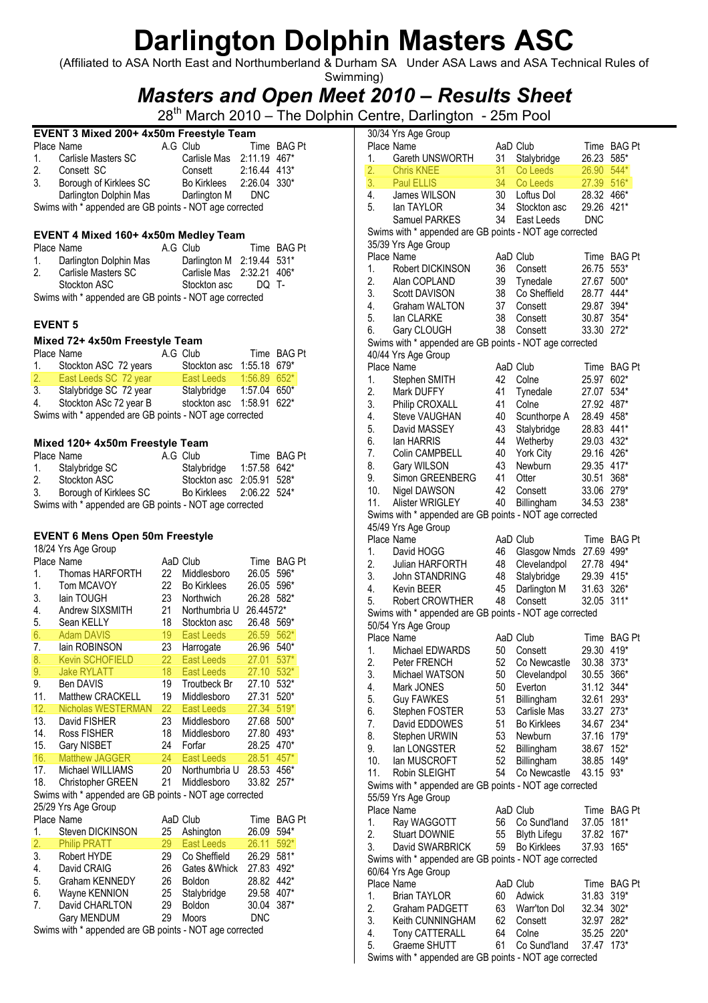(Affiliated to ASA North East and Northumberland & Durham SA Under ASA Laws and ASA Technical Rules of Swimming)

### Masters and Open Meet 2010 – Results Sheet

28<sup>th</sup> March 2010 – The Dolphin Centre, Darlington - 25m Pool

|    | EVENT 3 Mixed 200+ 4x50m Freestyle Team                 |  |                           |                |             |  |  |  |
|----|---------------------------------------------------------|--|---------------------------|----------------|-------------|--|--|--|
|    | Place Name                                              |  | A.G Club                  |                | Time BAG Pt |  |  |  |
|    | 1. Carlisle Masters SC                                  |  | Carlisle Mas 2:11.19 467* |                |             |  |  |  |
| 2. | Consett SC                                              |  | Consett                   | $2:16.44$ 413* |             |  |  |  |
| 3. | Borough of Kirklees SC                                  |  | Bo Kirklees 2:26.04 330*  |                |             |  |  |  |
|    | Darlington Dolphin Mas                                  |  | Darlington M              | <b>DNC</b>     |             |  |  |  |
|    | Swims with * appended are GB points - NOT age corrected |  |                           |                |             |  |  |  |

#### EVENT 4 Mixed 160+ 4x50m Medley Team

|    | Place Name                                              | A.G Club                  |       | Time BAG Pt |
|----|---------------------------------------------------------|---------------------------|-------|-------------|
| 1. | Darlington Dolphin Mas                                  | Darlington M 2:19.44 531* |       |             |
| 2. | Carlisle Masters SC                                     | Carlisle Mas 2:32.21 406* |       |             |
|    | Stockton ASC                                            | Stockton asc              | DO T- |             |
|    | Swims with * annended are GR noints - NOT ane corrected |                           |       |             |

Swims with  $*$  appended are GB points - NOT age corrected

### EVENT 5

#### Mixed 72+ 4x50m Freestyle Team

|                                                         | Place Name             |  | A.G Club                  |                | Time BAG Pt |  |  |
|---------------------------------------------------------|------------------------|--|---------------------------|----------------|-------------|--|--|
| 1.                                                      | Stockton ASC 72 years  |  | Stockton asc              | 1:55.18 679*   |             |  |  |
| 2.7                                                     | East Leeds SC 72 year  |  | East Leeds                | $1:56.89$ 652* |             |  |  |
| 3.                                                      | Stalybridge SC 72 year |  | Stalybridge               | 1:57.04        | 650*        |  |  |
| 4.                                                      | Stockton ASc 72 year B |  | stockton asc 1:58.91 622* |                |             |  |  |
| Swims with * appended are GB points - NOT age corrected |                        |  |                           |                |             |  |  |

#### Mixed 120+ 4x50m Freestyle Team

|                | Place Name                                              | A.G Club                  | Time BAG Pt |
|----------------|---------------------------------------------------------|---------------------------|-------------|
|                | 1. Stalybridge SC                                       | Stalybridge 1:57.58 642*  |             |
| 2 <sub>1</sub> | Stockton ASC                                            | Stockton asc 2:05.91 528* |             |
| 3.             | Borough of Kirklees SC                                  | Bo Kirklees 2:06.22 524*  |             |
|                | Swims with * appended are GB points - NOT age corrected |                           |             |

#### EVENT 6 Mens Open 50m Freestyle

18/24 Yrs Age Group

|     | Place Name                                              |    | AaD Club            | Time       | <b>BAG Pt</b> |
|-----|---------------------------------------------------------|----|---------------------|------------|---------------|
| 1.  | Thomas HARFORTH                                         | 22 | Middlesboro         | 26.05      | 596*          |
| 1.  | Tom MCAVOY                                              | 22 | <b>Bo Kirklees</b>  | 26.05      | 596*          |
| 3.  | lain TOUGH                                              | 23 | Northwich           | 26.28      | 582*          |
| 4.  | Andrew SIXSMITH                                         | 21 | Northumbria U       | 26.44572*  |               |
| 5.  | Sean KELLY                                              | 18 | Stockton asc        | 26.48      | 569*          |
| 6.  | <b>Adam DAVIS</b>                                       | 19 | <b>East Leeds</b>   | 26.59      | $562*$        |
| 7.  | lain ROBINSON                                           | 23 | Harrogate           | 26.96      | 540*          |
| 8.  | <b>Kevin SCHOFIELD</b>                                  | 22 | East Leeds          | 27.01      | $537*$        |
| 9.  | <b>Jake RYLATT</b>                                      | 18 | East Leeds          | 27.10      | $532*$        |
| 9.  | <b>Ben DAVIS</b>                                        | 19 | <b>Troutbeck Br</b> | 27.10      | 532*          |
| 11. | <b>Matthew CRACKELL</b>                                 | 19 | Middlesboro         | 27.31      | 520*          |
| 12. | <b>Nicholas WESTERMAN</b>                               | 22 | East Leeds          | 27.34      | $519*$        |
| 13. | David FISHER                                            | 23 | Middlesboro         | 27.68      | 500*          |
| 14. | <b>Ross FISHER</b>                                      | 18 | Middlesboro         | 27.80      | 493*          |
| 15. | Gary NISBET                                             | 24 | Forfar              | 28.25      | 470*          |
| 16. | Matthew JAGGER                                          | 24 | East Leeds          | 28.51      | $457*$        |
| 17. | Michael WILLIAMS                                        | 20 | Northumbria U       | 28.53      | 456*          |
| 18. | Christopher GREEN                                       | 21 | Middlesboro         | 33.82      | $257*$        |
|     | Swims with * appended are GB points - NOT age corrected |    |                     |            |               |
|     | 25/29 Yrs Age Group                                     |    |                     |            |               |
|     | Place Name                                              |    | AaD Club            | Time       | <b>BAG Pt</b> |
| 1.  | Steven DICKINSON                                        | 25 | Ashington           | 26.09      | 594*          |
| 2.  | <b>Philip PRATT</b>                                     | 29 | East Leeds          | 26.11      | 592*          |
| 3.  | Robert HYDE                                             | 29 | Co Sheffield        | 26.29      | 581*          |
| 4.  | David CRAIG                                             | 26 | Gates & Whick       | 27.83      | 492*          |
| 5.  | Graham KENNEDY                                          | 26 | Boldon              | 28.82      | 442*          |
| 6.  | Wayne KENNION                                           | 25 | Stalybridge         | 29.58      | 407*          |
| 7.  | David CHARLTON                                          | 29 | <b>Boldon</b>       | 30.04      | 387*          |
|     | Gary MENDUM                                             | 29 | <b>Moors</b>        | <b>DNC</b> |               |
|     |                                                         |    |                     |            |               |

Swims with \* appended are GB points - NOT age corrected

| 1.       | Place Name<br>Gareth UNSWORTH                           | 31       | AaD Club<br>Stalybridge | 26.23          | Time BAG Pt<br>$585*$ |
|----------|---------------------------------------------------------|----------|-------------------------|----------------|-----------------------|
| 2.       | <b>Chris KNEE</b>                                       | 31       | Co Leeds                | 26.90          | 544*                  |
| 3.       | Paul ELLIS                                              | 34       | Co Leeds                | 27.39          | $516*$                |
| 4.       | James WILSON                                            | 30       | Loftus Dol              | 28.32          | 466*                  |
| 5.       | lan TAYLOR                                              | 34       | Stockton asc            | 29.26          | 421*                  |
|          | Samuel PARKES                                           | 34       | East Leeds              | <b>DNC</b>     |                       |
|          | Swims with * appended are GB points - NOT age corrected |          |                         |                |                       |
|          | 35/39 Yrs Age Group                                     |          |                         |                |                       |
|          | Place Name                                              |          | AaD Club                | Time           | <b>BAG Pt</b>         |
| 1.       | Robert DICKINSON                                        | 36       | Consett                 | 26.75          | $553*$                |
| 2.       | Alan COPLAND                                            | 39       | Tynedale                | 27.67          | 500*                  |
| 3.       | <b>Scott DAVISON</b>                                    | 38       | Co Sheffield            | 28.77          | 444*                  |
| 4.       | Graham WALTON                                           | 37       | Consett                 | 29.87          | 394*                  |
| 5.       | lan CLARKE                                              | 38       | Consett                 | 30.87          | 354*                  |
| 6.       | Gary CLOUGH                                             | 38       | Consett                 | 33.30          | $272*$                |
|          | Swims with * appended are GB points - NOT age corrected |          |                         |                |                       |
|          | 40/44 Yrs Age Group                                     |          |                         |                |                       |
|          | Place Name                                              |          | AaD Club                | Time           | <b>BAG Pt</b>         |
| 1.       | Stephen SMITH                                           | 42       | Colne                   | 25.97          | 602*                  |
| 2.       | Mark DUFFY                                              | 41       | Tynedale                | 27.07          | 534*                  |
| 3.       | Philip CROXALL                                          | 41       | Colne                   | 27.92          | 487*                  |
| 4.       | Steve VAUGHAN                                           | 40       | Scunthorpe A            | 28.49          | 458*                  |
| 5.       | David MASSEY                                            | 43       | Stalybridge             | 28.83          | 441*                  |
| 6.       | lan HARRIS                                              | 44       | Wetherby                | 29.03          | 432*                  |
| 7.       | Colin CAMPBELL                                          | 40       | York City               | 29.16          | 426*                  |
| 8.       | Gary WILSON                                             | 43       | Newburn                 | 29.35          | 417*                  |
| 9.       | Simon GREENBERG                                         | 41       | Otter                   | 30.51          | 368*                  |
| 10.      | Nigel DAWSON                                            | 42       | Consett                 | 33.06          | 279*                  |
| 11.      | Alister WRIGLEY                                         | 40       | Billingham              | 34.53          | 238*                  |
|          | Swims with * appended are GB points - NOT age corrected |          |                         |                |                       |
|          | 45/49 Yrs Age Group                                     |          |                         |                |                       |
|          | Place Name                                              |          | AaD Club                | Time           | <b>BAG Pt</b>         |
| 1.       | David HOGG                                              | 46       | Glasgow Nmds            | 27.69 499*     |                       |
| 2.       | Julian HARFORTH                                         | 48       | Clevelandpol            | 27.78          | 494*                  |
| 3.       | John STANDRING                                          | 48       | Stalybridge             | 29.39          | 415*                  |
| 4.       | Kevin BEER                                              | 45       | Darlington M            | 31.63          | 326*                  |
| 5.       | Robert CROWTHER                                         | 48       | Consett                 | 32.05          | $311*$                |
|          | Swims with * appended are GB points - NOT age corrected |          |                         |                |                       |
|          | 50/54 Yrs Age Group                                     |          |                         |                |                       |
|          | Place Name                                              |          | AaD Club                | Time           | <b>BAG Pt</b>         |
| 1.       | Michael EDWARDS                                         | 50       | Consett                 | 29.30          | 419*                  |
| 2.       | Peter FRENCH                                            | 52       | Co Newcastle            | 30.38 373*     |                       |
| 3.       | Michael WATSON                                          | 50       | Clevelandpol            | 30.55          | 366*                  |
| 4.       | Mark JONES                                              | 50       | Everton                 | 31.12          | 344*                  |
| 5.       | <b>Guy FAWKES</b>                                       | 51       | Billingham              | 32.61          | 293*                  |
| 6.       | Stephen FOSTER                                          | 53       | Carlisle Mas            | 33.27          | $273*$                |
| 7.       | David EDDOWES                                           | 51       | <b>Bo Kirklees</b>      | 34.67          | 234*                  |
| 8.       | Stephen URWIN                                           | 53       | Newburn                 | 37.16 179*     |                       |
| 9.       | lan LONGSTER                                            | 52       | Billingham              | 38.67 152*     |                       |
| 10.      | lan MUSCROFT                                            | 52       | Billingham              | 38.85          | 149*                  |
| 11.      | Robin SLEIGHT                                           | 54       | Co Newcastle            | 43.15          | 93*                   |
|          | Swims with * appended are GB points - NOT age corrected |          |                         |                |                       |
|          | 55/59 Yrs Age Group                                     |          |                         |                |                       |
|          | Place Name                                              |          | AaD Club                | Time           | <b>BAG Pt</b>         |
| 1.       | Ray WAGGOTT                                             | 56       | Co Sund'land            | 37.05          | 181*                  |
| 2.       | Stuart DOWNIE                                           | 55       | <b>Blyth Lifegu</b>     | 37.82          | 167*                  |
| 3.       | David SWARBRICK                                         | 59       | <b>Bo Kirklees</b>      | 37.93          | 165*                  |
|          | Swims with * appended are GB points - NOT age corrected |          |                         |                |                       |
|          | 60/64 Yrs Age Group                                     |          |                         |                |                       |
|          | Place Name                                              |          | AaD Club                | Time           | <b>BAG Pt</b>         |
| 1.       | <b>Brian TAYLOR</b>                                     | 60       | Adwick                  | 31.83          | $319*$                |
| 2.       | Graham PADGETT                                          | 63       | Warr'ton Dol            | 32.34          | $302*$                |
| 3.       | Keith CUNNINGHAM                                        | 62       | Consett                 | 32.97          | 282*                  |
|          |                                                         |          |                         |                |                       |
|          |                                                         |          |                         |                |                       |
| 4.<br>5. | Tony CATTERALL<br>Graeme SHUTT                          | 64<br>61 | Colne<br>Co Sund'land   | 35.25<br>37.47 | 220*<br>$173*$        |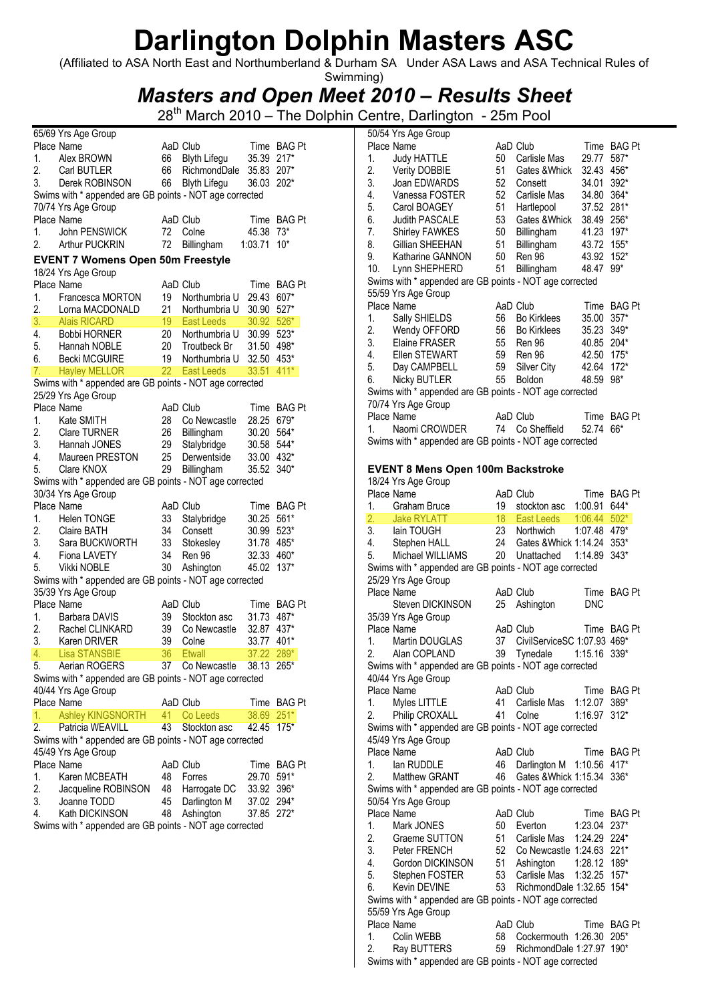(Affiliated to ASA North East and Northumberland & Durham SA Under ASA Laws and ASA Technical Rules of

### Swimming) Masters and Open Meet 2010 – Results Sheet

|                  | 65/69 Yrs Age Group                                             |    |                     |               |               |
|------------------|-----------------------------------------------------------------|----|---------------------|---------------|---------------|
|                  | Place Name                                                      |    | AaD Club            |               | Time BAG Pt   |
| 1.               | Alex BROWN                                                      | 66 | <b>Blyth Lifegu</b> | 35.39         | $217*$        |
| 2.               | Carl BUTLER                                                     | 66 | RichmondDale        | 35.83         | $207*$        |
| 3.               | Derek ROBINSON                                                  | 66 | <b>Blyth Lifegu</b> | 36.03         | $202*$        |
|                  | Swims with * appended are GB points - NOT age corrected         |    |                     |               |               |
|                  | 70/74 Yrs Age Group                                             |    |                     |               |               |
|                  | Place Name                                                      |    | AaD Club            | Time          | <b>BAG Pt</b> |
| 1.               | John PENSWICK                                                   | 72 | Colne               | 45.38         | 73*           |
| 2.               | <b>Arthur PUCKRIN</b>                                           | 72 | Billingham          | 1:03.71       | $10*$         |
|                  |                                                                 |    |                     |               |               |
|                  | <b>EVENT 7 Womens Open 50m Freestyle</b><br>18/24 Yrs Age Group |    |                     |               |               |
|                  | Place Name                                                      |    | AaD Club            |               |               |
| 1.               |                                                                 | 19 |                     | Time<br>29.43 | <b>BAG Pt</b> |
|                  | Francesca MORTON                                                |    | Northumbria U       |               | 607*          |
| 2.               | Lorna MACDONALD                                                 | 21 | Northumbria U       | 30.90         | $527*$        |
| 3.               | <b>Alais RICARD</b>                                             | 19 | <b>East Leeds</b>   | 30.92         | $526*$        |
| 4.               | <b>Bobbi HORNER</b>                                             | 20 | Northumbria U       | 30.99         | $523*$        |
| 5.               | Hannah NOBLE                                                    | 20 | Troutbeck Br        | 31.50         | 498*          |
| 6.               | <b>Becki MCGUIRE</b>                                            | 19 | Northumbria U       | 32.50         | 453*          |
| 7.               | <b>Hayley MELLOR</b>                                            | 22 | <b>East Leeds</b>   | 33.51         | $411*$        |
|                  | Swims with * appended are GB points - NOT age corrected         |    |                     |               |               |
|                  | 25/29 Yrs Age Group                                             |    |                     |               |               |
|                  | Place Name                                                      |    | AaD Club            | Time          | <b>BAG Pt</b> |
| 1.               | Kate SMITH                                                      | 28 | Co Newcastle        | 28.25         | $679*$        |
| 2.               | <b>Clare TURNER</b>                                             | 26 | Billingham          | 30.20         | 564*          |
| 3.               | Hannah JONES                                                    | 29 | Stalybridge         | 30.58         | 544*          |
| 4.               | Maureen PRESTON                                                 | 25 | Derwentside         | 33.00         | 432*          |
| 5.               | Clare KNOX                                                      | 29 | Billingham          | 35.52         | $340*$        |
|                  | Swims with * appended are GB points - NOT age corrected         |    |                     |               |               |
|                  |                                                                 |    |                     |               |               |
|                  | 30/34 Yrs Age Group                                             |    |                     |               |               |
|                  | Place Name                                                      |    | AaD Club            | Time          | <b>BAG Pt</b> |
| 1.               | <b>Helen TONGE</b>                                              | 33 | Stalybridge         | 30.25         | 561*          |
| 2.               | <b>Claire BATH</b>                                              | 34 | Consett             | 30.99         | $523*$        |
| 3.               | Sara BUCKWORTH                                                  | 33 | Stokesley           | 31.78         | 485*          |
| 4.               | Fiona LAVETY                                                    | 34 | <b>Ren 96</b>       | 32.33         | 460*          |
| 5.               | Vikki NOBLE                                                     | 30 | Ashington           | 45.02         | $137*$        |
|                  | Swims with * appended are GB points - NOT age corrected         |    |                     |               |               |
|                  | 35/39 Yrs Age Group                                             |    |                     |               |               |
|                  | Place Name                                                      |    | AaD Club            | Time          | <b>BAG Pt</b> |
| 1.               | Barbara DAVIS                                                   | 39 | Stockton asc        | 31.73         | 487*          |
| 2.               | Rachel CLINKARD                                                 | 39 | Co Newcastle        | 32.87         | 437*          |
| 3.               | Karen DRIVER                                                    | 39 | Colne               | 33.77         | 401*          |
| 4.               | <b>Lisa STANSBIE</b>                                            | 36 | Etwall              | 37.22         | 289*          |
| 5.               | Aerian ROGERS                                                   |    | 37 Co Newcastle     | 38.13 265*    |               |
|                  | Swims with * appended are GB points - NOT age corrected         |    |                     |               |               |
|                  | 40/44 Yrs Age Group                                             |    |                     |               |               |
|                  |                                                                 |    |                     |               |               |
|                  | Place Name                                                      |    | AaD Club            | Time          | <b>BAG Pt</b> |
| 1.               | <b>Ashley KINGSNORTH</b>                                        | 41 | Co Leeds            | 38.69         | $251*$        |
| $\overline{2}$ . | Patricia WEAVILL                                                | 43 | Stockton asc        | 42.45         | $175*$        |
|                  | Swims with * appended are GB points - NOT age corrected         |    |                     |               |               |
|                  | 45/49 Yrs Age Group                                             |    |                     |               |               |
|                  | Place Name                                                      |    | AaD Club            | Time          | <b>BAG Pt</b> |
| 1.               | Karen MCBEATH                                                   | 48 | Forres              | 29.70         | 591*          |
| 2.               | Jacqueline ROBINSON                                             | 48 | Harrogate DC        | 33.92         | 396*          |
| 3.               | Joanne TODD                                                     | 45 | Darlington M        | 37.02         | 294*          |
| 4.               | Kath DICKINSON                                                  | 48 | Ashington           | 37.85         | $272*$        |
|                  | Swims with * appended are GB points - NOT age corrected         |    |                     |               |               |
|                  |                                                                 |    |                     |               |               |
|                  |                                                                 |    |                     |               |               |
|                  |                                                                 |    |                     |               |               |
|                  |                                                                 |    |                     |               |               |
|                  |                                                                 |    |                     |               |               |

| 50/54 Yrs Age Group                                     |          |                                                  |                |               |
|---------------------------------------------------------|----------|--------------------------------------------------|----------------|---------------|
| Place Name                                              |          | AaD Club                                         |                | Time BAG Pt   |
| 1.<br><b>Judy HATTLE</b>                                | 50       | Carlisle Mas                                     | 29.77          | 587*          |
| 2.<br><b>Verity DOBBIE</b>                              | 51       | Gates & Whick                                    | 32.43 456*     |               |
| 3.<br>Joan EDWARDS                                      | 52       | Consett                                          | 34.01          | 392*          |
| 4.<br>Vanessa FOSTER                                    | 52       | Carlisle Mas                                     | 34.80 364*     |               |
| 5.<br>Carol BOAGEY                                      | 51       | Hartlepool                                       | 37.52          | 281*          |
| 6.<br><b>Judith PASCALE</b>                             | 53       | Gates & Whick                                    | 38.49 256*     |               |
| 7.<br>Shirley FAWKES                                    | 50       | Billingham                                       | 41.23 197*     |               |
| 8.<br>Gillian SHEEHAN                                   | 51       | Billingham                                       | 43.72 155*     |               |
| 9.<br>Katharine GANNON                                  | 50       | Ren 96                                           | 43.92 152*     |               |
| 10.<br>Lynn SHEPHERD                                    | 51       | Billingham                                       | 48.47          | $99*$         |
| Swims with * appended are GB points - NOT age corrected |          |                                                  |                |               |
| 55/59 Yrs Age Group                                     |          |                                                  |                |               |
| Place Name                                              |          | AaD Club                                         |                | Time BAG Pt   |
| 1.<br>Sally SHIELDS                                     | 56       | <b>Bo Kirklees</b>                               | 35.00 357*     |               |
| Wendy OFFORD<br>2.                                      | 56       | <b>Bo Kirklees</b>                               | 35.23 349*     |               |
| 3. Elaine FRASER                                        | 55       | Ren 96                                           | 40.85 204*     |               |
| 4.<br>Ellen STEWART                                     | 59       | Ren 96                                           | 42.50 175*     |               |
| 5.                                                      | 59       |                                                  |                |               |
| Day CAMPBELL                                            |          | Silver City                                      | 42.64 172*     |               |
| 6.<br><b>Nicky BUTLER</b>                               | 55       | Boldon                                           | 48.59          | $98*$         |
| Swims with * appended are GB points - NOT age corrected |          |                                                  |                |               |
| 70/74 Yrs Age Group                                     |          |                                                  |                |               |
| Place Name                                              |          | AaD Club                                         |                | Time BAG Pt   |
| Naomi CROWDER<br>1.                                     | 74       | Co Sheffield                                     | 52.74          | 66*           |
| Swims with * appended are GB points - NOT age corrected |          |                                                  |                |               |
|                                                         |          |                                                  |                |               |
| <b>EVENT 8 Mens Open 100m Backstroke</b>                |          |                                                  |                |               |
| 18/24 Yrs Age Group                                     |          |                                                  |                |               |
| Place Name                                              |          | AaD Club                                         |                | Time BAG Pt   |
| 1.<br>Graham Bruce                                      | 19       | stockton asc                                     | 1:00.91        | 644*          |
| 2.<br><b>Jake RYLATT</b>                                | 18       | East Leeds                                       | $1:06.44$ 502* |               |
| 3.<br>lain TOUGH                                        | 23       | Northwich                                        | 1:07.48 479*   |               |
|                                                         |          |                                                  |                |               |
|                                                         |          |                                                  |                |               |
| 4.<br>Stephen HALL                                      | 24       | Gates & Whick 1:14.24                            |                | $353*$        |
| Michael WILLIAMS<br>5.                                  | 20       | Unattached                                       | 1:14.89        | 343*          |
| Swims with * appended are GB points - NOT age corrected |          |                                                  |                |               |
| 25/29 Yrs Age Group                                     |          |                                                  |                |               |
| Place Name                                              |          | AaD Club                                         | Time           | <b>BAG Pt</b> |
| <b>Steven DICKINSON</b>                                 | 25       | Ashington                                        | <b>DNC</b>     |               |
| 35/39 Yrs Age Group                                     |          |                                                  |                |               |
| Place Name                                              |          | AaD Club                                         | Time           | <b>BAG Pt</b> |
| 1.<br>Martin DOUGLAS                                    | 37       | CivilServiceSC 1:07.93 469*                      |                |               |
| 2.<br>Alan COPLAND                                      | 39       | Tynedale                                         | 1:15.16        | $339*$        |
| Swims with * appended are GB points - NOT age corrected |          |                                                  |                |               |
| 40/44 Yrs Age Group                                     |          |                                                  |                |               |
| Place Name                                              |          | AaD Club                                         |                | Time BAG Pt   |
| 1.<br>Myles LITTLE                                      | 41       | Carlisle Mas                                     | 1:12.07 389*   |               |
| Philip CROXALL<br>2.                                    | 41       | Colne                                            | 1:16.97 312*   |               |
| Swims with * appended are GB points - NOT age corrected |          |                                                  |                |               |
| 45/49 Yrs Age Group                                     |          |                                                  |                |               |
| Place Name                                              |          | AaD Club                                         |                | Time BAG Pt   |
| 1.<br>lan RUDDLE                                        | 46       | Darlington M                                     | 1:10.56 417*   |               |
| 2.<br>Matthew GRANT                                     | 46       | Gates & Whick 1:15.34                            |                | 336*          |
| Swims with * appended are GB points - NOT age corrected |          |                                                  |                |               |
| 50/54 Yrs Age Group                                     |          |                                                  |                |               |
| Place Name                                              |          | AaD Club                                         |                | Time BAG Pt   |
| 1.<br>Mark JONES                                        | 50       | Everton                                          | 1:23.04        | 237*          |
| 2.<br>Graeme SUTTON                                     | 51       | Carlisle Mas                                     | 1:24.29 224*   |               |
|                                                         | 52       | Co Newcastle 1:24.63 221*                        |                |               |
| 3. Peter FRENCH<br>4.<br>Gordon DICKINSON               | 51       |                                                  | 1:28.12 189*   |               |
|                                                         | 53       | Ashington<br>Carlisle Mas                        | 1:32.25 157*   |               |
| 5.<br>Stephen FOSTER<br>6.<br><b>Kevin DEVINE</b>       | 53       | RichmondDale 1:32.65 154*                        |                |               |
|                                                         |          |                                                  |                |               |
| Swims with * appended are GB points - NOT age corrected |          |                                                  |                |               |
| 55/59 Yrs Age Group                                     |          |                                                  |                |               |
| Place Name                                              |          | AaD Club                                         |                | Time BAG Pt   |
| 1.<br>Colin WEBB<br>2.<br>Ray BUTTERS                   | 58<br>59 | Cockermouth 1:26.30<br>RichmondDale 1:27.97 190* |                | 205*          |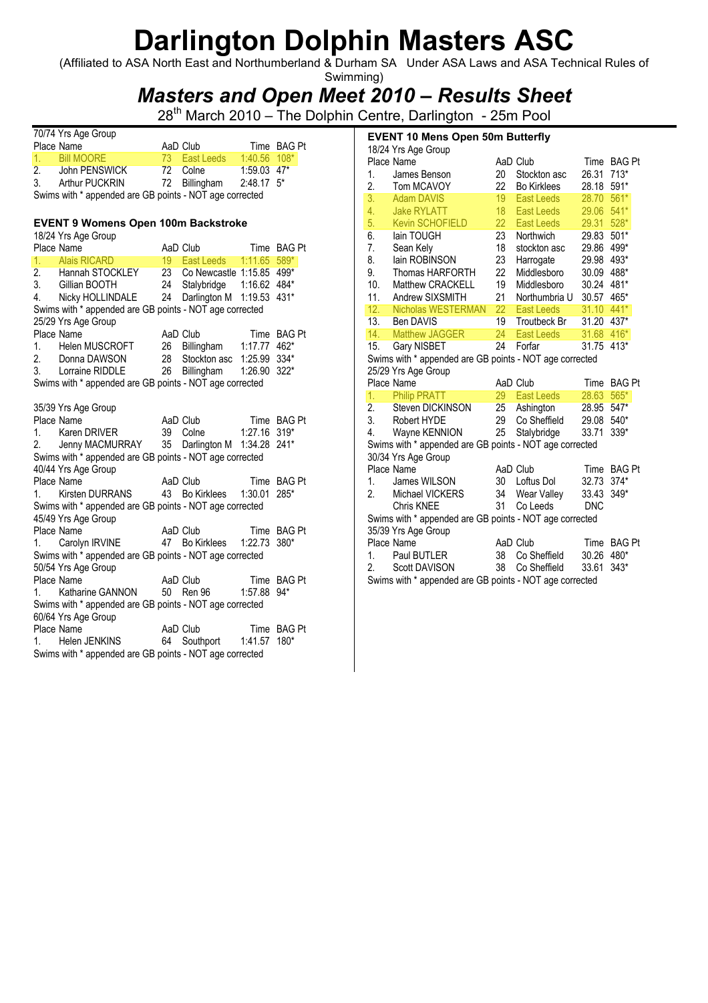(Affiliated to ASA North East and Northumberland & Durham SA Under ASA Laws and ASA Technical Rules of Swimming)

### Masters and Open Meet 2010 – Results Sheet

28<sup>th</sup> March 2010 – The Dolphin Centre, Darlington - 25m Pool

|    | 70/74 Yrs Age Group   |               |                          |             |  |
|----|-----------------------|---------------|--------------------------|-------------|--|
|    | Place Name            | AaD Club      |                          | Time BAG Pt |  |
|    | 1. Bill MOORE         | 73 East Leeds | $1:40.56$ 108*           |             |  |
| 2. | John PENSWICK         | 72 Colne      | $1:59.03$ 47*            |             |  |
| 3. | <b>Arthur PUCKRIN</b> | 72 Billingham | $2:48.17$ 5 <sup>*</sup> |             |  |
|    |                       |               |                          |             |  |

Swims with \* appended are GB points - NOT age corrected

### EVENT 9 Womens Open 100m Backstroke

18/24 Yrs Age Group

|    | Place Name                                                                                    | AaD Club                    | Time BAG Pt |        |  |
|----|-----------------------------------------------------------------------------------------------|-----------------------------|-------------|--------|--|
| 1. | ,Name<br>_Alais RICARD _________                                                              | 19 East Leeds  1:11.65 589* |             |        |  |
|    | 2. Hannah STOCKLEY 23 Co Newcastle 1:15.85 499*                                               |                             |             |        |  |
|    | 3. Gillian BOOTH                                                                              | 24 Stalybridge 1:16.62 484* |             |        |  |
|    | 4. Nicky HOLLINDALE 24 Darlington M 1:19.53 431*                                              |                             |             |        |  |
|    | Swims with * appended are GB points - NOT age corrected                                       |                             |             |        |  |
|    | 25/29 Yrs Age Group                                                                           |                             |             |        |  |
|    | Place Name                                                                                    | AaD Club Time BAG Pt        |             |        |  |
|    | 1. Helen MUSCROFT 26 Billingham 1:17.77 462*                                                  |                             |             |        |  |
|    |                                                                                               |                             |             |        |  |
|    | 2. Donna DAWSON 28 Stockton asc 1:25.99 334*<br>3. Lorraine RIDDLE 26 Billingham 1:26.90 322* |                             |             |        |  |
|    | Swims with * appended are GB points - NOT age corrected                                       |                             |             |        |  |
|    |                                                                                               |                             |             |        |  |
|    | 35/39 Yrs Age Group                                                                           |                             |             |        |  |
|    | Place Name                                                                                    | AaD Club Time BAG Pt        |             |        |  |
|    | 1. Karen DRIVER                                                                               | 39 Colne 1:27.16 319*       |             |        |  |
|    | 2. Jenny MACMURRAY 35 Darlington M 1:34.28 241*                                               |                             |             |        |  |
|    | Swims with * appended are GB points - NOT age corrected                                       |                             |             |        |  |
|    | 40/44 Yrs Age Group                                                                           |                             |             |        |  |
|    | Place Name                                                                                    | AaD Club Time BAG Pt        |             |        |  |
|    | 1. Kirsten DURRANS 43 Bo Kirklees 1:30.01                                                     |                             |             | $285*$ |  |
|    | Swims with * appended are GB points - NOT age corrected                                       |                             |             |        |  |
|    | 45/49 Yrs Age Group                                                                           |                             |             |        |  |
|    | Place Name                                                                                    | AaD Club Time BAG Pt        |             |        |  |
|    |                                                                                               |                             |             |        |  |
|    | Swims with * appended are GB points - NOT age corrected                                       |                             |             |        |  |
|    | 50/54 Yrs Age Group                                                                           |                             |             |        |  |
|    | Place Name                                                                                    | AaD Club Time BAG Pt        |             |        |  |
|    | 1. Katharine GANNON 50 Ren 96 1:57.88 94*                                                     |                             |             |        |  |
|    | Swims with * appended are GB points - NOT age corrected                                       |                             |             |        |  |
|    | 60/64 Yrs Age Group                                                                           |                             |             |        |  |
|    | Place Name                                                                                    | AaD Club Time BAG Pt        |             |        |  |
|    | 1. Helen JENKINS 64 Southport 1:41.57 180*                                                    |                             |             |        |  |
|    | Swims with * appended are GB points - NOT age corrected                                       |                             |             |        |  |

|          | <b>EVENT 10 Mens Open 50m Butterfly</b>                                  |                 |                         |                |                |
|----------|--------------------------------------------------------------------------|-----------------|-------------------------|----------------|----------------|
|          | 18/24 Yrs Age Group                                                      |                 |                         |                |                |
|          | Place Name                                                               |                 | AaD Club                |                | Time BAG Pt    |
| 1.       | James Benson                                                             | $20\,$          | Stockton asc            | 26.31          | $713*$         |
| 2.       | Tom MCAVOY                                                               | 22              | <b>Bo Kirklees</b>      | 28.18          | 591*           |
| 3.       | <b>Adam DAVIS</b>                                                        | 19 <sup>°</sup> | East Leeds              | 28.70          | $561*$         |
| 4.       | <b>Jake RYLATT</b>                                                       | 18              | East Leeds              | 29.06          | $541*$         |
| 5.       | <b>Kevin SCHOFIELD</b><br>lain TOUGH                                     | 22<br>23        | East Leeds<br>Northwich | 29.31<br>29.83 | 528*           |
| 6.<br>7. | Sean Kely                                                                | 18              | stockton asc            | 29.86          | $501*$<br>499* |
| 8.       | lain ROBINSON                                                            | 23              | Harrogate               | 29.98          | 493*           |
| 9.       | Thomas HARFORTH                                                          | 22              | Middlesboro             | 30.09          | 488*           |
| 10.      | Matthew CRACKELL                                                         | 19              | Middlesboro             | 30.24          | 481*           |
| 11.      | Andrew SIXSMITH                                                          | 21              | Northumbria U           | 30.57          | 465*           |
| 12.      | Nicholas WESTERMAN                                                       | 22              | <b>East Leeds</b>       | 31.10          | 441*           |
| 13.      | <b>Ben DAVIS</b>                                                         | 19              | Troutbeck Br            | 31.20 437*     |                |
| 14.      | <b>Matthew JAGGER</b>                                                    | 24              | East Leeds              | 31.68          | 416*           |
| 15.      | Gary NISBET                                                              | 24              | Forfar                  | 31.75          | 413*           |
|          | Swims with * appended are GB points - NOT age corrected                  |                 |                         |                |                |
|          | 25/29 Yrs Age Group                                                      |                 |                         |                |                |
|          | Place Name                                                               |                 | AaD Club                | Time           | <b>BAG Pt</b>  |
| 1.       | <b>Philip PRATT</b>                                                      | 29              | East Leeds              | 28.63          | 565*           |
| 2.       | Steven DICKINSON                                                         | 25              | Ashington               | 28.95          | 547*           |
| 3.       | Robert HYDE                                                              | 29              | Co Sheffield            | 29.08          | 540*           |
| 4.       | Wayne KENNION                                                            | 25              | Stalybridge             | 33.71          | 339*           |
|          | Swims with * appended are GB points - NOT age corrected                  |                 |                         |                |                |
|          | 30/34 Yrs Age Group                                                      |                 |                         |                |                |
|          | Place Name                                                               |                 | AaD Club                | Time           | <b>BAG Pt</b>  |
| 1.       | James WILSON                                                             | 30              | Loftus Dol              | 32.73          | $374*$         |
| 2.       | Michael VICKERS                                                          | 34              | Wear Valley             | 33.43          | 349*           |
|          | <b>Chris KNEE</b>                                                        | 31              | Co Leeds                | <b>DNC</b>     |                |
|          | Swims with * appended are GB points - NOT age corrected                  |                 |                         |                |                |
|          | 35/39 Yrs Age Group<br>Place Name                                        |                 | AaD Club                | Time           | <b>BAG Pt</b>  |
| 1.       | Paul BUTLER                                                              | 38              | Co Sheffield            | 30.26          | 480*           |
| 2.       |                                                                          |                 |                         |                |                |
|          |                                                                          |                 |                         |                |                |
|          | Scott DAVISON<br>Swims with * appended are GB points - NOT age corrected | 38              | Co Sheffield            | 33.61          | $343*$         |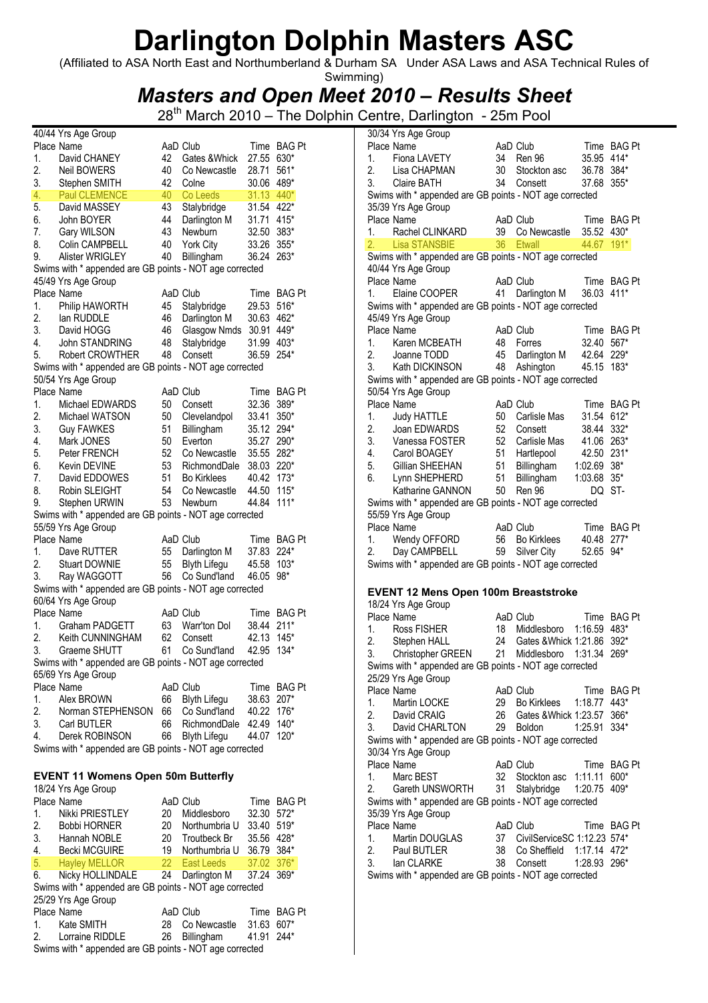(Affiliated to ASA North East and Northumberland & Durham SA Under ASA Laws and ASA Technical Rules of

### Swimming) Masters and Open Meet 2010 – Results Sheet

28<sup>th</sup> March 2010 – The Dolphin Centre, Darlington - 25m Pool 30/34 Yrs Age Group

|    | 40/44 Yrs Age Group                                     |    |                             |            |               |
|----|---------------------------------------------------------|----|-----------------------------|------------|---------------|
|    | Place Name                                              |    | AaD Club                    | Time       | <b>BAG Pt</b> |
| 1. | David CHANEY                                            | 42 | Gates & Whick               | 27.55      | 630*          |
| 2. | <b>Neil BOWERS</b>                                      | 40 | Co Newcastle                | 28.71      | 561*          |
| 3. | Stephen SMITH                                           | 42 | Colne                       | 30.06      | 489*          |
| 4. | <b>Paul CLEMENCE</b>                                    | 40 | Co Leeds                    | 31.13      | 440*          |
| 5. | David MASSEY                                            | 43 | Stalybridge                 | 31.54      | 422*          |
| 6. | John BOYER                                              | 44 | Darlington M                | 31.71      | 415*          |
| 7. | Gary WILSON                                             | 43 | <b>Newburn</b>              | 32.50      | 383*          |
| 8. | Colin CAMPBELL                                          | 40 | York City                   | 33.26      | $355*$        |
| 9. | Alister WRIGLEY                                         | 40 | Billingham                  | 36.24      | 263*          |
|    | Swims with * appended are GB points - NOT age corrected |    |                             |            |               |
|    | 45/49 Yrs Age Group                                     |    |                             |            |               |
|    | Place Name                                              |    | AaD Club                    | Time       | <b>BAG Pt</b> |
| 1. | Philip HAWORTH                                          | 45 | Stalybridge                 | 29.53      | $516*$        |
|    |                                                         |    |                             |            |               |
| 2. | lan RUDDLE                                              | 46 | Darlington M                | 30.63      | 462*          |
| 3. | David HOGG                                              | 46 | Glasgow Nmds                | 30.91      | 449*          |
| 4. | John STANDRING                                          | 48 | Stalybridge                 | 31.99      | 403*          |
| 5. | <b>Robert CROWTHER</b>                                  | 48 | Consett                     | 36.59      | 254*          |
|    | Swims with * appended are GB points - NOT age corrected |    |                             |            |               |
|    | 50/54 Yrs Age Group                                     |    |                             |            |               |
|    | Place Name                                              |    | AaD Club                    | Time       | <b>BAG Pt</b> |
| 1. | Michael EDWARDS                                         | 50 | Consett                     | 32.36      | 389*          |
| 2. | Michael WATSON                                          | 50 | Clevelandpol                | 33.41      | 350*          |
| 3. | <b>Guy FAWKES</b>                                       | 51 | Billingham                  | 35.12      | 294*          |
| 4. | Mark JONES                                              | 50 | Everton                     | 35.27      | 290*          |
| 5. | Peter FRENCH                                            | 52 | Co Newcastle                | 35.55      | 282*          |
| 6. | Kevin DEVINE                                            | 53 | RichmondDale                | 38.03      | 220*          |
|    |                                                         |    | <b>Bo Kirklees</b>          |            |               |
| 7. | David EDDOWES                                           | 51 |                             | 40.42      | $173*$        |
| 8. | Robin SLEIGHT                                           | 54 | Co Newcastle                | 44.50      | $115*$        |
| 9. | Stephen URWIN                                           | 53 | Newburn                     | 44.84      | $111*$        |
|    | Swims with * appended are GB points - NOT age corrected |    |                             |            |               |
|    | 55/59 Yrs Age Group                                     |    |                             |            |               |
|    | Place Name                                              |    | AaD Club                    | Time       | <b>BAG Pt</b> |
| 1. | Dave RUTTER                                             | 55 | Darlington M                | 37.83      | 224*          |
| 2. | <b>Stuart DOWNIE</b>                                    | 55 | Blyth Lifegu                | 45.58      | $103*$        |
| 3. | Ray WAGGOTT                                             | 56 | Co Sund'land                | 46.05      | 98*           |
|    | Swims with * appended are GB points - NOT age corrected |    |                             |            |               |
|    | 60/64 Yrs Age Group                                     |    |                             |            |               |
|    | Place Name                                              |    | AaD Club                    | Time       | BAG Pt        |
| 1. | Graham PADGETT                                          | 63 | Warr'ton Dol                | 38.44      | $211*$        |
| 2. | Keith CUNNINGHAM                                        | 62 | Consett                     | 42.13      | $145*$        |
| 3. | Graeme SHUTT                                            | 61 | Co Sund'land                | 42.95      | $134*$        |
|    | Swims with * appended are GB points - NOT age corrected |    |                             |            |               |
|    | 65/69 Yrs Age Group                                     |    |                             |            |               |
|    | Place Name                                              |    | AaD Club                    |            | Time BAG Pt   |
|    |                                                         |    |                             |            |               |
| 1. | Alex BROWN                                              | 66 | <b>Blyth Lifegu</b>         | 38.63 207* |               |
| 2. | Norman STEPHENSON                                       | 66 | Co Sund'land 40.22 176*     |            |               |
| 3. | <b>Carl BUTLER</b>                                      | 66 | RichmondDale 42.49 140*     |            |               |
| 4. | Derek ROBINSON                                          | 66 | <b>Blyth Lifegu</b>         | 44.07 120* |               |
|    | Swims with * appended are GB points - NOT age corrected |    |                             |            |               |
|    |                                                         |    |                             |            |               |
|    | <b>EVENT 11 Womens Open 50m Butterfly</b>               |    |                             |            |               |
|    | 18/24 Yrs Age Group                                     |    |                             |            |               |
|    | Place Name                                              |    | AaD Club                    |            | Time BAG Pt   |
| 1. | Nikki PRIESTLEY                                         | 20 | Middlesboro                 | 32.30 572* |               |
| 2. | <b>Bobbi HORNER</b>                                     | 20 | Northumbria U 33.40 519*    |            |               |
| 3. | Hannah NOBLE                                            |    | 20 Troutbeck Br 35.56 428*  |            |               |
| 4. |                                                         |    |                             |            |               |
|    | Becki MCGUIRE                                           | 22 | 19 Northumbria U 36.79 384* |            |               |
| 5. | <b>Hayley MELLOR</b>                                    |    | East Leeds                  | 37.02      | $376*$        |
| 6. | Nicky HOLLINDALE                                        | 24 | Darlington M                | 37.24      | 369*          |
|    | Swims with * appended are GB points - NOT age corrected |    |                             |            |               |
|    | 25/29 Yrs Age Group                                     |    |                             |            |               |
|    | Place Name                                              |    | AaD Club                    |            | Time BAG Pt   |
| 1. | Kate SMITH                                              | 28 | Co Newcastle                | 31.63 607* |               |

2. Lorraine RIDDLE 26 Billingham 41.91 244\* Swims with \* appended are GB points - NOT age corrected

|          | Place Name                                                            |          | AaD Club                       | Time           | BAG Pt      |
|----------|-----------------------------------------------------------------------|----------|--------------------------------|----------------|-------------|
| 1.       | Fiona LAVETY                                                          | 34       | Ren 96                         | 35.95 414*     |             |
| 2.       | Lisa CHAPMAN                                                          | 30       | Stockton asc                   | 36.78 384*     |             |
| 3.       | <b>Claire BATH</b>                                                    | 34       | Consett                        | 37.68 355*     |             |
|          | Swims with * appended are GB points - NOT age corrected               |          |                                |                |             |
|          | 35/39 Yrs Age Group                                                   |          |                                |                |             |
|          | Place Name                                                            |          | AaD Club                       |                | Time BAG Pt |
| 1.       | Rachel CLINKARD                                                       |          | 39 Co Newcastle 35.52 430*     |                |             |
| 2.       | <b>Lisa STANSBIE</b>                                                  |          | 36 Etwall                      | 44.67          | $191*$      |
|          | Swims with * appended are GB points - NOT age corrected               |          |                                |                |             |
|          | 40/44 Yrs Age Group                                                   |          |                                |                |             |
|          | Place Name                                                            |          | AaD Club                       |                | Time BAG Pt |
| 1.       | Elaine COOPER                                                         |          | 41 Darlington M                | 36.03          | $411*$      |
|          | Swims with * appended are GB points - NOT age corrected               |          |                                |                |             |
|          | 45/49 Yrs Age Group                                                   |          |                                |                |             |
|          | Place Name                                                            |          | AaD Club                       |                | Time BAG Pt |
| 1.       | Karen MCBEATH                                                         | 48       | Forres                         | 32.40 567*     |             |
| 2.       | Joanne TODD                                                           |          | 45 Darlington M 42.64 229*     |                |             |
|          | 3. Kath DICKINSON                                                     | 48       | Ashington                      | 45.15 183*     |             |
|          | Swims with * appended are GB points - NOT age corrected               |          |                                |                |             |
|          | 50/54 Yrs Age Group                                                   |          |                                |                |             |
|          | Place Name                                                            |          | AaD Club                       |                | Time BAG Pt |
| 1.       | <b>Judy HATTLE</b>                                                    | 50       | Carlisle Mas                   | 31.54 612*     |             |
| 2.       | Joan EDWARDS                                                          | 52       | Consett                        | 38.44 332*     |             |
| 2.<br>3. | Vanessa FOSTER                                                        | 52       | Carlisle Mas                   | 41.06 263*     |             |
|          | 4. Carol BOAGEY                                                       | 51       |                                |                |             |
|          |                                                                       |          | Hartlepool                     | 42.50 231*     |             |
| 5.<br>6. | Gillian SHEEHAN                                                       | 51<br>51 | Billingham                     | 1:02.69 38*    |             |
|          | Lynn SHEPHERD                                                         |          | Billingham                     | 1:03.68 35*    |             |
|          | Katharine GANNON                                                      | 50       | Ren 96                         | DQ             | ST-         |
|          | Swims with * appended are GB points - NOT age corrected               |          |                                |                |             |
|          | 55/59 Yrs Age Group                                                   |          |                                |                |             |
|          |                                                                       |          |                                |                |             |
|          | Place Name                                                            |          | AaD Club                       |                | Time BAG Pt |
|          | 1. Wendy OFFORD                                                       |          | 56 Bo Kirklees                 | 40.48 277*     |             |
| 2.       | Day CAMPBELL                                                          | 59       | Silver City                    | 52.65          | 94*         |
|          | Swims with * appended are GB points - NOT age corrected               |          |                                |                |             |
|          |                                                                       |          |                                |                |             |
|          | <b>EVENT 12 Mens Open 100m Breaststroke</b>                           |          |                                |                |             |
|          | 18/24 Yrs Age Group                                                   |          |                                |                |             |
|          | Place Name                                                            |          | AaD Club                       |                | Time BAG Pt |
| 1.       | Ross FISHER                                                           | 18       | Middlesboro 1:16.59 483*       |                |             |
| 2.       |                                                                       |          | 24 Gates & Whick 1:21.86       |                | 392*        |
| 3.       | Stephen HALL                                                          | 21       | Middlesboro                    | 1:31.34        | 269*        |
|          | Christopher GREEN                                                     |          |                                |                |             |
|          | Swims with * appended are GB points - NOT age corrected               |          |                                |                |             |
|          | 25/29 Yrs Age Group<br>Place Name                                     |          | AaD Club                       |                | Time BAG Pt |
| 1.       | Martin LOCKE                                                          | 29       | Bo Kirklees                    | $1:18.77$ 443* |             |
| 2.       | David CRAIG                                                           |          | Gates & Whick 1:23.57          |                | 366*        |
| 3.       |                                                                       | 26<br>29 | Boldon                         | 1:25.91        |             |
|          | David CHARLTON                                                        |          |                                |                | 334*        |
|          | Swims with * appended are GB points - NOT age corrected               |          |                                |                |             |
|          | 30/34 Yrs Age Group                                                   |          |                                |                |             |
|          | Place Name                                                            |          | AaD Club                       |                | Time BAG Pt |
| 1.       | Marc BEST                                                             | 32       | Stockton asc 1:11.11 600*      |                |             |
| 2.       | Gareth UNSWORTH                                                       | 31       | Stalybridge                    | 1:20.75        | 409*        |
|          | Swims with * appended are GB points - NOT age corrected               |          |                                |                |             |
|          | 35/39 Yrs Age Group                                                   |          |                                |                |             |
|          | Place Name                                                            |          | AaD Club                       |                | Time BAG Pt |
| 1.       | Martin DOUGLAS                                                        |          | 37 CivilServiceSC 1:12.23 574* |                |             |
| 2.       | Paul BUTLER                                                           |          | 38 Co Sheffield 1:17.14 472*   |                |             |
| 3.       | lan CLARKE<br>Swims with * appended are GB points - NOT age corrected | 38       | Consett                        | 1:28.93 296*   |             |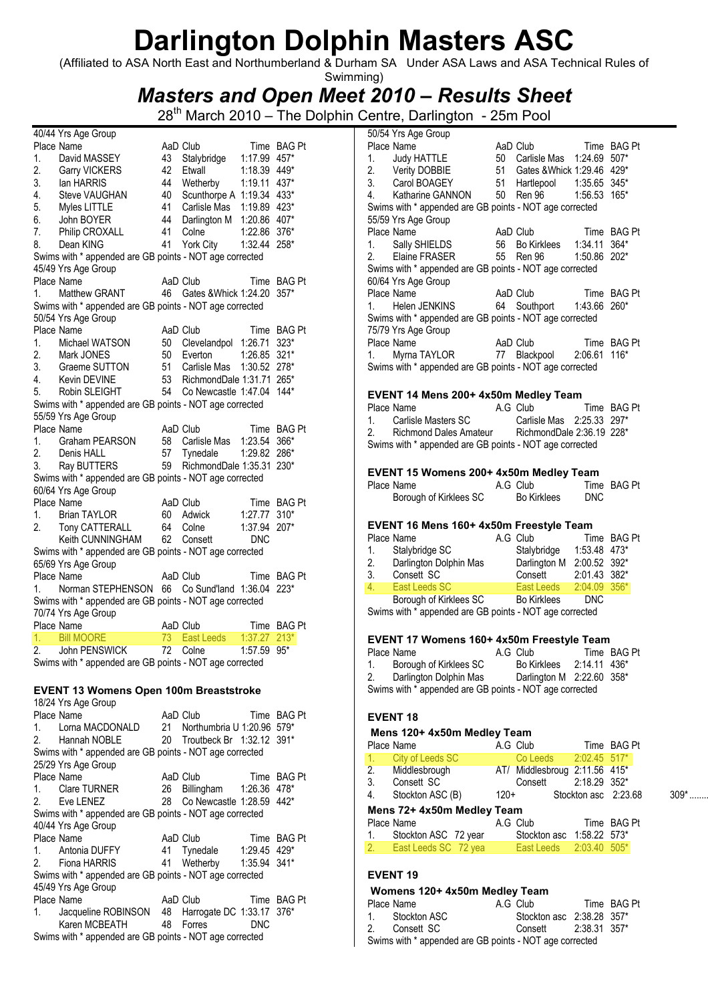(Affiliated to ASA North East and Northumberland & Durham SA Under ASA Laws and ASA Technical Rules of Swimming)

### Masters and Open Meet 2010 – Results Sheet

28<sup>th</sup> March 2010 – The Dolphin Centre, Darlington - 25m Pool 50/54 Yrs Age Group

| 1.<br>2. | Place Name                                              |    | AaD Club                      | Time         | BAG Pt        |
|----------|---------------------------------------------------------|----|-------------------------------|--------------|---------------|
|          | David MASSEY                                            | 43 | Stalybridge                   | 1:17.99      | 457*          |
|          | Garry VICKERS                                           | 42 | Etwall                        | 1:18.39 449* |               |
| 3.       | lan HARRIS                                              | 44 | Wetherby                      | 1:19.11      | 437*          |
| 4.       | Steve VAUGHAN                                           | 40 | Scunthorpe A 1:19.34          |              | 433*          |
| 5.       | Myles LITTLE                                            | 41 | Carlisle Mas                  | 1:19.89 423* |               |
| 6.       | John BOYER                                              | 44 | Darlington M 1:20.86 407*     |              |               |
| 7.       | Philip CROXALL                                          | 41 | Colne                         | 1:22.86 376* |               |
| 8.       | Dean KING                                               | 41 | York City                     | 1:32.44      | 258*          |
|          | Swims with * appended are GB points - NOT age corrected |    |                               |              |               |
|          | 45/49 Yrs Age Group                                     |    |                               |              |               |
|          | Place Name                                              |    | AaD Club                      |              | Time BAG Pt   |
| 1.       | Matthew GRANT                                           |    | 46 Gates & Whick 1:24.20      |              | $357*$        |
|          | Swims with * appended are GB points - NOT age corrected |    |                               |              |               |
|          | 50/54 Yrs Age Group                                     |    |                               |              |               |
|          | Place Name                                              |    | AaD Club                      |              | Time BAG Pt   |
| 1.       | Michael WATSON                                          |    | 50 Clevelandpol 1:26.71       |              | $323*$        |
| 2.       | Mark JONES                                              |    | 50 Everton                    | 1:26.85      | $321*$        |
| 3.       | Graeme SUTTON                                           |    | 51 Carlisle Mas               | 1:30.52      | 278*          |
| 4.       | Kevin DEVINE                                            |    | 53 RichmondDale 1:31.71 265*  |              |               |
|          |                                                         |    | 54 Co Newcastle 1:47.04       |              | $144*$        |
| 5.       | Robin SLEIGHT                                           |    |                               |              |               |
|          | Swims with * appended are GB points - NOT age corrected |    |                               |              |               |
|          | 55/59 Yrs Age Group                                     |    |                               |              |               |
|          | Place Name                                              |    | AaD Club                      | Time         | <b>BAG Pt</b> |
| 1.       | Graham PEARSON                                          |    | 58 Carlisle Mas 1:23.54       |              | 366*          |
| 2.       | Denis HALL                                              | 57 | Tynedale                      | 1:29.82      | 286*          |
| 3.       | Ray BUTTERS                                             | 59 | RichmondDale 1:35.31 230*     |              |               |
|          | Swims with * appended are GB points - NOT age corrected |    |                               |              |               |
|          | 60/64 Yrs Age Group                                     |    |                               |              |               |
|          | Place Name                                              |    | AaD Club                      |              | Time BAG Pt   |
| 1.       | <b>Brian TAYLOR</b>                                     |    | 60 Adwick                     | 1:27.77      | $310*$        |
| 2.       | Tony CATTERALL                                          |    | 64 Colne                      | 1:37.94      | $207*$        |
|          | Keith CUNNINGHAM                                        |    | 62 Consett                    | <b>DNC</b>   |               |
|          | Swims with * appended are GB points - NOT age corrected |    |                               |              |               |
|          | 65/69 Yrs Age Group                                     |    |                               |              |               |
|          | Place Name                                              |    | AaD Club                      |              | Time BAG Pt   |
| 1.       | Norman STEPHENSON                                       |    | 66 Co Sund'land 1:36.04       |              | $223*$        |
|          |                                                         |    |                               |              |               |
|          |                                                         |    |                               |              |               |
|          | Swims with * appended are GB points - NOT age corrected |    |                               |              |               |
|          | 70/74 Yrs Age Group                                     |    | AaD Club                      |              | Time BAG Pt   |
|          | Place Name                                              |    |                               |              | $213*$        |
| 1.       | <b>Bill MOORE</b>                                       | 73 | East Leeds                    | 1:37.27      |               |
|          | John PENSWICK                                           |    | 72 Colne                      | 1:57.59      | $95*$         |
|          | Swims with * appended are GB points - NOT age corrected |    |                               |              |               |
|          |                                                         |    |                               |              |               |
|          | <b>EVENT 13 Womens Open 100m Breaststroke</b>           |    |                               |              |               |
|          | 18/24 Yrs Age Group                                     |    |                               |              |               |
|          | Place Name                                              |    | AaD Club                      |              | Time BAG Pt   |
| 1.       | Lorna MACDONALD                                         |    | 21 Northumbria U 1:20.96 579* |              |               |
|          | 2. Hannah NOBLE                                         | 20 | Troutbeck Br 1:32.12 391*     |              |               |
|          | Swims with * appended are GB points - NOT age corrected |    |                               |              |               |
|          | 25/29 Yrs Age Group                                     |    |                               |              |               |
|          | Place Name                                              |    | AaD Club                      |              | Time BAG Pt   |
| 1.       | <b>Clare TURNER</b>                                     |    |                               | 1:26.36 478* |               |
| 2.       | Eve LENEZ                                               | 28 | 26 Billingham                 |              |               |
|          |                                                         |    | Co Newcastle 1:28.59 442*     |              |               |
|          | Swims with * appended are GB points - NOT age corrected |    |                               |              |               |
|          | 40/44 Yrs Age Group                                     |    |                               |              |               |
|          | Place Name                                              |    | AaD Club                      |              | Time BAG Pt   |
| 1.       | Antonia DUFFY                                           | 41 | Tynedale                      | 1:29.45 429* |               |
| 2.       | Fiona HARRIS                                            | 41 | Wetherby                      | 1:35.94      | $341*$        |
|          | Swims with * appended are GB points - NOT age corrected |    |                               |              |               |
|          | 45/49 Yrs Age Group                                     |    |                               |              |               |
|          | Place Name                                              |    | AaD Club                      |              | Time BAG Pt   |
| 1.       | Jacqueline ROBINSON 48 Harrogate DC 1:33.17 376*        |    |                               |              |               |
|          | Karen MCBEATH                                           | 48 | Forres                        | <b>DNC</b>   |               |
|          | Swims with * appended are GB points - NOT age corrected |    |                               |              |               |

40/44 Yrs Age Group

|    |                                                             |        | AaD Club                                 |                | Time BAG Pt          |         |
|----|-------------------------------------------------------------|--------|------------------------------------------|----------------|----------------------|---------|
|    | 1. Judy HATTLE                                              |        | 50 Carlisle Mas 1:24.69 507*             |                |                      |         |
|    | 2. Verity DOBBIE<br>3. Carol BOAGEY                         |        |                                          |                |                      |         |
|    |                                                             |        |                                          |                |                      |         |
|    | 4. Katharine GANNON 50 Ren 96 1:56.53 165*                  |        |                                          |                |                      |         |
|    | Swims with * appended are GB points - NOT age corrected     |        |                                          |                |                      |         |
|    | 55/59 Yrs Age Group                                         |        |                                          |                |                      |         |
|    | Place Name                                                  |        | AaD Club Time BAG Pt                     |                |                      |         |
|    | 1. Sally SHIELDS                                            |        | 56 Bo Kirklees  1:34.11 364*             |                |                      |         |
|    | 2. Elaine FRASER                                            |        | 55 Ren 96 1:50.86 202*                   |                |                      |         |
|    | Swims with * appended are GB points - NOT age corrected     |        |                                          |                |                      |         |
|    | 60/64 Yrs Age Group                                         |        | AaD Club                                 |                |                      |         |
| 1. | Place Name<br>Helen JENKINS                                 |        | 64 Southport  1:43.66 260*               |                | Time BAG Pt          |         |
|    | Swims with * appended are GB points - NOT age corrected     |        |                                          |                |                      |         |
|    |                                                             |        |                                          |                |                      |         |
|    | 75/79 Yrs Age Group<br>Place Name                           |        | AaD Club                                 |                | Time BAG Pt          |         |
| 1. | Myrna TAYLOR 77 Blackpool 2:06.61 116*                      |        |                                          |                |                      |         |
|    | Swims with * appended are GB points - NOT age corrected     |        |                                          |                |                      |         |
|    |                                                             |        |                                          |                |                      |         |
|    | EVENT 14 Mens 200+ 4x50m Medley Team                        |        |                                          |                |                      |         |
|    | Place Name                                                  |        | A.G Club                                 |                | Time BAG Pt          |         |
| 1. | Carlisle Masters SC                                         |        | Carlisle Mas 2:25.33 297*                |                |                      |         |
| 2. | Richmond Dales Amateur RichmondDale 2:36.19 228*            |        |                                          |                |                      |         |
|    | Swims with * appended are GB points - NOT age corrected     |        |                                          |                |                      |         |
|    |                                                             |        |                                          |                |                      |         |
|    | EVENT 15 Womens 200+ 4x50m Medley Team                      |        |                                          |                |                      |         |
|    | Place Name                                                  |        | A.G Club                                 |                | Time BAG Pt          |         |
|    |                                                             |        | Bo Kirklees                              | <b>DNC</b>     |                      |         |
|    |                                                             |        |                                          |                |                      |         |
|    | Borough of Kirklees SC                                      |        |                                          |                |                      |         |
|    |                                                             |        |                                          |                |                      |         |
|    | EVENT 16 Mens 160+ 4x50m Freestyle Team                     |        |                                          |                |                      |         |
|    | Place Name                                                  |        | A.G Club                                 |                | Time BAG Pt          |         |
|    | 1. Stalybridge SC                                           |        | Stalybridge 1:53.48 473*                 |                |                      |         |
|    |                                                             |        |                                          |                |                      |         |
| 4. | 2. Darlington Dolphin Mas<br>3. Consett SC<br>East Leeds SC |        | <b>East Leeds</b>                        | 2:04.09 356*   |                      |         |
|    | Borough of Kirklees SC Bo Kirklees DNC                      |        |                                          |                |                      |         |
|    | Swims with * appended are GB points - NOT age corrected     |        |                                          |                |                      |         |
|    |                                                             |        |                                          |                |                      |         |
|    |                                                             |        |                                          |                |                      |         |
|    | EVENT 17 Womens 160+ 4x50m Freestyle Team<br>Place Name     |        | A.G Club                                 |                | Time BAG Pt          |         |
| 1. | Borough of Kirklees SC                                      |        | Bo Kirklees                              | 2:14.11 436*   |                      |         |
|    | 2. Darlington Dolphin Mas Darlington M 2:22.60 358*         |        |                                          |                |                      |         |
|    | Swims with * appended are GB points - NOT age corrected     |        |                                          |                |                      |         |
|    |                                                             |        |                                          |                |                      |         |
|    | <b>EVENT 18</b>                                             |        |                                          |                |                      |         |
|    |                                                             |        |                                          |                |                      |         |
|    | Mens 120+ 4x50m Medley Team<br>Place Name                   |        | A.G Club                                 |                | Time BAG Pt          |         |
| 1. |                                                             |        | Co Leeds                                 | 2:02.45 517*   |                      |         |
| 2. | <b>City of Leeds SC</b>                                     |        |                                          |                |                      |         |
| 3. | Middlesbrough<br>Consett SC                                 |        | AT/ Middlesbroug 2:11.56 415*<br>Consett | 2:18.29 352*   |                      |         |
| 4. |                                                             | $120+$ |                                          |                | Stockton asc 2:23.68 | $309$ * |
|    | Stockton ASC (B)                                            |        |                                          |                |                      |         |
|    | Mens 72+ 4x50m Medley Team<br>Place Name                    |        |                                          |                | Time BAG Pt          |         |
| 1. |                                                             |        | A.G Club                                 |                |                      |         |
| 2. | Stockton ASC 72 year                                        |        | Stockton asc 1:58.22 573*                |                |                      |         |
|    | East Leeds SC 72 yea                                        |        | <b>East Leeds</b>                        | $2:03.40$ 505* |                      |         |
|    | <b>EVENT 19</b>                                             |        |                                          |                |                      |         |

### Womens 120+ 4x50m Medley Team

| <b><i>VOLUBUS 120+4X300 WEGGEV LEATH</i></b> |                                                         |  |                           |  |             |  |  |  |
|----------------------------------------------|---------------------------------------------------------|--|---------------------------|--|-------------|--|--|--|
| Place Name                                   |                                                         |  | A.G Club                  |  | Time BAG Pt |  |  |  |
|                                              | 1. Stockton ASC                                         |  | Stockton asc 2:38.28 357* |  |             |  |  |  |
|                                              | 2. Consett SC                                           |  | Consett 2:38.31 357*      |  |             |  |  |  |
|                                              | Swims with * appended are GB points - NOT age corrected |  |                           |  |             |  |  |  |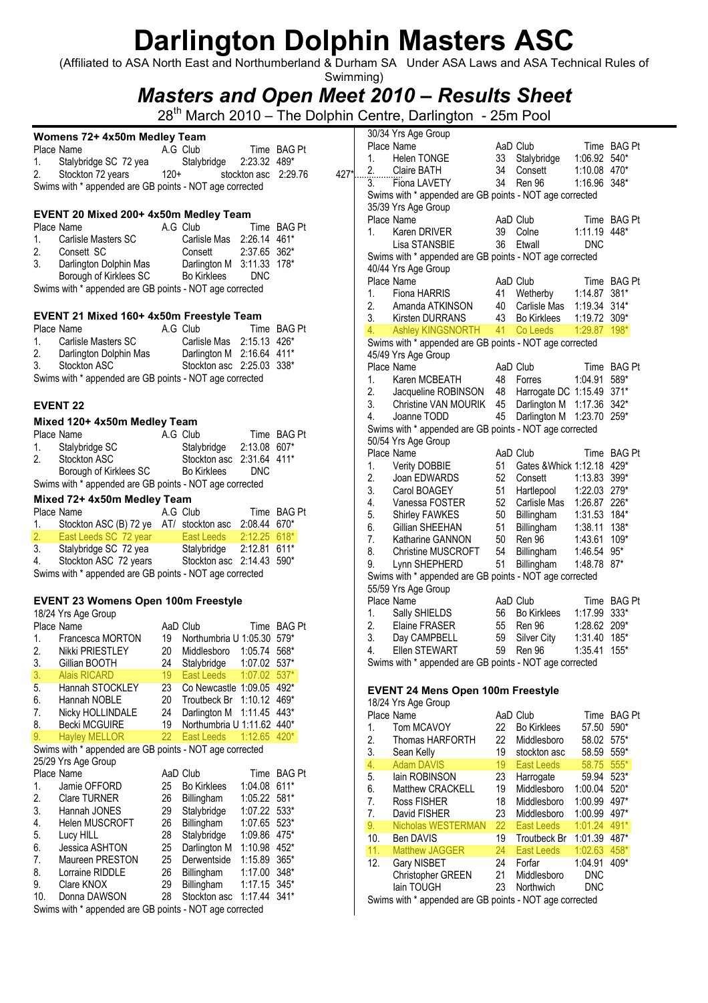(Affiliated to ASA North East and Northumberland & Durham SA Under ASA Laws and ASA Technical Rules of

### Swimming) Masters and Open Meet 2010 – Results Sheet

|                | Womens 72+ 4x50m Medley Team                            |        |                            |                      |             |      |                  | 30/34 Yrs Age Group                                     |                 |                            |                |             |
|----------------|---------------------------------------------------------|--------|----------------------------|----------------------|-------------|------|------------------|---------------------------------------------------------|-----------------|----------------------------|----------------|-------------|
|                | Place Name                                              |        | A.G Club                   |                      | Time BAG Pt |      |                  | Place Name                                              |                 | AaD Club                   |                | Time BAG Pt |
| 1.             | Stalybridge SC 72 yea                                   |        | Stalybridge                | 2:23.32 489*         |             |      | 1.               | <b>Helen TONGE</b>                                      |                 | 33 Stalybridge             | 1:06.92 540*   |             |
| 2.             | Stockton 72 years                                       | $120+$ |                            | stockton asc 2:29.76 |             | 427* | 2.               | Claire BATH                                             | 34              | Consett                    | 1:10.08 470*   |             |
|                | Swims with * appended are GB points - NOT age corrected |        |                            |                      |             |      | $\overline{3}$ . | Fiona LAVETY                                            | 34              | Ren 96                     | 1:16.96 348*   |             |
|                |                                                         |        |                            |                      |             |      |                  | Swims with * appended are GB points - NOT age corrected |                 |                            |                |             |
|                |                                                         |        |                            |                      |             |      |                  | 35/39 Yrs Age Group                                     |                 |                            |                |             |
|                | EVENT 20 Mixed 200+ 4x50m Medley Team                   |        |                            |                      |             |      |                  | Place Name                                              |                 | AaD Club                   |                | Time BAG Pt |
|                | Place Name                                              |        | A.G Club                   |                      | Time BAG Pt |      | 1.               | Karen DRIVER                                            |                 | 39 Colne                   | 1:11.19 448*   |             |
| 1.             | Carlisle Masters SC                                     |        | Carlisle Mas 2:26.14 461*  |                      |             |      |                  | Lisa STANSBIE                                           | 36              | Etwall                     | <b>DNC</b>     |             |
| 2.             | Consett SC                                              |        | Consett                    | 2:37.65 362*         |             |      |                  | Swims with * appended are GB points - NOT age corrected |                 |                            |                |             |
| 3.             | Darlington Dolphin Mas                                  |        | Darlington M 3:11.33 178*  |                      |             |      |                  | 40/44 Yrs Age Group                                     |                 |                            |                |             |
|                | Borough of Kirklees SC                                  |        | <b>Bo Kirklees</b>         | <b>DNC</b>           |             |      |                  | Place Name                                              |                 | AaD Club                   |                | Time BAG Pt |
|                | Swims with * appended are GB points - NOT age corrected |        |                            |                      |             |      | 1.               | Fiona HARRIS                                            |                 | 41 Wetherby                | 1:14.87 381*   |             |
|                |                                                         |        |                            |                      |             |      | 2.               | Amanda ATKINSON                                         | 40              | Carlisle Mas               | 1:19.34 314*   |             |
|                | EVENT 21 Mixed 160+ 4x50m Freestyle Team                |        |                            |                      |             |      | 3.               | Kirsten DURRANS                                         | 43              | <b>Bo Kirklees</b>         | 1:19.72 309*   |             |
|                | Place Name                                              |        | A.G Club                   |                      | Time BAG Pt |      | 4.               | <b>Ashley KINGSNORTH</b>                                | 41              | Co Leeds                   | 1:29.87 198*   |             |
| 1.             | Carlisle Masters SC                                     |        | Carlisle Mas 2:15.13 426*  |                      |             |      |                  | Swims with * appended are GB points - NOT age corrected |                 |                            |                |             |
| 2.             | Darlington Dolphin Mas                                  |        | Darlington M 2:16.64 411*  |                      |             |      |                  | 45/49 Yrs Age Group                                     |                 |                            |                |             |
| 3.             | Stockton ASC                                            |        | Stockton asc 2:25.03 338*  |                      |             |      |                  | Place Name                                              |                 | AaD Club                   |                | Time BAG Pt |
|                | Swims with * appended are GB points - NOT age corrected |        |                            |                      |             |      | 1.               | Karen MCBEATH                                           |                 | 48 Forres                  | 1:04.91 589*   |             |
|                |                                                         |        |                            |                      |             |      | 2.               | Jacqueline ROBINSON                                     | 48              | Harrogate DC 1:15.49 371*  |                |             |
|                | <b>EVENT 22</b>                                         |        |                            |                      |             |      | 3.               | Christine VAN MOURIK                                    | 45              | Darlington M 1:17.36 342*  |                |             |
|                |                                                         |        |                            |                      |             |      | 4.               | Joanne TODD                                             | 45              | Darlington M 1:23.70 259*  |                |             |
|                | Mixed 120+ 4x50m Medley Team<br>Place Name              |        | A.G Club                   |                      | Time BAG Pt |      |                  | Swims with * appended are GB points - NOT age corrected |                 |                            |                |             |
|                | Stalybridge SC                                          |        | Stalybridge                | 2:13.08 607*         |             |      |                  | 50/54 Yrs Age Group                                     |                 |                            |                |             |
| 1.<br>2.       | Stockton ASC                                            |        | Stockton asc 2:31.64 411*  |                      |             |      |                  | Place Name                                              |                 | AaD Club                   |                | Time BAG Pt |
|                | Borough of Kirklees SC                                  |        | <b>Bo Kirklees</b>         | <b>DNC</b>           |             |      | $\mathbf{1}$ .   | <b>Verity DOBBIE</b>                                    | 51              | Gates & Whick 1:12.18 429* |                |             |
|                | Swims with * appended are GB points - NOT age corrected |        |                            |                      |             |      | 2.               | Joan EDWARDS                                            | 52              | Consett                    | 1:13.83 399*   |             |
|                |                                                         |        |                            |                      |             |      | 3.               | Carol BOAGEY                                            | 51              | Hartlepool                 | 1:22.03 279*   |             |
|                | Mixed 72+ 4x50m Medley Team                             |        |                            |                      |             |      | 4.               | Vanessa FOSTER                                          | 52 <sub>2</sub> | Carlisle Mas 1:26.87 226*  |                |             |
|                | Place Name                                              |        | A.G Club                   |                      | Time BAG Pt |      | 5.               | <b>Shirley FAWKES</b>                                   | 50              | Billingham                 | 1:31.53 184*   |             |
| 1.             | Stockton ASC (B) 72 ye AT/ stockton asc 2:08.44 670*    |        |                            |                      |             |      | 6.               | Gillian SHEEHAN                                         | 51              | Billingham                 | 1:38.11 138*   |             |
| 2.             | East Leeds SC 72 year                                   |        | East Leeds                 | 2:12.25 618*         |             |      | 7.               | Katharine GANNON                                        | 50              | Ren 96                     | 1:43.61 109*   |             |
| 3.             | Stalybridge SC 72 yea                                   |        | Stalybridge                | 2:12.81 611*         |             |      | 8.               | <b>Christine MUSCROFT</b>                               | 54              | Billingham                 | 1:46.54 95*    |             |
| 4.             | Stockton ASC 72 years                                   |        | Stockton asc 2:14.43 590*  |                      |             |      | 9.               | Lynn SHEPHERD                                           | 51              | Billingham                 | 1:48.78 87*    |             |
|                | Swims with * appended are GB points - NOT age corrected |        |                            |                      |             |      |                  | Swims with * appended are GB points - NOT age corrected |                 |                            |                |             |
|                |                                                         |        |                            |                      |             |      |                  | 55/59 Yrs Age Group                                     |                 |                            |                |             |
|                | <b>EVENT 23 Womens Open 100m Freestyle</b>              |        |                            |                      |             |      |                  | Place Name                                              |                 | AaD Club                   |                | Time BAG Pt |
|                | 18/24 Yrs Age Group                                     |        |                            |                      |             |      | 1.               | Sally SHIELDS                                           |                 | 56 Bo Kirklees             | 1:17.99 333*   |             |
|                | Place Name                                              |        | AaD Club                   |                      | Time BAG Pt |      | 2.               | Elaine FRASER                                           | 55              | Ren 96                     | 1:28.62 209*   |             |
| 1.             | Francesca MORTON                                        | 19     | Northumbria U 1:05.30 579* |                      |             |      | 3.               | Day CAMPBELL                                            | 59              | Silver City                | 1:31.40        | 185*        |
| 2.             | Nikki PRIESTLEY                                         | 20     | Middlesboro                | 1:05.74 568*         |             |      | 4.               | Ellen STEWART                                           | 59              | Ren 96                     | 1:35.41 155*   |             |
| 3.             | Gillian BOOTH                                           | 24     | Stalybridge                | 1:07.02 537*         |             |      |                  | Swims with * appended are GB points - NOT age corrected |                 |                            |                |             |
| 3.             | <b>Alais RICARD</b>                                     | 19     | East Leeds                 | $1:07.02$ 537*       |             |      |                  |                                                         |                 |                            |                |             |
| 5.             | Hannah STOCKLEY                                         | 23     | Co Newcastle 1:09.05 492*  |                      |             |      |                  | <b>EVENT 24 Mens Open 100m Freestyle</b>                |                 |                            |                |             |
| 6.             | Hannah NOBLE                                            | 20     | Troutbeck Br 1:10.12 469*  |                      |             |      |                  | 18/24 Yrs Age Group                                     |                 |                            |                |             |
| 7.             | Nicky HOLLINDALE                                        | 24     | Darlington M 1:11.45 443*  |                      |             |      |                  | Place Name                                              |                 | AaD Club                   |                | Time BAG Pt |
| 8.             | <b>Becki MCGUIRE</b>                                    | 19     | Northumbria U 1:11.62 440* |                      |             |      | 1.               | Tom MCAVOY                                              |                 | 22 Bo Kirklees             | 57.50 590*     |             |
| 9.             | <b>Hayley MELLOR</b>                                    | 22     | <b>East Leeds</b>          | $1:12.65$ 420*       |             |      | 2.               | Thomas HARFORTH                                         | 22              | Middlesboro                | 58.02 575*     |             |
|                | Swims with * appended are GB points - NOT age corrected |        |                            |                      |             |      | 3.               | Sean Kelly                                              | 19              | stockton asc               | 58.59 559*     |             |
|                | 25/29 Yrs Age Group                                     |        |                            |                      |             |      | 4.               | <b>Adam DAVIS</b>                                       | 19              | <b>East Leeds</b>          | 58.75 555*     |             |
|                | Place Name                                              |        | AaD Club                   |                      | Time BAG Pt |      | 5.               | lain ROBINSON                                           | 23              | Harrogate                  | 59.94 523*     |             |
| $\mathbf{1}$ . | Jamie OFFORD                                            | 25     | <b>Bo Kirklees</b>         | 1:04.08 611*         |             |      | 6.               | Matthew CRACKELL                                        | 19              | Middlesboro                | 1:00.04 520*   |             |
| 2.             | Clare TURNER                                            | 26     | Billingham                 | 1:05.22 581*         |             |      | 7.               | Ross FISHER                                             | 18              | Middlesboro                | 1:00.99 497*   |             |
| 3.             | Hannah JONES                                            | 29     | Stalybridge                | 1:07.22 533*         |             |      | 7.               | David FISHER                                            | 23              | Middlesboro                | 1:00.99 497*   |             |
| 4.             | Helen MUSCROFT                                          | 26     | Billingham                 | 1:07.65 523*         |             |      | 9.               | Nicholas WESTERMAN                                      | 22              | <b>East Leeds</b>          | $1:01.24$ 491* |             |
| 5.             | Lucy HILL                                               | 28     | Stalybridge                | 1:09.86 475*         |             |      | 10.              | Ben DAVIS                                               | 19              | Troutbeck Br 1:01.39 487*  |                |             |
| 6.             | Jessica ASHTON                                          | 25     | Darlington M               | 1:10.98 452*         |             |      | 11.              | <b>Matthew JAGGER</b>                                   | 24              | <b>East Leeds</b>          | $1:02.63$ 458* |             |
| 7.             | Maureen PRESTON                                         | 25     | Derwentside                | 1:15.89 365*         |             |      | 12.              | Gary NISBET                                             | 24              | Forfar                     | 1:04.91 409*   |             |
| 8.             | Lorraine RIDDLE                                         | 26     | Billingham                 | 1:17.00 348*         |             |      |                  | Christopher GREEN                                       | 21              | Middlesboro                | <b>DNC</b>     |             |
| 9.             | Clare KNOX                                              | 29     | Billingham                 | $1:17.15$ 345*       |             |      |                  | lain TOUGH                                              | 23              | Northwich                  | <b>DNC</b>     |             |
| 10.            | Donna DAWSON                                            | 28     | Stockton asc 1:17.44 341*  |                      |             |      |                  | Swims with * appended are GB points - NOT age corrected |                 |                            |                |             |
|                | Swims with * appended are GB points - NOT age corrected |        |                            |                      |             |      |                  |                                                         |                 |                            |                |             |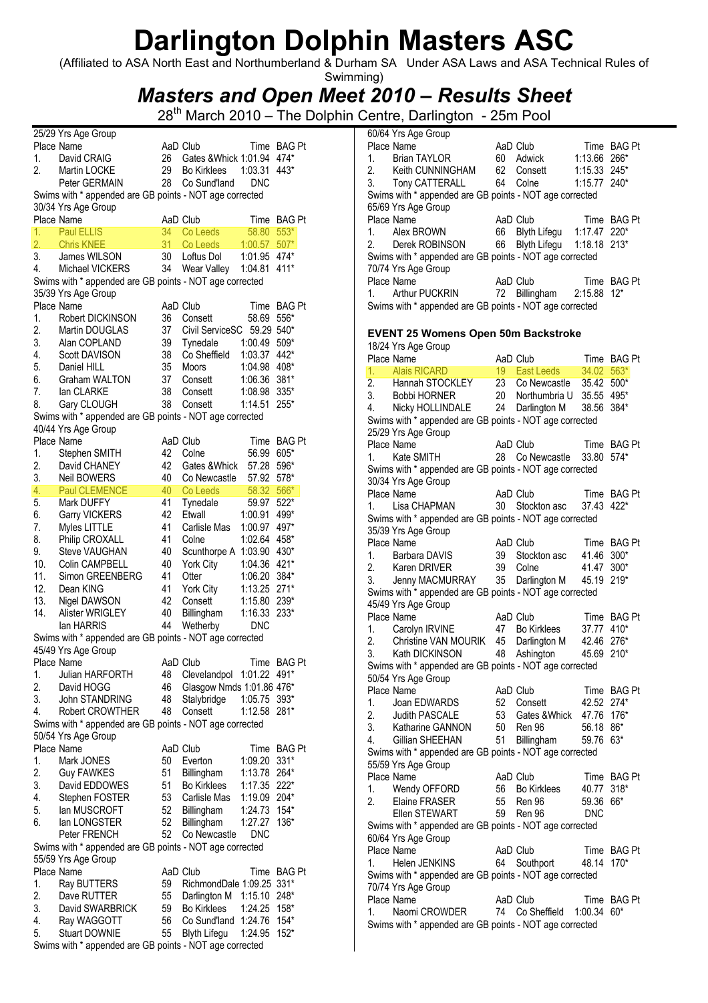(Affiliated to ASA North East and Northumberland & Durham SA Under ASA Laws and ASA Technical Rules of Swimming)

### Masters and Open Meet 2010 – Results Sheet

| Place Name<br>AaD Club<br>Time BAG Pt<br>474*<br>David CRAIG<br>26<br>Gates & Whick 1:01.94<br>1.<br>2.<br>29<br>1:03.31<br>Martin LOCKE<br><b>Bo Kirklees</b><br>443*<br>28<br>Peter GERMAIN<br>Co Sund'land<br><b>DNC</b><br>Swims with * appended are GB points - NOT age corrected<br>30/34 Yrs Age Group<br>Place Name<br>AaD Club<br>Time BAG Pt<br>1.<br><b>Paul ELLIS</b><br>34<br>Co Leeds<br>58.80<br>$553*$<br>$\overline{2}$ .<br>31<br>$507*$<br><b>Chris KNEE</b><br>Co Leeds<br>1:00.57<br>3.<br>1:01.95 474*<br>James WILSON<br>30<br>Loftus Dol<br>4.<br>34 Wear Valley<br>Michael VICKERS<br>1:04.81<br>$411*$<br>Swims with * appended are GB points - NOT age corrected<br>35/39 Yrs Age Group<br>Place Name<br>AaD Club<br>Time BAG Pt<br>1.<br>58.69<br>Robert DICKINSON<br>36<br>556*<br>Consett<br>2.<br>37<br>Civil ServiceSC 59.29 540*<br>Martin DOUGLAS<br>3.<br>39<br>1:00.49 509*<br>Alan COPLAND<br>Tynedale<br>38<br>442*<br>4.<br><b>Scott DAVISON</b><br>Co Sheffield<br>1:03.37<br>5.<br>1:04.98 408*<br>35<br>Daniel HILL<br>Moors<br>381*<br>6.<br>Graham WALTON<br>37<br>1:06.36<br>Consett<br>7.<br>lan CLARKE<br>38<br>Consett<br>1:08.98<br>$335*$<br>8.<br>38<br>1:14.51<br>Gary CLOUGH<br>Consett<br>$255*$<br>Swims with * appended are GB points - NOT age corrected<br>40/44 Yrs Age Group<br>Place Name<br>AaD Club<br>Time BAG Pt<br>42<br>1.<br>Stephen SMITH<br>56.99 605*<br>Colne<br>2.<br>42<br>57.28<br>596*<br>David CHANEY<br>Gates &Whick<br>3.<br><b>Neil BOWERS</b><br>40<br>57.92<br>$578*$<br>Co Newcastle<br>4.<br><b>Paul CLEMENCE</b><br>58.32<br>40<br>Co Leeds<br>566*<br>5.<br>Mark DUFFY<br>41<br>59.97<br>$522*$<br>Tynedale<br>6.<br>Garry VICKERS<br>42<br>Etwall<br>1:00.91<br>499*<br>41<br>7.<br>Myles LITTLE<br>Carlisle Mas<br>1:00.97 497*<br>Philip CROXALL<br>41<br>8.<br>1:02.64 458*<br>Colne<br>Scunthorpe A 1:03.90 430*<br>9.<br>Steve VAUGHAN<br>40<br>10.<br>40<br>1:04.36 421*<br>Colin CAMPBELL<br>York City<br>11.<br>41<br>Simon GREENBERG<br>Otter<br>1:06.20 384*<br>12.<br>41<br>1:13.25 271*<br>Dean KING<br>York City<br>13.<br>Nigel DAWSON<br>42<br>Consett<br>1:15.80 239*<br>14.<br>40<br>1:16.33 233*<br>Alister WRIGLEY<br>Billingham<br>44<br>lan HARRIS<br>Wetherby<br><b>DNC</b><br>Swims with * appended are GB points - NOT age corrected<br>45/49 Yrs Age Group<br>AaD Club<br>Place Name<br>Time BAG Pt<br>48<br>Clevelandpol 1:01.22 491*<br>1.<br>Julian HARFORTH<br>2.<br>David HOGG<br>46<br>Glasgow Nmds 1:01.86 476*<br>3.<br>48<br>John STANDRING<br>Stalybridge<br>1:05.75 393*<br>48<br>1:12.58<br>4.<br><b>Robert CROWTHER</b><br>Consett<br>281*<br>Swims with * appended are GB points - NOT age corrected<br>50/54 Yrs Age Group<br>Place Name<br>AaD Club<br>Time BAG Pt<br>1.<br>Mark JONES<br>50<br>Everton<br>1:09.20<br>$331*$<br>2.<br><b>Guy FAWKES</b><br>51<br>Billingham<br>1:13.78<br>264*<br>3.<br>David EDDOWES<br>51<br><b>Bo Kirklees</b><br>1:17.35<br>$222*$<br>53<br>4.<br>Stephen FOSTER<br>Carlisle Mas<br>1:19.09<br>$204*$<br>5.<br>lan MUSCROFT<br>52<br>Billingham<br>1:24.73<br>$154*$<br>6.<br>lan LONGSTER<br>52<br>Billingham<br>1:27.27<br>136*<br>52<br>Peter FRENCH<br>Co Newcastle<br><b>DNC</b><br>Swims with * appended are GB points - NOT age corrected<br>55/59 Yrs Age Group<br>Place Name<br>AaD Club<br>Time BAG Pt<br>1.<br>RichmondDale 1:09.25 331*<br>Ray BUTTERS<br>59<br>2.<br>Dave RUTTER<br>55<br>Darlington M 1:15.10<br>248*<br>3.<br>David SWARBRICK<br>59<br><b>Bo Kirklees</b><br>1:24.25<br>$158*$<br>4.<br>Ray WAGGOTT<br>56<br>Co Sund'land 1:24.76 154*<br>5.<br>55<br>1:24.95<br><b>Stuart DOWNIE</b><br>Blyth Lifegu<br>$152*$<br>Swims with * appended are GB points - NOT age corrected | 25/29 Yrs Age Group |  |  |
|-------------------------------------------------------------------------------------------------------------------------------------------------------------------------------------------------------------------------------------------------------------------------------------------------------------------------------------------------------------------------------------------------------------------------------------------------------------------------------------------------------------------------------------------------------------------------------------------------------------------------------------------------------------------------------------------------------------------------------------------------------------------------------------------------------------------------------------------------------------------------------------------------------------------------------------------------------------------------------------------------------------------------------------------------------------------------------------------------------------------------------------------------------------------------------------------------------------------------------------------------------------------------------------------------------------------------------------------------------------------------------------------------------------------------------------------------------------------------------------------------------------------------------------------------------------------------------------------------------------------------------------------------------------------------------------------------------------------------------------------------------------------------------------------------------------------------------------------------------------------------------------------------------------------------------------------------------------------------------------------------------------------------------------------------------------------------------------------------------------------------------------------------------------------------------------------------------------------------------------------------------------------------------------------------------------------------------------------------------------------------------------------------------------------------------------------------------------------------------------------------------------------------------------------------------------------------------------------------------------------------------------------------------------------------------------------------------------------------------------------------------------------------------------------------------------------------------------------------------------------------------------------------------------------------------------------------------------------------------------------------------------------------------------------------------------------------------------------------------------------------------------------------------------------------------------------------------------------------------------------------------------------------------------------------------------------------------------------------------------------------------------------------------------------------------------------------------------------------------------------------------------------------------------------------------------------------------------------------------------------------------------------------------------------------------------------------------------------------------------------------------------------------------|---------------------|--|--|
|                                                                                                                                                                                                                                                                                                                                                                                                                                                                                                                                                                                                                                                                                                                                                                                                                                                                                                                                                                                                                                                                                                                                                                                                                                                                                                                                                                                                                                                                                                                                                                                                                                                                                                                                                                                                                                                                                                                                                                                                                                                                                                                                                                                                                                                                                                                                                                                                                                                                                                                                                                                                                                                                                                                                                                                                                                                                                                                                                                                                                                                                                                                                                                                                                                                                                                                                                                                                                                                                                                                                                                                                                                                                                                                                                                               |                     |  |  |
|                                                                                                                                                                                                                                                                                                                                                                                                                                                                                                                                                                                                                                                                                                                                                                                                                                                                                                                                                                                                                                                                                                                                                                                                                                                                                                                                                                                                                                                                                                                                                                                                                                                                                                                                                                                                                                                                                                                                                                                                                                                                                                                                                                                                                                                                                                                                                                                                                                                                                                                                                                                                                                                                                                                                                                                                                                                                                                                                                                                                                                                                                                                                                                                                                                                                                                                                                                                                                                                                                                                                                                                                                                                                                                                                                                               |                     |  |  |
|                                                                                                                                                                                                                                                                                                                                                                                                                                                                                                                                                                                                                                                                                                                                                                                                                                                                                                                                                                                                                                                                                                                                                                                                                                                                                                                                                                                                                                                                                                                                                                                                                                                                                                                                                                                                                                                                                                                                                                                                                                                                                                                                                                                                                                                                                                                                                                                                                                                                                                                                                                                                                                                                                                                                                                                                                                                                                                                                                                                                                                                                                                                                                                                                                                                                                                                                                                                                                                                                                                                                                                                                                                                                                                                                                                               |                     |  |  |
|                                                                                                                                                                                                                                                                                                                                                                                                                                                                                                                                                                                                                                                                                                                                                                                                                                                                                                                                                                                                                                                                                                                                                                                                                                                                                                                                                                                                                                                                                                                                                                                                                                                                                                                                                                                                                                                                                                                                                                                                                                                                                                                                                                                                                                                                                                                                                                                                                                                                                                                                                                                                                                                                                                                                                                                                                                                                                                                                                                                                                                                                                                                                                                                                                                                                                                                                                                                                                                                                                                                                                                                                                                                                                                                                                                               |                     |  |  |
|                                                                                                                                                                                                                                                                                                                                                                                                                                                                                                                                                                                                                                                                                                                                                                                                                                                                                                                                                                                                                                                                                                                                                                                                                                                                                                                                                                                                                                                                                                                                                                                                                                                                                                                                                                                                                                                                                                                                                                                                                                                                                                                                                                                                                                                                                                                                                                                                                                                                                                                                                                                                                                                                                                                                                                                                                                                                                                                                                                                                                                                                                                                                                                                                                                                                                                                                                                                                                                                                                                                                                                                                                                                                                                                                                                               |                     |  |  |
|                                                                                                                                                                                                                                                                                                                                                                                                                                                                                                                                                                                                                                                                                                                                                                                                                                                                                                                                                                                                                                                                                                                                                                                                                                                                                                                                                                                                                                                                                                                                                                                                                                                                                                                                                                                                                                                                                                                                                                                                                                                                                                                                                                                                                                                                                                                                                                                                                                                                                                                                                                                                                                                                                                                                                                                                                                                                                                                                                                                                                                                                                                                                                                                                                                                                                                                                                                                                                                                                                                                                                                                                                                                                                                                                                                               |                     |  |  |
|                                                                                                                                                                                                                                                                                                                                                                                                                                                                                                                                                                                                                                                                                                                                                                                                                                                                                                                                                                                                                                                                                                                                                                                                                                                                                                                                                                                                                                                                                                                                                                                                                                                                                                                                                                                                                                                                                                                                                                                                                                                                                                                                                                                                                                                                                                                                                                                                                                                                                                                                                                                                                                                                                                                                                                                                                                                                                                                                                                                                                                                                                                                                                                                                                                                                                                                                                                                                                                                                                                                                                                                                                                                                                                                                                                               |                     |  |  |
|                                                                                                                                                                                                                                                                                                                                                                                                                                                                                                                                                                                                                                                                                                                                                                                                                                                                                                                                                                                                                                                                                                                                                                                                                                                                                                                                                                                                                                                                                                                                                                                                                                                                                                                                                                                                                                                                                                                                                                                                                                                                                                                                                                                                                                                                                                                                                                                                                                                                                                                                                                                                                                                                                                                                                                                                                                                                                                                                                                                                                                                                                                                                                                                                                                                                                                                                                                                                                                                                                                                                                                                                                                                                                                                                                                               |                     |  |  |
|                                                                                                                                                                                                                                                                                                                                                                                                                                                                                                                                                                                                                                                                                                                                                                                                                                                                                                                                                                                                                                                                                                                                                                                                                                                                                                                                                                                                                                                                                                                                                                                                                                                                                                                                                                                                                                                                                                                                                                                                                                                                                                                                                                                                                                                                                                                                                                                                                                                                                                                                                                                                                                                                                                                                                                                                                                                                                                                                                                                                                                                                                                                                                                                                                                                                                                                                                                                                                                                                                                                                                                                                                                                                                                                                                                               |                     |  |  |
|                                                                                                                                                                                                                                                                                                                                                                                                                                                                                                                                                                                                                                                                                                                                                                                                                                                                                                                                                                                                                                                                                                                                                                                                                                                                                                                                                                                                                                                                                                                                                                                                                                                                                                                                                                                                                                                                                                                                                                                                                                                                                                                                                                                                                                                                                                                                                                                                                                                                                                                                                                                                                                                                                                                                                                                                                                                                                                                                                                                                                                                                                                                                                                                                                                                                                                                                                                                                                                                                                                                                                                                                                                                                                                                                                                               |                     |  |  |
|                                                                                                                                                                                                                                                                                                                                                                                                                                                                                                                                                                                                                                                                                                                                                                                                                                                                                                                                                                                                                                                                                                                                                                                                                                                                                                                                                                                                                                                                                                                                                                                                                                                                                                                                                                                                                                                                                                                                                                                                                                                                                                                                                                                                                                                                                                                                                                                                                                                                                                                                                                                                                                                                                                                                                                                                                                                                                                                                                                                                                                                                                                                                                                                                                                                                                                                                                                                                                                                                                                                                                                                                                                                                                                                                                                               |                     |  |  |
|                                                                                                                                                                                                                                                                                                                                                                                                                                                                                                                                                                                                                                                                                                                                                                                                                                                                                                                                                                                                                                                                                                                                                                                                                                                                                                                                                                                                                                                                                                                                                                                                                                                                                                                                                                                                                                                                                                                                                                                                                                                                                                                                                                                                                                                                                                                                                                                                                                                                                                                                                                                                                                                                                                                                                                                                                                                                                                                                                                                                                                                                                                                                                                                                                                                                                                                                                                                                                                                                                                                                                                                                                                                                                                                                                                               |                     |  |  |
|                                                                                                                                                                                                                                                                                                                                                                                                                                                                                                                                                                                                                                                                                                                                                                                                                                                                                                                                                                                                                                                                                                                                                                                                                                                                                                                                                                                                                                                                                                                                                                                                                                                                                                                                                                                                                                                                                                                                                                                                                                                                                                                                                                                                                                                                                                                                                                                                                                                                                                                                                                                                                                                                                                                                                                                                                                                                                                                                                                                                                                                                                                                                                                                                                                                                                                                                                                                                                                                                                                                                                                                                                                                                                                                                                                               |                     |  |  |
|                                                                                                                                                                                                                                                                                                                                                                                                                                                                                                                                                                                                                                                                                                                                                                                                                                                                                                                                                                                                                                                                                                                                                                                                                                                                                                                                                                                                                                                                                                                                                                                                                                                                                                                                                                                                                                                                                                                                                                                                                                                                                                                                                                                                                                                                                                                                                                                                                                                                                                                                                                                                                                                                                                                                                                                                                                                                                                                                                                                                                                                                                                                                                                                                                                                                                                                                                                                                                                                                                                                                                                                                                                                                                                                                                                               |                     |  |  |
|                                                                                                                                                                                                                                                                                                                                                                                                                                                                                                                                                                                                                                                                                                                                                                                                                                                                                                                                                                                                                                                                                                                                                                                                                                                                                                                                                                                                                                                                                                                                                                                                                                                                                                                                                                                                                                                                                                                                                                                                                                                                                                                                                                                                                                                                                                                                                                                                                                                                                                                                                                                                                                                                                                                                                                                                                                                                                                                                                                                                                                                                                                                                                                                                                                                                                                                                                                                                                                                                                                                                                                                                                                                                                                                                                                               |                     |  |  |
|                                                                                                                                                                                                                                                                                                                                                                                                                                                                                                                                                                                                                                                                                                                                                                                                                                                                                                                                                                                                                                                                                                                                                                                                                                                                                                                                                                                                                                                                                                                                                                                                                                                                                                                                                                                                                                                                                                                                                                                                                                                                                                                                                                                                                                                                                                                                                                                                                                                                                                                                                                                                                                                                                                                                                                                                                                                                                                                                                                                                                                                                                                                                                                                                                                                                                                                                                                                                                                                                                                                                                                                                                                                                                                                                                                               |                     |  |  |
|                                                                                                                                                                                                                                                                                                                                                                                                                                                                                                                                                                                                                                                                                                                                                                                                                                                                                                                                                                                                                                                                                                                                                                                                                                                                                                                                                                                                                                                                                                                                                                                                                                                                                                                                                                                                                                                                                                                                                                                                                                                                                                                                                                                                                                                                                                                                                                                                                                                                                                                                                                                                                                                                                                                                                                                                                                                                                                                                                                                                                                                                                                                                                                                                                                                                                                                                                                                                                                                                                                                                                                                                                                                                                                                                                                               |                     |  |  |
|                                                                                                                                                                                                                                                                                                                                                                                                                                                                                                                                                                                                                                                                                                                                                                                                                                                                                                                                                                                                                                                                                                                                                                                                                                                                                                                                                                                                                                                                                                                                                                                                                                                                                                                                                                                                                                                                                                                                                                                                                                                                                                                                                                                                                                                                                                                                                                                                                                                                                                                                                                                                                                                                                                                                                                                                                                                                                                                                                                                                                                                                                                                                                                                                                                                                                                                                                                                                                                                                                                                                                                                                                                                                                                                                                                               |                     |  |  |
|                                                                                                                                                                                                                                                                                                                                                                                                                                                                                                                                                                                                                                                                                                                                                                                                                                                                                                                                                                                                                                                                                                                                                                                                                                                                                                                                                                                                                                                                                                                                                                                                                                                                                                                                                                                                                                                                                                                                                                                                                                                                                                                                                                                                                                                                                                                                                                                                                                                                                                                                                                                                                                                                                                                                                                                                                                                                                                                                                                                                                                                                                                                                                                                                                                                                                                                                                                                                                                                                                                                                                                                                                                                                                                                                                                               |                     |  |  |
|                                                                                                                                                                                                                                                                                                                                                                                                                                                                                                                                                                                                                                                                                                                                                                                                                                                                                                                                                                                                                                                                                                                                                                                                                                                                                                                                                                                                                                                                                                                                                                                                                                                                                                                                                                                                                                                                                                                                                                                                                                                                                                                                                                                                                                                                                                                                                                                                                                                                                                                                                                                                                                                                                                                                                                                                                                                                                                                                                                                                                                                                                                                                                                                                                                                                                                                                                                                                                                                                                                                                                                                                                                                                                                                                                                               |                     |  |  |
|                                                                                                                                                                                                                                                                                                                                                                                                                                                                                                                                                                                                                                                                                                                                                                                                                                                                                                                                                                                                                                                                                                                                                                                                                                                                                                                                                                                                                                                                                                                                                                                                                                                                                                                                                                                                                                                                                                                                                                                                                                                                                                                                                                                                                                                                                                                                                                                                                                                                                                                                                                                                                                                                                                                                                                                                                                                                                                                                                                                                                                                                                                                                                                                                                                                                                                                                                                                                                                                                                                                                                                                                                                                                                                                                                                               |                     |  |  |
|                                                                                                                                                                                                                                                                                                                                                                                                                                                                                                                                                                                                                                                                                                                                                                                                                                                                                                                                                                                                                                                                                                                                                                                                                                                                                                                                                                                                                                                                                                                                                                                                                                                                                                                                                                                                                                                                                                                                                                                                                                                                                                                                                                                                                                                                                                                                                                                                                                                                                                                                                                                                                                                                                                                                                                                                                                                                                                                                                                                                                                                                                                                                                                                                                                                                                                                                                                                                                                                                                                                                                                                                                                                                                                                                                                               |                     |  |  |
|                                                                                                                                                                                                                                                                                                                                                                                                                                                                                                                                                                                                                                                                                                                                                                                                                                                                                                                                                                                                                                                                                                                                                                                                                                                                                                                                                                                                                                                                                                                                                                                                                                                                                                                                                                                                                                                                                                                                                                                                                                                                                                                                                                                                                                                                                                                                                                                                                                                                                                                                                                                                                                                                                                                                                                                                                                                                                                                                                                                                                                                                                                                                                                                                                                                                                                                                                                                                                                                                                                                                                                                                                                                                                                                                                                               |                     |  |  |
|                                                                                                                                                                                                                                                                                                                                                                                                                                                                                                                                                                                                                                                                                                                                                                                                                                                                                                                                                                                                                                                                                                                                                                                                                                                                                                                                                                                                                                                                                                                                                                                                                                                                                                                                                                                                                                                                                                                                                                                                                                                                                                                                                                                                                                                                                                                                                                                                                                                                                                                                                                                                                                                                                                                                                                                                                                                                                                                                                                                                                                                                                                                                                                                                                                                                                                                                                                                                                                                                                                                                                                                                                                                                                                                                                                               |                     |  |  |
|                                                                                                                                                                                                                                                                                                                                                                                                                                                                                                                                                                                                                                                                                                                                                                                                                                                                                                                                                                                                                                                                                                                                                                                                                                                                                                                                                                                                                                                                                                                                                                                                                                                                                                                                                                                                                                                                                                                                                                                                                                                                                                                                                                                                                                                                                                                                                                                                                                                                                                                                                                                                                                                                                                                                                                                                                                                                                                                                                                                                                                                                                                                                                                                                                                                                                                                                                                                                                                                                                                                                                                                                                                                                                                                                                                               |                     |  |  |
|                                                                                                                                                                                                                                                                                                                                                                                                                                                                                                                                                                                                                                                                                                                                                                                                                                                                                                                                                                                                                                                                                                                                                                                                                                                                                                                                                                                                                                                                                                                                                                                                                                                                                                                                                                                                                                                                                                                                                                                                                                                                                                                                                                                                                                                                                                                                                                                                                                                                                                                                                                                                                                                                                                                                                                                                                                                                                                                                                                                                                                                                                                                                                                                                                                                                                                                                                                                                                                                                                                                                                                                                                                                                                                                                                                               |                     |  |  |
|                                                                                                                                                                                                                                                                                                                                                                                                                                                                                                                                                                                                                                                                                                                                                                                                                                                                                                                                                                                                                                                                                                                                                                                                                                                                                                                                                                                                                                                                                                                                                                                                                                                                                                                                                                                                                                                                                                                                                                                                                                                                                                                                                                                                                                                                                                                                                                                                                                                                                                                                                                                                                                                                                                                                                                                                                                                                                                                                                                                                                                                                                                                                                                                                                                                                                                                                                                                                                                                                                                                                                                                                                                                                                                                                                                               |                     |  |  |
|                                                                                                                                                                                                                                                                                                                                                                                                                                                                                                                                                                                                                                                                                                                                                                                                                                                                                                                                                                                                                                                                                                                                                                                                                                                                                                                                                                                                                                                                                                                                                                                                                                                                                                                                                                                                                                                                                                                                                                                                                                                                                                                                                                                                                                                                                                                                                                                                                                                                                                                                                                                                                                                                                                                                                                                                                                                                                                                                                                                                                                                                                                                                                                                                                                                                                                                                                                                                                                                                                                                                                                                                                                                                                                                                                                               |                     |  |  |
|                                                                                                                                                                                                                                                                                                                                                                                                                                                                                                                                                                                                                                                                                                                                                                                                                                                                                                                                                                                                                                                                                                                                                                                                                                                                                                                                                                                                                                                                                                                                                                                                                                                                                                                                                                                                                                                                                                                                                                                                                                                                                                                                                                                                                                                                                                                                                                                                                                                                                                                                                                                                                                                                                                                                                                                                                                                                                                                                                                                                                                                                                                                                                                                                                                                                                                                                                                                                                                                                                                                                                                                                                                                                                                                                                                               |                     |  |  |
|                                                                                                                                                                                                                                                                                                                                                                                                                                                                                                                                                                                                                                                                                                                                                                                                                                                                                                                                                                                                                                                                                                                                                                                                                                                                                                                                                                                                                                                                                                                                                                                                                                                                                                                                                                                                                                                                                                                                                                                                                                                                                                                                                                                                                                                                                                                                                                                                                                                                                                                                                                                                                                                                                                                                                                                                                                                                                                                                                                                                                                                                                                                                                                                                                                                                                                                                                                                                                                                                                                                                                                                                                                                                                                                                                                               |                     |  |  |
|                                                                                                                                                                                                                                                                                                                                                                                                                                                                                                                                                                                                                                                                                                                                                                                                                                                                                                                                                                                                                                                                                                                                                                                                                                                                                                                                                                                                                                                                                                                                                                                                                                                                                                                                                                                                                                                                                                                                                                                                                                                                                                                                                                                                                                                                                                                                                                                                                                                                                                                                                                                                                                                                                                                                                                                                                                                                                                                                                                                                                                                                                                                                                                                                                                                                                                                                                                                                                                                                                                                                                                                                                                                                                                                                                                               |                     |  |  |
|                                                                                                                                                                                                                                                                                                                                                                                                                                                                                                                                                                                                                                                                                                                                                                                                                                                                                                                                                                                                                                                                                                                                                                                                                                                                                                                                                                                                                                                                                                                                                                                                                                                                                                                                                                                                                                                                                                                                                                                                                                                                                                                                                                                                                                                                                                                                                                                                                                                                                                                                                                                                                                                                                                                                                                                                                                                                                                                                                                                                                                                                                                                                                                                                                                                                                                                                                                                                                                                                                                                                                                                                                                                                                                                                                                               |                     |  |  |
|                                                                                                                                                                                                                                                                                                                                                                                                                                                                                                                                                                                                                                                                                                                                                                                                                                                                                                                                                                                                                                                                                                                                                                                                                                                                                                                                                                                                                                                                                                                                                                                                                                                                                                                                                                                                                                                                                                                                                                                                                                                                                                                                                                                                                                                                                                                                                                                                                                                                                                                                                                                                                                                                                                                                                                                                                                                                                                                                                                                                                                                                                                                                                                                                                                                                                                                                                                                                                                                                                                                                                                                                                                                                                                                                                                               |                     |  |  |
|                                                                                                                                                                                                                                                                                                                                                                                                                                                                                                                                                                                                                                                                                                                                                                                                                                                                                                                                                                                                                                                                                                                                                                                                                                                                                                                                                                                                                                                                                                                                                                                                                                                                                                                                                                                                                                                                                                                                                                                                                                                                                                                                                                                                                                                                                                                                                                                                                                                                                                                                                                                                                                                                                                                                                                                                                                                                                                                                                                                                                                                                                                                                                                                                                                                                                                                                                                                                                                                                                                                                                                                                                                                                                                                                                                               |                     |  |  |
|                                                                                                                                                                                                                                                                                                                                                                                                                                                                                                                                                                                                                                                                                                                                                                                                                                                                                                                                                                                                                                                                                                                                                                                                                                                                                                                                                                                                                                                                                                                                                                                                                                                                                                                                                                                                                                                                                                                                                                                                                                                                                                                                                                                                                                                                                                                                                                                                                                                                                                                                                                                                                                                                                                                                                                                                                                                                                                                                                                                                                                                                                                                                                                                                                                                                                                                                                                                                                                                                                                                                                                                                                                                                                                                                                                               |                     |  |  |
|                                                                                                                                                                                                                                                                                                                                                                                                                                                                                                                                                                                                                                                                                                                                                                                                                                                                                                                                                                                                                                                                                                                                                                                                                                                                                                                                                                                                                                                                                                                                                                                                                                                                                                                                                                                                                                                                                                                                                                                                                                                                                                                                                                                                                                                                                                                                                                                                                                                                                                                                                                                                                                                                                                                                                                                                                                                                                                                                                                                                                                                                                                                                                                                                                                                                                                                                                                                                                                                                                                                                                                                                                                                                                                                                                                               |                     |  |  |
|                                                                                                                                                                                                                                                                                                                                                                                                                                                                                                                                                                                                                                                                                                                                                                                                                                                                                                                                                                                                                                                                                                                                                                                                                                                                                                                                                                                                                                                                                                                                                                                                                                                                                                                                                                                                                                                                                                                                                                                                                                                                                                                                                                                                                                                                                                                                                                                                                                                                                                                                                                                                                                                                                                                                                                                                                                                                                                                                                                                                                                                                                                                                                                                                                                                                                                                                                                                                                                                                                                                                                                                                                                                                                                                                                                               |                     |  |  |
|                                                                                                                                                                                                                                                                                                                                                                                                                                                                                                                                                                                                                                                                                                                                                                                                                                                                                                                                                                                                                                                                                                                                                                                                                                                                                                                                                                                                                                                                                                                                                                                                                                                                                                                                                                                                                                                                                                                                                                                                                                                                                                                                                                                                                                                                                                                                                                                                                                                                                                                                                                                                                                                                                                                                                                                                                                                                                                                                                                                                                                                                                                                                                                                                                                                                                                                                                                                                                                                                                                                                                                                                                                                                                                                                                                               |                     |  |  |
|                                                                                                                                                                                                                                                                                                                                                                                                                                                                                                                                                                                                                                                                                                                                                                                                                                                                                                                                                                                                                                                                                                                                                                                                                                                                                                                                                                                                                                                                                                                                                                                                                                                                                                                                                                                                                                                                                                                                                                                                                                                                                                                                                                                                                                                                                                                                                                                                                                                                                                                                                                                                                                                                                                                                                                                                                                                                                                                                                                                                                                                                                                                                                                                                                                                                                                                                                                                                                                                                                                                                                                                                                                                                                                                                                                               |                     |  |  |
|                                                                                                                                                                                                                                                                                                                                                                                                                                                                                                                                                                                                                                                                                                                                                                                                                                                                                                                                                                                                                                                                                                                                                                                                                                                                                                                                                                                                                                                                                                                                                                                                                                                                                                                                                                                                                                                                                                                                                                                                                                                                                                                                                                                                                                                                                                                                                                                                                                                                                                                                                                                                                                                                                                                                                                                                                                                                                                                                                                                                                                                                                                                                                                                                                                                                                                                                                                                                                                                                                                                                                                                                                                                                                                                                                                               |                     |  |  |
|                                                                                                                                                                                                                                                                                                                                                                                                                                                                                                                                                                                                                                                                                                                                                                                                                                                                                                                                                                                                                                                                                                                                                                                                                                                                                                                                                                                                                                                                                                                                                                                                                                                                                                                                                                                                                                                                                                                                                                                                                                                                                                                                                                                                                                                                                                                                                                                                                                                                                                                                                                                                                                                                                                                                                                                                                                                                                                                                                                                                                                                                                                                                                                                                                                                                                                                                                                                                                                                                                                                                                                                                                                                                                                                                                                               |                     |  |  |
|                                                                                                                                                                                                                                                                                                                                                                                                                                                                                                                                                                                                                                                                                                                                                                                                                                                                                                                                                                                                                                                                                                                                                                                                                                                                                                                                                                                                                                                                                                                                                                                                                                                                                                                                                                                                                                                                                                                                                                                                                                                                                                                                                                                                                                                                                                                                                                                                                                                                                                                                                                                                                                                                                                                                                                                                                                                                                                                                                                                                                                                                                                                                                                                                                                                                                                                                                                                                                                                                                                                                                                                                                                                                                                                                                                               |                     |  |  |
|                                                                                                                                                                                                                                                                                                                                                                                                                                                                                                                                                                                                                                                                                                                                                                                                                                                                                                                                                                                                                                                                                                                                                                                                                                                                                                                                                                                                                                                                                                                                                                                                                                                                                                                                                                                                                                                                                                                                                                                                                                                                                                                                                                                                                                                                                                                                                                                                                                                                                                                                                                                                                                                                                                                                                                                                                                                                                                                                                                                                                                                                                                                                                                                                                                                                                                                                                                                                                                                                                                                                                                                                                                                                                                                                                                               |                     |  |  |
|                                                                                                                                                                                                                                                                                                                                                                                                                                                                                                                                                                                                                                                                                                                                                                                                                                                                                                                                                                                                                                                                                                                                                                                                                                                                                                                                                                                                                                                                                                                                                                                                                                                                                                                                                                                                                                                                                                                                                                                                                                                                                                                                                                                                                                                                                                                                                                                                                                                                                                                                                                                                                                                                                                                                                                                                                                                                                                                                                                                                                                                                                                                                                                                                                                                                                                                                                                                                                                                                                                                                                                                                                                                                                                                                                                               |                     |  |  |
|                                                                                                                                                                                                                                                                                                                                                                                                                                                                                                                                                                                                                                                                                                                                                                                                                                                                                                                                                                                                                                                                                                                                                                                                                                                                                                                                                                                                                                                                                                                                                                                                                                                                                                                                                                                                                                                                                                                                                                                                                                                                                                                                                                                                                                                                                                                                                                                                                                                                                                                                                                                                                                                                                                                                                                                                                                                                                                                                                                                                                                                                                                                                                                                                                                                                                                                                                                                                                                                                                                                                                                                                                                                                                                                                                                               |                     |  |  |
|                                                                                                                                                                                                                                                                                                                                                                                                                                                                                                                                                                                                                                                                                                                                                                                                                                                                                                                                                                                                                                                                                                                                                                                                                                                                                                                                                                                                                                                                                                                                                                                                                                                                                                                                                                                                                                                                                                                                                                                                                                                                                                                                                                                                                                                                                                                                                                                                                                                                                                                                                                                                                                                                                                                                                                                                                                                                                                                                                                                                                                                                                                                                                                                                                                                                                                                                                                                                                                                                                                                                                                                                                                                                                                                                                                               |                     |  |  |
|                                                                                                                                                                                                                                                                                                                                                                                                                                                                                                                                                                                                                                                                                                                                                                                                                                                                                                                                                                                                                                                                                                                                                                                                                                                                                                                                                                                                                                                                                                                                                                                                                                                                                                                                                                                                                                                                                                                                                                                                                                                                                                                                                                                                                                                                                                                                                                                                                                                                                                                                                                                                                                                                                                                                                                                                                                                                                                                                                                                                                                                                                                                                                                                                                                                                                                                                                                                                                                                                                                                                                                                                                                                                                                                                                                               |                     |  |  |
|                                                                                                                                                                                                                                                                                                                                                                                                                                                                                                                                                                                                                                                                                                                                                                                                                                                                                                                                                                                                                                                                                                                                                                                                                                                                                                                                                                                                                                                                                                                                                                                                                                                                                                                                                                                                                                                                                                                                                                                                                                                                                                                                                                                                                                                                                                                                                                                                                                                                                                                                                                                                                                                                                                                                                                                                                                                                                                                                                                                                                                                                                                                                                                                                                                                                                                                                                                                                                                                                                                                                                                                                                                                                                                                                                                               |                     |  |  |
|                                                                                                                                                                                                                                                                                                                                                                                                                                                                                                                                                                                                                                                                                                                                                                                                                                                                                                                                                                                                                                                                                                                                                                                                                                                                                                                                                                                                                                                                                                                                                                                                                                                                                                                                                                                                                                                                                                                                                                                                                                                                                                                                                                                                                                                                                                                                                                                                                                                                                                                                                                                                                                                                                                                                                                                                                                                                                                                                                                                                                                                                                                                                                                                                                                                                                                                                                                                                                                                                                                                                                                                                                                                                                                                                                                               |                     |  |  |
|                                                                                                                                                                                                                                                                                                                                                                                                                                                                                                                                                                                                                                                                                                                                                                                                                                                                                                                                                                                                                                                                                                                                                                                                                                                                                                                                                                                                                                                                                                                                                                                                                                                                                                                                                                                                                                                                                                                                                                                                                                                                                                                                                                                                                                                                                                                                                                                                                                                                                                                                                                                                                                                                                                                                                                                                                                                                                                                                                                                                                                                                                                                                                                                                                                                                                                                                                                                                                                                                                                                                                                                                                                                                                                                                                                               |                     |  |  |
|                                                                                                                                                                                                                                                                                                                                                                                                                                                                                                                                                                                                                                                                                                                                                                                                                                                                                                                                                                                                                                                                                                                                                                                                                                                                                                                                                                                                                                                                                                                                                                                                                                                                                                                                                                                                                                                                                                                                                                                                                                                                                                                                                                                                                                                                                                                                                                                                                                                                                                                                                                                                                                                                                                                                                                                                                                                                                                                                                                                                                                                                                                                                                                                                                                                                                                                                                                                                                                                                                                                                                                                                                                                                                                                                                                               |                     |  |  |
|                                                                                                                                                                                                                                                                                                                                                                                                                                                                                                                                                                                                                                                                                                                                                                                                                                                                                                                                                                                                                                                                                                                                                                                                                                                                                                                                                                                                                                                                                                                                                                                                                                                                                                                                                                                                                                                                                                                                                                                                                                                                                                                                                                                                                                                                                                                                                                                                                                                                                                                                                                                                                                                                                                                                                                                                                                                                                                                                                                                                                                                                                                                                                                                                                                                                                                                                                                                                                                                                                                                                                                                                                                                                                                                                                                               |                     |  |  |
|                                                                                                                                                                                                                                                                                                                                                                                                                                                                                                                                                                                                                                                                                                                                                                                                                                                                                                                                                                                                                                                                                                                                                                                                                                                                                                                                                                                                                                                                                                                                                                                                                                                                                                                                                                                                                                                                                                                                                                                                                                                                                                                                                                                                                                                                                                                                                                                                                                                                                                                                                                                                                                                                                                                                                                                                                                                                                                                                                                                                                                                                                                                                                                                                                                                                                                                                                                                                                                                                                                                                                                                                                                                                                                                                                                               |                     |  |  |
|                                                                                                                                                                                                                                                                                                                                                                                                                                                                                                                                                                                                                                                                                                                                                                                                                                                                                                                                                                                                                                                                                                                                                                                                                                                                                                                                                                                                                                                                                                                                                                                                                                                                                                                                                                                                                                                                                                                                                                                                                                                                                                                                                                                                                                                                                                                                                                                                                                                                                                                                                                                                                                                                                                                                                                                                                                                                                                                                                                                                                                                                                                                                                                                                                                                                                                                                                                                                                                                                                                                                                                                                                                                                                                                                                                               |                     |  |  |
|                                                                                                                                                                                                                                                                                                                                                                                                                                                                                                                                                                                                                                                                                                                                                                                                                                                                                                                                                                                                                                                                                                                                                                                                                                                                                                                                                                                                                                                                                                                                                                                                                                                                                                                                                                                                                                                                                                                                                                                                                                                                                                                                                                                                                                                                                                                                                                                                                                                                                                                                                                                                                                                                                                                                                                                                                                                                                                                                                                                                                                                                                                                                                                                                                                                                                                                                                                                                                                                                                                                                                                                                                                                                                                                                                                               |                     |  |  |
|                                                                                                                                                                                                                                                                                                                                                                                                                                                                                                                                                                                                                                                                                                                                                                                                                                                                                                                                                                                                                                                                                                                                                                                                                                                                                                                                                                                                                                                                                                                                                                                                                                                                                                                                                                                                                                                                                                                                                                                                                                                                                                                                                                                                                                                                                                                                                                                                                                                                                                                                                                                                                                                                                                                                                                                                                                                                                                                                                                                                                                                                                                                                                                                                                                                                                                                                                                                                                                                                                                                                                                                                                                                                                                                                                                               |                     |  |  |
|                                                                                                                                                                                                                                                                                                                                                                                                                                                                                                                                                                                                                                                                                                                                                                                                                                                                                                                                                                                                                                                                                                                                                                                                                                                                                                                                                                                                                                                                                                                                                                                                                                                                                                                                                                                                                                                                                                                                                                                                                                                                                                                                                                                                                                                                                                                                                                                                                                                                                                                                                                                                                                                                                                                                                                                                                                                                                                                                                                                                                                                                                                                                                                                                                                                                                                                                                                                                                                                                                                                                                                                                                                                                                                                                                                               |                     |  |  |
|                                                                                                                                                                                                                                                                                                                                                                                                                                                                                                                                                                                                                                                                                                                                                                                                                                                                                                                                                                                                                                                                                                                                                                                                                                                                                                                                                                                                                                                                                                                                                                                                                                                                                                                                                                                                                                                                                                                                                                                                                                                                                                                                                                                                                                                                                                                                                                                                                                                                                                                                                                                                                                                                                                                                                                                                                                                                                                                                                                                                                                                                                                                                                                                                                                                                                                                                                                                                                                                                                                                                                                                                                                                                                                                                                                               |                     |  |  |
|                                                                                                                                                                                                                                                                                                                                                                                                                                                                                                                                                                                                                                                                                                                                                                                                                                                                                                                                                                                                                                                                                                                                                                                                                                                                                                                                                                                                                                                                                                                                                                                                                                                                                                                                                                                                                                                                                                                                                                                                                                                                                                                                                                                                                                                                                                                                                                                                                                                                                                                                                                                                                                                                                                                                                                                                                                                                                                                                                                                                                                                                                                                                                                                                                                                                                                                                                                                                                                                                                                                                                                                                                                                                                                                                                                               |                     |  |  |
|                                                                                                                                                                                                                                                                                                                                                                                                                                                                                                                                                                                                                                                                                                                                                                                                                                                                                                                                                                                                                                                                                                                                                                                                                                                                                                                                                                                                                                                                                                                                                                                                                                                                                                                                                                                                                                                                                                                                                                                                                                                                                                                                                                                                                                                                                                                                                                                                                                                                                                                                                                                                                                                                                                                                                                                                                                                                                                                                                                                                                                                                                                                                                                                                                                                                                                                                                                                                                                                                                                                                                                                                                                                                                                                                                                               |                     |  |  |
|                                                                                                                                                                                                                                                                                                                                                                                                                                                                                                                                                                                                                                                                                                                                                                                                                                                                                                                                                                                                                                                                                                                                                                                                                                                                                                                                                                                                                                                                                                                                                                                                                                                                                                                                                                                                                                                                                                                                                                                                                                                                                                                                                                                                                                                                                                                                                                                                                                                                                                                                                                                                                                                                                                                                                                                                                                                                                                                                                                                                                                                                                                                                                                                                                                                                                                                                                                                                                                                                                                                                                                                                                                                                                                                                                                               |                     |  |  |
|                                                                                                                                                                                                                                                                                                                                                                                                                                                                                                                                                                                                                                                                                                                                                                                                                                                                                                                                                                                                                                                                                                                                                                                                                                                                                                                                                                                                                                                                                                                                                                                                                                                                                                                                                                                                                                                                                                                                                                                                                                                                                                                                                                                                                                                                                                                                                                                                                                                                                                                                                                                                                                                                                                                                                                                                                                                                                                                                                                                                                                                                                                                                                                                                                                                                                                                                                                                                                                                                                                                                                                                                                                                                                                                                                                               |                     |  |  |
|                                                                                                                                                                                                                                                                                                                                                                                                                                                                                                                                                                                                                                                                                                                                                                                                                                                                                                                                                                                                                                                                                                                                                                                                                                                                                                                                                                                                                                                                                                                                                                                                                                                                                                                                                                                                                                                                                                                                                                                                                                                                                                                                                                                                                                                                                                                                                                                                                                                                                                                                                                                                                                                                                                                                                                                                                                                                                                                                                                                                                                                                                                                                                                                                                                                                                                                                                                                                                                                                                                                                                                                                                                                                                                                                                                               |                     |  |  |

| AaD Club<br>Time BAG Pt<br>Brian TAYLOR<br>1:13.66 266*<br>1.<br>60 Adwick<br>Keith CUNNINGHAM<br>1:15.33 245*<br>2.<br>62 Consett<br>3. Tony CATTERALL<br>1:15.77<br>64<br>240*<br>Colne<br>Swims with * appended are GB points - NOT age corrected<br>65/69 Yrs Age Group<br>Place Name<br>AaD Club<br>Time BAG Pt<br>Blyth Lifegu 1:17.47 220*<br>1.<br>Alex BROWN<br>66<br>66<br>Blyth Lifegu 1:18.18<br>2. Derek ROBINSON<br>$213*$<br>Swims with * appended are GB points - NOT age corrected<br>70/74 Yrs Age Group<br>Place Name<br>AaD Club<br>Time BAG Pt<br>Arthur PUCKRIN<br>72 Billingham<br>2:15.88 12*<br>$1_{\cdot}$<br>Swims with * appended are GB points - NOT age corrected<br><b>EVENT 25 Womens Open 50m Backstroke</b><br>18/24 Yrs Age Group<br>Place Name<br>AaD Club<br>Time BAG Pt<br>34.02 563*<br>19 East Leeds<br>1.<br>Alais RICARD<br>2. Hannah STOCKLEY 23 Co Newcastle 35.42 500*<br>3. Bobbi HORNER<br>20 Northumbria U<br>35.55 495*<br>4. Nicky HOLLINDALE 24 Darlington M<br>38.56 384*<br>Swims with * appended are GB points - NOT age corrected<br>25/29 Yrs Age Group<br>Place Name<br>AaD Club<br>Time BAG Pt<br>28 Co Newcastle<br>33.80 574*<br>1. Kate SMITH<br>Swims with * appended are GB points - NOT age corrected<br>30/34 Yrs Age Group<br>Place Name<br>AaD Club<br>Time BAG Pt<br>1. Lisa CHAPMAN<br>37.43 422*<br>30 Stockton asc<br>Swims with * appended are GB points - NOT age corrected<br>35/39 Yrs Age Group<br>Place Name<br>AaD Club<br>Time BAG Pt<br>Barbara DAVIS<br>1.<br>39<br>Stockton asc<br>41.46 300*<br>39<br>2. Karen DRIVER<br>Colne<br>41.47 300*<br>3. Jenny MACMURRAY<br>35 Darlington M<br>45.19 219*<br>Swims with * appended are GB points - NOT age corrected<br>45/49 Yrs Age Group<br>Place Name<br>AaD Club<br>Time BAG Pt<br>1. Carolyn IRVINE<br>47 Bo Kirklees<br>37.77 410*<br>Christine VAN MOURIK 45<br>2.<br>42.46 276*<br>Darlington M<br>3. Kath DICKINSON<br>48<br>Ashington<br>45.69 210*<br>Swims with * appended are GB points - NOT age corrected<br>50/54 Yrs Age Group<br>Place Name<br>AaD Club<br>Time BAG Pt<br>1.<br>Joan EDWARDS<br>52<br>Consett<br>42.52 274*<br>2.<br>53<br>Judith PASCALE<br>Gates & Whick<br>47.76 176*<br>50 Ren 96<br>3.<br>Katharine GANNON<br>56.18 86*<br>$4\overline{ }$<br>Gillian SHEEHAN<br>51<br>Billingham<br>59.76<br>$63*$<br>Swims with * appended are GB points - NOT age corrected<br>55/59 Yrs Age Group<br>Place Name<br>AaD Club<br>Time BAG Pt<br>1.<br>Wendy OFFORD<br>56<br><b>Bo Kirklees</b><br>40.77<br>$318*$<br>2.<br>Elaine FRASER<br>55<br>66*<br>Ren 96<br>59.36<br>Ellen STEWART<br>59 Ren 96<br><b>DNC</b><br>Swims with * appended are GB points - NOT age corrected<br>60/64 Yrs Age Group<br>AaD Club<br>Place Name<br>Time BAG Pt<br>1.<br>Helen JENKINS<br>64<br>Southport<br>48.14<br>170*<br>Swims with * appended are GB points - NOT age corrected<br>70/74 Yrs Age Group<br>Place Name<br>AaD Club<br>Time BAG Pt<br>Naomi CROWDER<br>Co Sheffield<br>1.<br>74<br>1:00.34<br>60*<br>Swims with * appended are GB points - NOT age corrected | 60/64 Yrs Age Group |  |  |
|------------------------------------------------------------------------------------------------------------------------------------------------------------------------------------------------------------------------------------------------------------------------------------------------------------------------------------------------------------------------------------------------------------------------------------------------------------------------------------------------------------------------------------------------------------------------------------------------------------------------------------------------------------------------------------------------------------------------------------------------------------------------------------------------------------------------------------------------------------------------------------------------------------------------------------------------------------------------------------------------------------------------------------------------------------------------------------------------------------------------------------------------------------------------------------------------------------------------------------------------------------------------------------------------------------------------------------------------------------------------------------------------------------------------------------------------------------------------------------------------------------------------------------------------------------------------------------------------------------------------------------------------------------------------------------------------------------------------------------------------------------------------------------------------------------------------------------------------------------------------------------------------------------------------------------------------------------------------------------------------------------------------------------------------------------------------------------------------------------------------------------------------------------------------------------------------------------------------------------------------------------------------------------------------------------------------------------------------------------------------------------------------------------------------------------------------------------------------------------------------------------------------------------------------------------------------------------------------------------------------------------------------------------------------------------------------------------------------------------------------------------------------------------------------------------------------------------------------------------------------------------------------------------------------------------------------------------------------------------------------------------------------------------------------------------------------------------------------------------------------|---------------------|--|--|
|                                                                                                                                                                                                                                                                                                                                                                                                                                                                                                                                                                                                                                                                                                                                                                                                                                                                                                                                                                                                                                                                                                                                                                                                                                                                                                                                                                                                                                                                                                                                                                                                                                                                                                                                                                                                                                                                                                                                                                                                                                                                                                                                                                                                                                                                                                                                                                                                                                                                                                                                                                                                                                                                                                                                                                                                                                                                                                                                                                                                                                                                                                                        | Place Name          |  |  |
|                                                                                                                                                                                                                                                                                                                                                                                                                                                                                                                                                                                                                                                                                                                                                                                                                                                                                                                                                                                                                                                                                                                                                                                                                                                                                                                                                                                                                                                                                                                                                                                                                                                                                                                                                                                                                                                                                                                                                                                                                                                                                                                                                                                                                                                                                                                                                                                                                                                                                                                                                                                                                                                                                                                                                                                                                                                                                                                                                                                                                                                                                                                        |                     |  |  |
|                                                                                                                                                                                                                                                                                                                                                                                                                                                                                                                                                                                                                                                                                                                                                                                                                                                                                                                                                                                                                                                                                                                                                                                                                                                                                                                                                                                                                                                                                                                                                                                                                                                                                                                                                                                                                                                                                                                                                                                                                                                                                                                                                                                                                                                                                                                                                                                                                                                                                                                                                                                                                                                                                                                                                                                                                                                                                                                                                                                                                                                                                                                        |                     |  |  |
|                                                                                                                                                                                                                                                                                                                                                                                                                                                                                                                                                                                                                                                                                                                                                                                                                                                                                                                                                                                                                                                                                                                                                                                                                                                                                                                                                                                                                                                                                                                                                                                                                                                                                                                                                                                                                                                                                                                                                                                                                                                                                                                                                                                                                                                                                                                                                                                                                                                                                                                                                                                                                                                                                                                                                                                                                                                                                                                                                                                                                                                                                                                        |                     |  |  |
|                                                                                                                                                                                                                                                                                                                                                                                                                                                                                                                                                                                                                                                                                                                                                                                                                                                                                                                                                                                                                                                                                                                                                                                                                                                                                                                                                                                                                                                                                                                                                                                                                                                                                                                                                                                                                                                                                                                                                                                                                                                                                                                                                                                                                                                                                                                                                                                                                                                                                                                                                                                                                                                                                                                                                                                                                                                                                                                                                                                                                                                                                                                        |                     |  |  |
|                                                                                                                                                                                                                                                                                                                                                                                                                                                                                                                                                                                                                                                                                                                                                                                                                                                                                                                                                                                                                                                                                                                                                                                                                                                                                                                                                                                                                                                                                                                                                                                                                                                                                                                                                                                                                                                                                                                                                                                                                                                                                                                                                                                                                                                                                                                                                                                                                                                                                                                                                                                                                                                                                                                                                                                                                                                                                                                                                                                                                                                                                                                        |                     |  |  |
|                                                                                                                                                                                                                                                                                                                                                                                                                                                                                                                                                                                                                                                                                                                                                                                                                                                                                                                                                                                                                                                                                                                                                                                                                                                                                                                                                                                                                                                                                                                                                                                                                                                                                                                                                                                                                                                                                                                                                                                                                                                                                                                                                                                                                                                                                                                                                                                                                                                                                                                                                                                                                                                                                                                                                                                                                                                                                                                                                                                                                                                                                                                        |                     |  |  |
|                                                                                                                                                                                                                                                                                                                                                                                                                                                                                                                                                                                                                                                                                                                                                                                                                                                                                                                                                                                                                                                                                                                                                                                                                                                                                                                                                                                                                                                                                                                                                                                                                                                                                                                                                                                                                                                                                                                                                                                                                                                                                                                                                                                                                                                                                                                                                                                                                                                                                                                                                                                                                                                                                                                                                                                                                                                                                                                                                                                                                                                                                                                        |                     |  |  |
|                                                                                                                                                                                                                                                                                                                                                                                                                                                                                                                                                                                                                                                                                                                                                                                                                                                                                                                                                                                                                                                                                                                                                                                                                                                                                                                                                                                                                                                                                                                                                                                                                                                                                                                                                                                                                                                                                                                                                                                                                                                                                                                                                                                                                                                                                                                                                                                                                                                                                                                                                                                                                                                                                                                                                                                                                                                                                                                                                                                                                                                                                                                        |                     |  |  |
|                                                                                                                                                                                                                                                                                                                                                                                                                                                                                                                                                                                                                                                                                                                                                                                                                                                                                                                                                                                                                                                                                                                                                                                                                                                                                                                                                                                                                                                                                                                                                                                                                                                                                                                                                                                                                                                                                                                                                                                                                                                                                                                                                                                                                                                                                                                                                                                                                                                                                                                                                                                                                                                                                                                                                                                                                                                                                                                                                                                                                                                                                                                        |                     |  |  |
|                                                                                                                                                                                                                                                                                                                                                                                                                                                                                                                                                                                                                                                                                                                                                                                                                                                                                                                                                                                                                                                                                                                                                                                                                                                                                                                                                                                                                                                                                                                                                                                                                                                                                                                                                                                                                                                                                                                                                                                                                                                                                                                                                                                                                                                                                                                                                                                                                                                                                                                                                                                                                                                                                                                                                                                                                                                                                                                                                                                                                                                                                                                        |                     |  |  |
|                                                                                                                                                                                                                                                                                                                                                                                                                                                                                                                                                                                                                                                                                                                                                                                                                                                                                                                                                                                                                                                                                                                                                                                                                                                                                                                                                                                                                                                                                                                                                                                                                                                                                                                                                                                                                                                                                                                                                                                                                                                                                                                                                                                                                                                                                                                                                                                                                                                                                                                                                                                                                                                                                                                                                                                                                                                                                                                                                                                                                                                                                                                        |                     |  |  |
|                                                                                                                                                                                                                                                                                                                                                                                                                                                                                                                                                                                                                                                                                                                                                                                                                                                                                                                                                                                                                                                                                                                                                                                                                                                                                                                                                                                                                                                                                                                                                                                                                                                                                                                                                                                                                                                                                                                                                                                                                                                                                                                                                                                                                                                                                                                                                                                                                                                                                                                                                                                                                                                                                                                                                                                                                                                                                                                                                                                                                                                                                                                        |                     |  |  |
|                                                                                                                                                                                                                                                                                                                                                                                                                                                                                                                                                                                                                                                                                                                                                                                                                                                                                                                                                                                                                                                                                                                                                                                                                                                                                                                                                                                                                                                                                                                                                                                                                                                                                                                                                                                                                                                                                                                                                                                                                                                                                                                                                                                                                                                                                                                                                                                                                                                                                                                                                                                                                                                                                                                                                                                                                                                                                                                                                                                                                                                                                                                        |                     |  |  |
|                                                                                                                                                                                                                                                                                                                                                                                                                                                                                                                                                                                                                                                                                                                                                                                                                                                                                                                                                                                                                                                                                                                                                                                                                                                                                                                                                                                                                                                                                                                                                                                                                                                                                                                                                                                                                                                                                                                                                                                                                                                                                                                                                                                                                                                                                                                                                                                                                                                                                                                                                                                                                                                                                                                                                                                                                                                                                                                                                                                                                                                                                                                        |                     |  |  |
|                                                                                                                                                                                                                                                                                                                                                                                                                                                                                                                                                                                                                                                                                                                                                                                                                                                                                                                                                                                                                                                                                                                                                                                                                                                                                                                                                                                                                                                                                                                                                                                                                                                                                                                                                                                                                                                                                                                                                                                                                                                                                                                                                                                                                                                                                                                                                                                                                                                                                                                                                                                                                                                                                                                                                                                                                                                                                                                                                                                                                                                                                                                        |                     |  |  |
|                                                                                                                                                                                                                                                                                                                                                                                                                                                                                                                                                                                                                                                                                                                                                                                                                                                                                                                                                                                                                                                                                                                                                                                                                                                                                                                                                                                                                                                                                                                                                                                                                                                                                                                                                                                                                                                                                                                                                                                                                                                                                                                                                                                                                                                                                                                                                                                                                                                                                                                                                                                                                                                                                                                                                                                                                                                                                                                                                                                                                                                                                                                        |                     |  |  |
|                                                                                                                                                                                                                                                                                                                                                                                                                                                                                                                                                                                                                                                                                                                                                                                                                                                                                                                                                                                                                                                                                                                                                                                                                                                                                                                                                                                                                                                                                                                                                                                                                                                                                                                                                                                                                                                                                                                                                                                                                                                                                                                                                                                                                                                                                                                                                                                                                                                                                                                                                                                                                                                                                                                                                                                                                                                                                                                                                                                                                                                                                                                        |                     |  |  |
|                                                                                                                                                                                                                                                                                                                                                                                                                                                                                                                                                                                                                                                                                                                                                                                                                                                                                                                                                                                                                                                                                                                                                                                                                                                                                                                                                                                                                                                                                                                                                                                                                                                                                                                                                                                                                                                                                                                                                                                                                                                                                                                                                                                                                                                                                                                                                                                                                                                                                                                                                                                                                                                                                                                                                                                                                                                                                                                                                                                                                                                                                                                        |                     |  |  |
|                                                                                                                                                                                                                                                                                                                                                                                                                                                                                                                                                                                                                                                                                                                                                                                                                                                                                                                                                                                                                                                                                                                                                                                                                                                                                                                                                                                                                                                                                                                                                                                                                                                                                                                                                                                                                                                                                                                                                                                                                                                                                                                                                                                                                                                                                                                                                                                                                                                                                                                                                                                                                                                                                                                                                                                                                                                                                                                                                                                                                                                                                                                        |                     |  |  |
|                                                                                                                                                                                                                                                                                                                                                                                                                                                                                                                                                                                                                                                                                                                                                                                                                                                                                                                                                                                                                                                                                                                                                                                                                                                                                                                                                                                                                                                                                                                                                                                                                                                                                                                                                                                                                                                                                                                                                                                                                                                                                                                                                                                                                                                                                                                                                                                                                                                                                                                                                                                                                                                                                                                                                                                                                                                                                                                                                                                                                                                                                                                        |                     |  |  |
|                                                                                                                                                                                                                                                                                                                                                                                                                                                                                                                                                                                                                                                                                                                                                                                                                                                                                                                                                                                                                                                                                                                                                                                                                                                                                                                                                                                                                                                                                                                                                                                                                                                                                                                                                                                                                                                                                                                                                                                                                                                                                                                                                                                                                                                                                                                                                                                                                                                                                                                                                                                                                                                                                                                                                                                                                                                                                                                                                                                                                                                                                                                        |                     |  |  |
|                                                                                                                                                                                                                                                                                                                                                                                                                                                                                                                                                                                                                                                                                                                                                                                                                                                                                                                                                                                                                                                                                                                                                                                                                                                                                                                                                                                                                                                                                                                                                                                                                                                                                                                                                                                                                                                                                                                                                                                                                                                                                                                                                                                                                                                                                                                                                                                                                                                                                                                                                                                                                                                                                                                                                                                                                                                                                                                                                                                                                                                                                                                        |                     |  |  |
|                                                                                                                                                                                                                                                                                                                                                                                                                                                                                                                                                                                                                                                                                                                                                                                                                                                                                                                                                                                                                                                                                                                                                                                                                                                                                                                                                                                                                                                                                                                                                                                                                                                                                                                                                                                                                                                                                                                                                                                                                                                                                                                                                                                                                                                                                                                                                                                                                                                                                                                                                                                                                                                                                                                                                                                                                                                                                                                                                                                                                                                                                                                        |                     |  |  |
|                                                                                                                                                                                                                                                                                                                                                                                                                                                                                                                                                                                                                                                                                                                                                                                                                                                                                                                                                                                                                                                                                                                                                                                                                                                                                                                                                                                                                                                                                                                                                                                                                                                                                                                                                                                                                                                                                                                                                                                                                                                                                                                                                                                                                                                                                                                                                                                                                                                                                                                                                                                                                                                                                                                                                                                                                                                                                                                                                                                                                                                                                                                        |                     |  |  |
|                                                                                                                                                                                                                                                                                                                                                                                                                                                                                                                                                                                                                                                                                                                                                                                                                                                                                                                                                                                                                                                                                                                                                                                                                                                                                                                                                                                                                                                                                                                                                                                                                                                                                                                                                                                                                                                                                                                                                                                                                                                                                                                                                                                                                                                                                                                                                                                                                                                                                                                                                                                                                                                                                                                                                                                                                                                                                                                                                                                                                                                                                                                        |                     |  |  |
|                                                                                                                                                                                                                                                                                                                                                                                                                                                                                                                                                                                                                                                                                                                                                                                                                                                                                                                                                                                                                                                                                                                                                                                                                                                                                                                                                                                                                                                                                                                                                                                                                                                                                                                                                                                                                                                                                                                                                                                                                                                                                                                                                                                                                                                                                                                                                                                                                                                                                                                                                                                                                                                                                                                                                                                                                                                                                                                                                                                                                                                                                                                        |                     |  |  |
|                                                                                                                                                                                                                                                                                                                                                                                                                                                                                                                                                                                                                                                                                                                                                                                                                                                                                                                                                                                                                                                                                                                                                                                                                                                                                                                                                                                                                                                                                                                                                                                                                                                                                                                                                                                                                                                                                                                                                                                                                                                                                                                                                                                                                                                                                                                                                                                                                                                                                                                                                                                                                                                                                                                                                                                                                                                                                                                                                                                                                                                                                                                        |                     |  |  |
|                                                                                                                                                                                                                                                                                                                                                                                                                                                                                                                                                                                                                                                                                                                                                                                                                                                                                                                                                                                                                                                                                                                                                                                                                                                                                                                                                                                                                                                                                                                                                                                                                                                                                                                                                                                                                                                                                                                                                                                                                                                                                                                                                                                                                                                                                                                                                                                                                                                                                                                                                                                                                                                                                                                                                                                                                                                                                                                                                                                                                                                                                                                        |                     |  |  |
|                                                                                                                                                                                                                                                                                                                                                                                                                                                                                                                                                                                                                                                                                                                                                                                                                                                                                                                                                                                                                                                                                                                                                                                                                                                                                                                                                                                                                                                                                                                                                                                                                                                                                                                                                                                                                                                                                                                                                                                                                                                                                                                                                                                                                                                                                                                                                                                                                                                                                                                                                                                                                                                                                                                                                                                                                                                                                                                                                                                                                                                                                                                        |                     |  |  |
|                                                                                                                                                                                                                                                                                                                                                                                                                                                                                                                                                                                                                                                                                                                                                                                                                                                                                                                                                                                                                                                                                                                                                                                                                                                                                                                                                                                                                                                                                                                                                                                                                                                                                                                                                                                                                                                                                                                                                                                                                                                                                                                                                                                                                                                                                                                                                                                                                                                                                                                                                                                                                                                                                                                                                                                                                                                                                                                                                                                                                                                                                                                        |                     |  |  |
|                                                                                                                                                                                                                                                                                                                                                                                                                                                                                                                                                                                                                                                                                                                                                                                                                                                                                                                                                                                                                                                                                                                                                                                                                                                                                                                                                                                                                                                                                                                                                                                                                                                                                                                                                                                                                                                                                                                                                                                                                                                                                                                                                                                                                                                                                                                                                                                                                                                                                                                                                                                                                                                                                                                                                                                                                                                                                                                                                                                                                                                                                                                        |                     |  |  |
|                                                                                                                                                                                                                                                                                                                                                                                                                                                                                                                                                                                                                                                                                                                                                                                                                                                                                                                                                                                                                                                                                                                                                                                                                                                                                                                                                                                                                                                                                                                                                                                                                                                                                                                                                                                                                                                                                                                                                                                                                                                                                                                                                                                                                                                                                                                                                                                                                                                                                                                                                                                                                                                                                                                                                                                                                                                                                                                                                                                                                                                                                                                        |                     |  |  |
|                                                                                                                                                                                                                                                                                                                                                                                                                                                                                                                                                                                                                                                                                                                                                                                                                                                                                                                                                                                                                                                                                                                                                                                                                                                                                                                                                                                                                                                                                                                                                                                                                                                                                                                                                                                                                                                                                                                                                                                                                                                                                                                                                                                                                                                                                                                                                                                                                                                                                                                                                                                                                                                                                                                                                                                                                                                                                                                                                                                                                                                                                                                        |                     |  |  |
|                                                                                                                                                                                                                                                                                                                                                                                                                                                                                                                                                                                                                                                                                                                                                                                                                                                                                                                                                                                                                                                                                                                                                                                                                                                                                                                                                                                                                                                                                                                                                                                                                                                                                                                                                                                                                                                                                                                                                                                                                                                                                                                                                                                                                                                                                                                                                                                                                                                                                                                                                                                                                                                                                                                                                                                                                                                                                                                                                                                                                                                                                                                        |                     |  |  |
|                                                                                                                                                                                                                                                                                                                                                                                                                                                                                                                                                                                                                                                                                                                                                                                                                                                                                                                                                                                                                                                                                                                                                                                                                                                                                                                                                                                                                                                                                                                                                                                                                                                                                                                                                                                                                                                                                                                                                                                                                                                                                                                                                                                                                                                                                                                                                                                                                                                                                                                                                                                                                                                                                                                                                                                                                                                                                                                                                                                                                                                                                                                        |                     |  |  |
|                                                                                                                                                                                                                                                                                                                                                                                                                                                                                                                                                                                                                                                                                                                                                                                                                                                                                                                                                                                                                                                                                                                                                                                                                                                                                                                                                                                                                                                                                                                                                                                                                                                                                                                                                                                                                                                                                                                                                                                                                                                                                                                                                                                                                                                                                                                                                                                                                                                                                                                                                                                                                                                                                                                                                                                                                                                                                                                                                                                                                                                                                                                        |                     |  |  |
|                                                                                                                                                                                                                                                                                                                                                                                                                                                                                                                                                                                                                                                                                                                                                                                                                                                                                                                                                                                                                                                                                                                                                                                                                                                                                                                                                                                                                                                                                                                                                                                                                                                                                                                                                                                                                                                                                                                                                                                                                                                                                                                                                                                                                                                                                                                                                                                                                                                                                                                                                                                                                                                                                                                                                                                                                                                                                                                                                                                                                                                                                                                        |                     |  |  |
|                                                                                                                                                                                                                                                                                                                                                                                                                                                                                                                                                                                                                                                                                                                                                                                                                                                                                                                                                                                                                                                                                                                                                                                                                                                                                                                                                                                                                                                                                                                                                                                                                                                                                                                                                                                                                                                                                                                                                                                                                                                                                                                                                                                                                                                                                                                                                                                                                                                                                                                                                                                                                                                                                                                                                                                                                                                                                                                                                                                                                                                                                                                        |                     |  |  |
|                                                                                                                                                                                                                                                                                                                                                                                                                                                                                                                                                                                                                                                                                                                                                                                                                                                                                                                                                                                                                                                                                                                                                                                                                                                                                                                                                                                                                                                                                                                                                                                                                                                                                                                                                                                                                                                                                                                                                                                                                                                                                                                                                                                                                                                                                                                                                                                                                                                                                                                                                                                                                                                                                                                                                                                                                                                                                                                                                                                                                                                                                                                        |                     |  |  |
|                                                                                                                                                                                                                                                                                                                                                                                                                                                                                                                                                                                                                                                                                                                                                                                                                                                                                                                                                                                                                                                                                                                                                                                                                                                                                                                                                                                                                                                                                                                                                                                                                                                                                                                                                                                                                                                                                                                                                                                                                                                                                                                                                                                                                                                                                                                                                                                                                                                                                                                                                                                                                                                                                                                                                                                                                                                                                                                                                                                                                                                                                                                        |                     |  |  |
|                                                                                                                                                                                                                                                                                                                                                                                                                                                                                                                                                                                                                                                                                                                                                                                                                                                                                                                                                                                                                                                                                                                                                                                                                                                                                                                                                                                                                                                                                                                                                                                                                                                                                                                                                                                                                                                                                                                                                                                                                                                                                                                                                                                                                                                                                                                                                                                                                                                                                                                                                                                                                                                                                                                                                                                                                                                                                                                                                                                                                                                                                                                        |                     |  |  |
|                                                                                                                                                                                                                                                                                                                                                                                                                                                                                                                                                                                                                                                                                                                                                                                                                                                                                                                                                                                                                                                                                                                                                                                                                                                                                                                                                                                                                                                                                                                                                                                                                                                                                                                                                                                                                                                                                                                                                                                                                                                                                                                                                                                                                                                                                                                                                                                                                                                                                                                                                                                                                                                                                                                                                                                                                                                                                                                                                                                                                                                                                                                        |                     |  |  |
|                                                                                                                                                                                                                                                                                                                                                                                                                                                                                                                                                                                                                                                                                                                                                                                                                                                                                                                                                                                                                                                                                                                                                                                                                                                                                                                                                                                                                                                                                                                                                                                                                                                                                                                                                                                                                                                                                                                                                                                                                                                                                                                                                                                                                                                                                                                                                                                                                                                                                                                                                                                                                                                                                                                                                                                                                                                                                                                                                                                                                                                                                                                        |                     |  |  |
|                                                                                                                                                                                                                                                                                                                                                                                                                                                                                                                                                                                                                                                                                                                                                                                                                                                                                                                                                                                                                                                                                                                                                                                                                                                                                                                                                                                                                                                                                                                                                                                                                                                                                                                                                                                                                                                                                                                                                                                                                                                                                                                                                                                                                                                                                                                                                                                                                                                                                                                                                                                                                                                                                                                                                                                                                                                                                                                                                                                                                                                                                                                        |                     |  |  |
|                                                                                                                                                                                                                                                                                                                                                                                                                                                                                                                                                                                                                                                                                                                                                                                                                                                                                                                                                                                                                                                                                                                                                                                                                                                                                                                                                                                                                                                                                                                                                                                                                                                                                                                                                                                                                                                                                                                                                                                                                                                                                                                                                                                                                                                                                                                                                                                                                                                                                                                                                                                                                                                                                                                                                                                                                                                                                                                                                                                                                                                                                                                        |                     |  |  |
|                                                                                                                                                                                                                                                                                                                                                                                                                                                                                                                                                                                                                                                                                                                                                                                                                                                                                                                                                                                                                                                                                                                                                                                                                                                                                                                                                                                                                                                                                                                                                                                                                                                                                                                                                                                                                                                                                                                                                                                                                                                                                                                                                                                                                                                                                                                                                                                                                                                                                                                                                                                                                                                                                                                                                                                                                                                                                                                                                                                                                                                                                                                        |                     |  |  |
|                                                                                                                                                                                                                                                                                                                                                                                                                                                                                                                                                                                                                                                                                                                                                                                                                                                                                                                                                                                                                                                                                                                                                                                                                                                                                                                                                                                                                                                                                                                                                                                                                                                                                                                                                                                                                                                                                                                                                                                                                                                                                                                                                                                                                                                                                                                                                                                                                                                                                                                                                                                                                                                                                                                                                                                                                                                                                                                                                                                                                                                                                                                        |                     |  |  |
|                                                                                                                                                                                                                                                                                                                                                                                                                                                                                                                                                                                                                                                                                                                                                                                                                                                                                                                                                                                                                                                                                                                                                                                                                                                                                                                                                                                                                                                                                                                                                                                                                                                                                                                                                                                                                                                                                                                                                                                                                                                                                                                                                                                                                                                                                                                                                                                                                                                                                                                                                                                                                                                                                                                                                                                                                                                                                                                                                                                                                                                                                                                        |                     |  |  |
|                                                                                                                                                                                                                                                                                                                                                                                                                                                                                                                                                                                                                                                                                                                                                                                                                                                                                                                                                                                                                                                                                                                                                                                                                                                                                                                                                                                                                                                                                                                                                                                                                                                                                                                                                                                                                                                                                                                                                                                                                                                                                                                                                                                                                                                                                                                                                                                                                                                                                                                                                                                                                                                                                                                                                                                                                                                                                                                                                                                                                                                                                                                        |                     |  |  |
|                                                                                                                                                                                                                                                                                                                                                                                                                                                                                                                                                                                                                                                                                                                                                                                                                                                                                                                                                                                                                                                                                                                                                                                                                                                                                                                                                                                                                                                                                                                                                                                                                                                                                                                                                                                                                                                                                                                                                                                                                                                                                                                                                                                                                                                                                                                                                                                                                                                                                                                                                                                                                                                                                                                                                                                                                                                                                                                                                                                                                                                                                                                        |                     |  |  |
|                                                                                                                                                                                                                                                                                                                                                                                                                                                                                                                                                                                                                                                                                                                                                                                                                                                                                                                                                                                                                                                                                                                                                                                                                                                                                                                                                                                                                                                                                                                                                                                                                                                                                                                                                                                                                                                                                                                                                                                                                                                                                                                                                                                                                                                                                                                                                                                                                                                                                                                                                                                                                                                                                                                                                                                                                                                                                                                                                                                                                                                                                                                        |                     |  |  |
|                                                                                                                                                                                                                                                                                                                                                                                                                                                                                                                                                                                                                                                                                                                                                                                                                                                                                                                                                                                                                                                                                                                                                                                                                                                                                                                                                                                                                                                                                                                                                                                                                                                                                                                                                                                                                                                                                                                                                                                                                                                                                                                                                                                                                                                                                                                                                                                                                                                                                                                                                                                                                                                                                                                                                                                                                                                                                                                                                                                                                                                                                                                        |                     |  |  |
|                                                                                                                                                                                                                                                                                                                                                                                                                                                                                                                                                                                                                                                                                                                                                                                                                                                                                                                                                                                                                                                                                                                                                                                                                                                                                                                                                                                                                                                                                                                                                                                                                                                                                                                                                                                                                                                                                                                                                                                                                                                                                                                                                                                                                                                                                                                                                                                                                                                                                                                                                                                                                                                                                                                                                                                                                                                                                                                                                                                                                                                                                                                        |                     |  |  |
|                                                                                                                                                                                                                                                                                                                                                                                                                                                                                                                                                                                                                                                                                                                                                                                                                                                                                                                                                                                                                                                                                                                                                                                                                                                                                                                                                                                                                                                                                                                                                                                                                                                                                                                                                                                                                                                                                                                                                                                                                                                                                                                                                                                                                                                                                                                                                                                                                                                                                                                                                                                                                                                                                                                                                                                                                                                                                                                                                                                                                                                                                                                        |                     |  |  |
|                                                                                                                                                                                                                                                                                                                                                                                                                                                                                                                                                                                                                                                                                                                                                                                                                                                                                                                                                                                                                                                                                                                                                                                                                                                                                                                                                                                                                                                                                                                                                                                                                                                                                                                                                                                                                                                                                                                                                                                                                                                                                                                                                                                                                                                                                                                                                                                                                                                                                                                                                                                                                                                                                                                                                                                                                                                                                                                                                                                                                                                                                                                        |                     |  |  |
|                                                                                                                                                                                                                                                                                                                                                                                                                                                                                                                                                                                                                                                                                                                                                                                                                                                                                                                                                                                                                                                                                                                                                                                                                                                                                                                                                                                                                                                                                                                                                                                                                                                                                                                                                                                                                                                                                                                                                                                                                                                                                                                                                                                                                                                                                                                                                                                                                                                                                                                                                                                                                                                                                                                                                                                                                                                                                                                                                                                                                                                                                                                        |                     |  |  |
|                                                                                                                                                                                                                                                                                                                                                                                                                                                                                                                                                                                                                                                                                                                                                                                                                                                                                                                                                                                                                                                                                                                                                                                                                                                                                                                                                                                                                                                                                                                                                                                                                                                                                                                                                                                                                                                                                                                                                                                                                                                                                                                                                                                                                                                                                                                                                                                                                                                                                                                                                                                                                                                                                                                                                                                                                                                                                                                                                                                                                                                                                                                        |                     |  |  |
|                                                                                                                                                                                                                                                                                                                                                                                                                                                                                                                                                                                                                                                                                                                                                                                                                                                                                                                                                                                                                                                                                                                                                                                                                                                                                                                                                                                                                                                                                                                                                                                                                                                                                                                                                                                                                                                                                                                                                                                                                                                                                                                                                                                                                                                                                                                                                                                                                                                                                                                                                                                                                                                                                                                                                                                                                                                                                                                                                                                                                                                                                                                        |                     |  |  |
|                                                                                                                                                                                                                                                                                                                                                                                                                                                                                                                                                                                                                                                                                                                                                                                                                                                                                                                                                                                                                                                                                                                                                                                                                                                                                                                                                                                                                                                                                                                                                                                                                                                                                                                                                                                                                                                                                                                                                                                                                                                                                                                                                                                                                                                                                                                                                                                                                                                                                                                                                                                                                                                                                                                                                                                                                                                                                                                                                                                                                                                                                                                        |                     |  |  |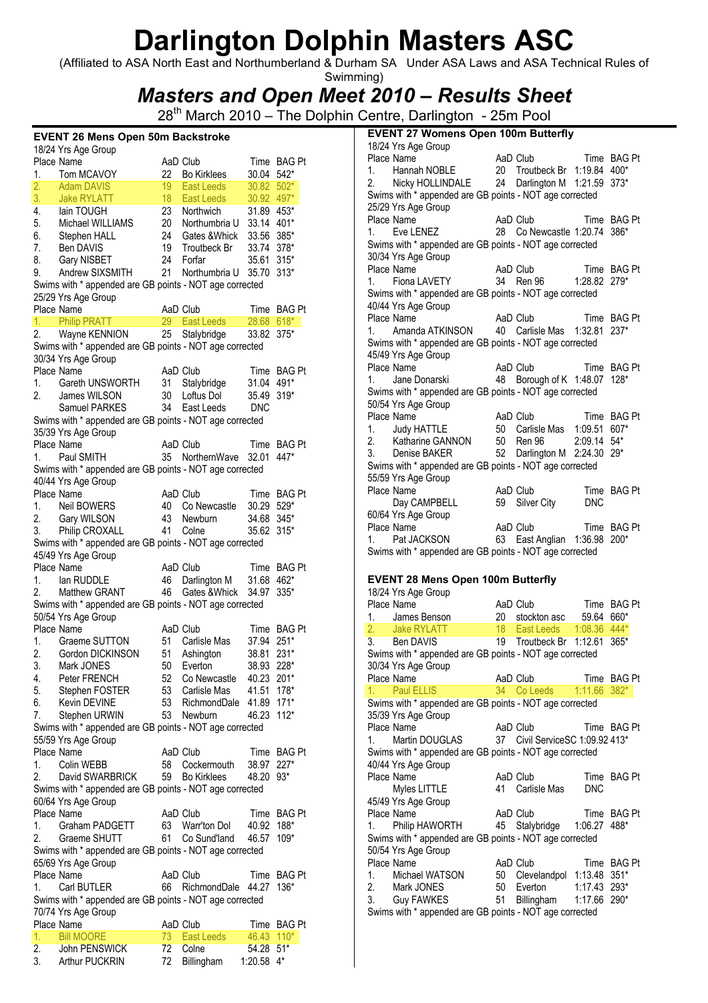(Affiliated to ASA North East and Northumberland & Durham SA Under ASA Laws and ASA Technical Rules of Swimming)

Masters and Open Meet 2010 – Results Sheet

28<sup>th</sup> March 2010 – The Dolphin Centre, Darlington - 25m Pool

### EVENT 26 Mens Open 50m Backstroke

|          | 18/24 Yrs Age Group                                                            |                 |                                |                          |                |
|----------|--------------------------------------------------------------------------------|-----------------|--------------------------------|--------------------------|----------------|
|          | Place Name                                                                     |                 | AaD Club                       |                          | Time BAG Pt    |
| 1.       | Tom MCAVOY                                                                     | 22              | <b>Bo Kirklees</b>             | 30.04                    | $542*$         |
| 2.       | <b>Adam DAVIS</b>                                                              | 19              | East Leeds                     | 30.82                    | $502*$         |
| 3.       | <b>Jake RYLATT</b>                                                             | 18 <sup>2</sup> | East Leeds                     | 30.92 497*               |                |
| 4.       | lain TOUGH<br>Michael WILLIAMS                                                 | 23              | Northwich                      | 31.89                    | 453*           |
| 5.<br>6. |                                                                                | 20<br>24        | Northumbria U<br>Gates & Whick | 33.14 401*<br>33.56 385* |                |
| 7.       | Stephen HALL<br>Ben DAVIS                                                      | 19              | Troutbeck Br                   | 33.74                    | $378*$         |
| 8.       | Gary NISBET                                                                    | 24              | Forfar                         | 35.61                    | $315*$         |
| 9.       | Andrew SIXSMITH                                                                | 21              | Northumbria U                  | 35.70                    | $313*$         |
|          | Swims with * appended are GB points - NOT age corrected                        |                 |                                |                          |                |
|          | 25/29 Yrs Age Group                                                            |                 |                                |                          |                |
|          | Place Name                                                                     |                 | AaD Club                       |                          | Time BAG Pt    |
| 1.       | Philip PRATT<br>Wayne KENNION<br>IS With * -                                   | 29              | East Leeds                     | 28.68 618*               |                |
| 2.       |                                                                                | 25              | Stalybridge                    | 33.82                    | $375*$         |
|          | Swims with * appended are GB points - NOT age corrected                        |                 |                                |                          |                |
|          | 30/34 Yrs Age Group                                                            |                 |                                |                          |                |
|          | Place Name                                                                     |                 | AaD Club                       |                          | Time BAG Pt    |
| 1.       | Gareth UNSWORTH                                                                | 31              | Stalybridge                    | 31.04 491*               |                |
| 2.       | James WILSON                                                                   | 30 <sup>2</sup> | Loftus Dol                     | 35.49                    | $319*$         |
|          | Samuel PARKES                                                                  | 34              | East Leeds                     | <b>DNC</b>               |                |
|          | Swims with * appended are GB points - NOT age corrected                        |                 |                                |                          |                |
|          | 35/39 Yrs Age Group                                                            |                 |                                |                          |                |
|          | Place Name                                                                     |                 | AaD Club                       | Time                     | <b>BAG Pt</b>  |
| 1.       | Paul SMITH                                                                     |                 | 35 NorthernWave                | 32.01                    | 447*           |
|          | Swims with * appended are GB points - NOT age corrected                        |                 |                                |                          |                |
|          | 40/44 Yrs Age Group                                                            |                 |                                |                          |                |
|          | Place Name                                                                     |                 | AaD Club                       |                          | Time BAG Pt    |
| 1.       | Neil BOWERS                                                                    | 40              | Co Newcastle                   | 30.29 529*               |                |
| 2.       | Gary WILSON                                                                    | 43              | Newburn                        | 34.68 345*               |                |
| 3.       | <b>Philip CROXALL</b>                                                          | 41              | Colne                          | 35.62                    | $315*$         |
|          | Swims with * appended are GB points - NOT age corrected                        |                 |                                |                          |                |
|          | 45/49 Yrs Age Group                                                            |                 |                                |                          |                |
|          | Place Name                                                                     |                 | AaD Club                       |                          | Time BAG Pt    |
| 1.<br>2. | lan RUDDLE<br>Matthew GRANT                                                    | 46<br>46        | Darlington M<br>Gates & Whick  | 31.68<br>34.97           | 462*<br>$335*$ |
|          | Swims with * appended are GB points - NOT age corrected                        |                 |                                |                          |                |
|          | 50/54 Yrs Age Group                                                            |                 |                                |                          |                |
|          | Place Name                                                                     |                 | AaD Club                       |                          | Time BAG Pt    |
| 1.       | Graeme SUTTON                                                                  | 51              | Carlisle Mas                   | 37.94                    | $251*$         |
| 2.       | Gordon DICKINSON                                                               | 51              | Ashington                      | 38.81                    | $231*$         |
| 3.       | Mark JONES                                                                     | 50              | Everton                        | 38.93 228*               |                |
| 4.       | Peter FRENCH                                                                   |                 | 52 Co Newcastle 40.23 201*     |                          |                |
| 5.       | Stephen FOSTER                                                                 |                 | 53 Carlisle Mas                | 41.51 178*               |                |
| 6.       | Kevin DEVINE                                                                   | 53              | RichmondDale                   | 41.89                    | $171*$         |
| 7.       | Stephen URWIN                                                                  | 53              | Newburn                        | 46.23                    | $112*$         |
|          | Swims with * appended are GB points - NOT age corrected                        |                 |                                |                          |                |
|          | 55/59 Yrs Age Group                                                            |                 |                                |                          |                |
|          | Place Name                                                                     |                 | AaD Club                       |                          | Time BAG Pt    |
| 1.       | Colin WEBB                                                                     | 58              | Cockermouth                    | 38.97 227*               |                |
|          | 2. David SWARBRICK                                                             | 59              | <b>Bo Kirklees</b>             | 48.20                    | 93*            |
|          | Swims with * appended are GB points - NOT age corrected                        |                 |                                |                          |                |
|          | 60/64 Yrs Age Group                                                            |                 |                                |                          |                |
|          | Place Name                                                                     |                 | AaD Club                       |                          | Time BAG Pt    |
| 1.       | Graham PADGETT                                                                 |                 | 63 Warr'ton Dol                | 40.92 188*               |                |
| 2.       | Graeme SHUTT                                                                   | 61              | Co Sund'land                   | 46.57                    | $109*$         |
|          | Swims with * appended are GB points - NOT age corrected<br>65/69 Yrs Age Group |                 |                                |                          |                |
|          | Place Name                                                                     |                 | AaD Club                       |                          | Time BAG Pt    |
| 1.       | Carl BUTLER                                                                    |                 | 66 RichmondDale 44.27          |                          | $136*$         |
|          | Swims with * appended are GB points - NOT age corrected                        |                 |                                |                          |                |
|          | 70/74 Yrs Age Group                                                            |                 |                                |                          |                |
|          | Place Name                                                                     |                 | AaD Club                       |                          | Time BAG Pt    |
| 1.       | <b>Bill MOORE</b>                                                              | 73              | East Leeds                     | 46.43 110*               |                |
| 2.       | John PENSWICK                                                                  | 72              | Colne                          | 54.28 51*                |                |
|          | 3. Arthur PUCKRIN                                                              | 72              | Billingham                     | 1:20.58 4*               |                |

| <b>EVENT 27 Womens Open 100m Butterfly</b>                                     |                 |                                 |              |             |  |  |  |
|--------------------------------------------------------------------------------|-----------------|---------------------------------|--------------|-------------|--|--|--|
| 18/24 Yrs Age Group                                                            |                 |                                 |              |             |  |  |  |
| Place Name                                                                     |                 | AaD Club                        |              | Time BAG Pt |  |  |  |
| Hannah NOBLE<br>1.                                                             |                 | 20 Troutbeck Br 1:19.84 400*    |              |             |  |  |  |
| 2. Nicky HOLLINDALE 24 Darlington M 1:21.59 373*                               |                 |                                 |              |             |  |  |  |
| Swims with * appended are GB points - NOT age corrected                        |                 |                                 |              |             |  |  |  |
| 25/29 Yrs Age Group                                                            |                 |                                 |              |             |  |  |  |
| Place Name                                                                     |                 | AaD Club                        |              | Time BAG Pt |  |  |  |
| Eve LENEZ<br>1.                                                                |                 | 28 Co Newcastle 1:20.74 386*    |              |             |  |  |  |
| Swims with * appended are GB points - NOT age corrected                        |                 |                                 |              |             |  |  |  |
| 30/34 Yrs Age Group                                                            |                 |                                 |              |             |  |  |  |
| Place Name                                                                     |                 | AaD Club                        |              | Time BAG Pt |  |  |  |
| <b>Fiona LAVETY</b><br>1.                                                      |                 | 34 Ren 96                       | 1:28.82 279* |             |  |  |  |
| Swims with * appended are GB points - NOT age corrected<br>40/44 Yrs Age Group |                 |                                 |              |             |  |  |  |
| Place Name                                                                     |                 | AaD Club                        |              | Time BAG Pt |  |  |  |
| 1. Amanda ATKINSON                                                             |                 | 40 Carlisle Mas 1:32.81         |              | $237*$      |  |  |  |
| Swims with * appended are GB points - NOT age corrected                        |                 |                                 |              |             |  |  |  |
| 45/49 Yrs Age Group                                                            |                 |                                 |              |             |  |  |  |
| Place Name                                                                     |                 | AaD Club                        |              | Time BAG Pt |  |  |  |
| 1. Jane Donarski                                                               |                 | 48 Borough of K 1:48.07 128*    |              |             |  |  |  |
| Swims with * appended are GB points - NOT age corrected                        |                 |                                 |              |             |  |  |  |
| 50/54 Yrs Age Group                                                            |                 |                                 |              |             |  |  |  |
| Place Name                                                                     |                 | AaD Club                        |              | Time BAG Pt |  |  |  |
| <b>Judy HATTLE</b><br>1.                                                       |                 | 50 Carlisle Mas  1:09.51 607*   |              |             |  |  |  |
| 2. Katharine GANNON 50 Ren 96                                                  |                 |                                 | 2:09.14 54*  |             |  |  |  |
| 3. Denise BAKER                                                                |                 | 52 Darlington M 2:24.30 29*     |              |             |  |  |  |
| Swims with * appended are GB points - NOT age corrected                        |                 |                                 |              |             |  |  |  |
| 55/59 Yrs Age Group                                                            |                 |                                 |              |             |  |  |  |
| Place Name                                                                     |                 | AaD Club                        |              | Time BAG Pt |  |  |  |
| Day CAMPBELL                                                                   |                 | 59 Silver City                  | <b>DNC</b>   |             |  |  |  |
| 60/64 Yrs Age Group                                                            |                 |                                 |              |             |  |  |  |
|                                                                                |                 |                                 |              |             |  |  |  |
| Place Name                                                                     |                 | AaD Club                        |              | Time BAG Pt |  |  |  |
| Pat JACKSON<br>1.                                                              |                 | 63 East Anglian 1:36.98 200*    |              |             |  |  |  |
| Swims with * appended are GB points - NOT age corrected                        |                 |                                 |              |             |  |  |  |
|                                                                                |                 |                                 |              |             |  |  |  |
| <b>EVENT 28 Mens Open 100m Butterfly</b>                                       |                 |                                 |              |             |  |  |  |
| 18/24 Yrs Age Group                                                            |                 |                                 |              |             |  |  |  |
| Place Name                                                                     |                 | AaD Club                        |              | Time BAG Pt |  |  |  |
| 1.<br>James Benson                                                             | 20              | stockton asc                    | 59.64 660*   |             |  |  |  |
| 2 <sup>2</sup><br>Jake RYLATT                                                  | 18 <sup>1</sup> | East Leeds 1:08.36 444*         |              |             |  |  |  |
| 3. Ben DAVIS                                                                   | 19              | Troutbeck Br 1:12.61            |              | $365*$      |  |  |  |
| Swims with * appended are GB points - NOT age corrected                        |                 |                                 |              |             |  |  |  |
| 30/34 Yrs Age Group                                                            |                 |                                 |              |             |  |  |  |
| Place Name                                                                     |                 | AaD Club                        |              | Time BAG Pt |  |  |  |
| <b>Paul ELLIS</b><br>1.                                                        | 34              | Co Leeds                        | 1:11.66 382* |             |  |  |  |
| Swims with * appended are GB points - NOT age corrected                        |                 |                                 |              |             |  |  |  |
| 35/39 Yrs Age Group                                                            |                 |                                 |              |             |  |  |  |
| Place Name<br>Martin DOUGLAS<br>1.                                             |                 | AaD Club                        |              | Time BAG Pt |  |  |  |
|                                                                                |                 | 37 Civil ServiceSC 1:09.92 413* |              |             |  |  |  |
| Swims with * appended are GB points - NOT age corrected<br>40/44 Yrs Age Group |                 |                                 |              |             |  |  |  |
| Place Name                                                                     |                 | AaD Club                        |              | Time BAG Pt |  |  |  |
| Myles LITTLE                                                                   |                 | 41 Carlisle Mas                 | <b>DNC</b>   |             |  |  |  |
| 45/49 Yrs Age Group                                                            |                 |                                 |              |             |  |  |  |
| Place Name                                                                     |                 | AaD Club                        |              | Time BAG Pt |  |  |  |
| 1.<br>Philip HAWORTH                                                           |                 | 45 Stalybridge                  | 1:06.27      | 488*        |  |  |  |
| Swims with * appended are GB points - NOT age corrected                        |                 |                                 |              |             |  |  |  |
| 50/54 Yrs Age Group                                                            |                 |                                 |              |             |  |  |  |
| Place Name                                                                     |                 | AaD Club                        |              | Time BAG Pt |  |  |  |
| Michael WATSON<br>1.                                                           | 50              | Clevelandpol 1:13.48 351*       |              |             |  |  |  |
| 2.<br>Mark JONES                                                               | 50              | Everton                         | 1:17.43 293* |             |  |  |  |
| 3.<br><b>Guy FAWKES</b>                                                        | 51              | Billingham                      | 1:17.66      | 290*        |  |  |  |
| Swims with * appended are GB points - NOT age corrected                        |                 |                                 |              |             |  |  |  |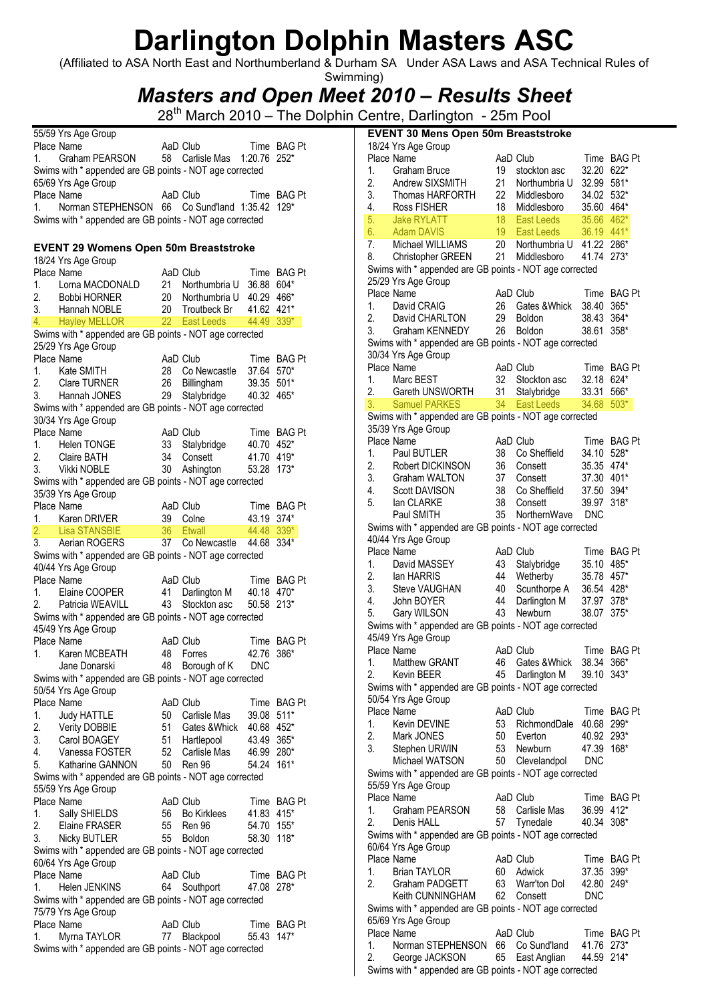(Affiliated to ASA North East and Northumberland & Durham SA Under ASA Laws and ASA Technical Rules of Swimming)

Masters and Open Meet 2010 – Results Sheet

|                | 55/59 Yrs Age Group                                                     |      |                              |            |             |
|----------------|-------------------------------------------------------------------------|------|------------------------------|------------|-------------|
|                | Place Name                                                              |      | AaD Club                     |            | Time BAG Pt |
| 1.             | Graham PEARSON                                                          |      | 58 Carlisle Mas 1:20.76 252* |            |             |
|                | Swims with * appended are GB points - NOT age corrected                 |      |                              |            |             |
|                | 65/69 Yrs Age Group                                                     |      |                              |            |             |
|                | Place Name                                                              |      | AaD Club                     |            | Time BAG Pt |
| 1.             | Norman STEPHENSON 66 Co Sund'land 1:35.42 129*                          |      |                              |            |             |
|                | Swims with * appended are GB points - NOT age corrected                 |      |                              |            |             |
|                |                                                                         |      |                              |            |             |
|                | <b>EVENT 29 Womens Open 50m Breaststroke</b>                            |      |                              |            |             |
|                | 18/24 Yrs Age Group                                                     |      |                              |            |             |
|                | Place Name                                                              |      | AaD Club                     |            | Time BAG Pt |
| 1.             | Lorna MACDONALD                                                         |      | 21 Northumbria U             | 36.88 604* |             |
| 2.             | <b>Bobbi HORNER</b>                                                     |      | 20 Northumbria U             | 40.29 466* |             |
| 3.             | Hannah NOBLE                                                            |      | 20 Troutbeck Br              | 41.62 421* |             |
| 4.             | <b>Hayley MELLOR</b>                                                    |      | 22 East Leeds                |            | 44.49 339*  |
|                | Swims with * appended are GB points - NOT age corrected                 |      |                              |            |             |
|                | 25/29 Yrs Age Group                                                     |      |                              |            |             |
|                | Place Name                                                              |      | AaD Club                     |            | Time BAG Pt |
| 1.             | Kate SMITH                                                              |      | 28 Co Newcastle              | 37.64 570* |             |
| 2.             | <b>Clare TURNER</b>                                                     |      | 26 Billingham                | 39.35 501* |             |
|                | Hannah JONES                                                            | 29   | Stalybridge                  | 40.32 465* |             |
|                | Swims with * appended are GB points - NOT age corrected                 |      |                              |            |             |
|                | 30/34 Yrs Age Group                                                     |      |                              |            |             |
|                | Place Name                                                              |      | AaD Club                     |            | Time BAG Pt |
| 1.             | <b>Helen TONGE</b>                                                      | 33   | Stalybridge                  | 40.70 452* |             |
| 2.             | Claire BATH                                                             | 34   | Consett                      | 41.70 419* |             |
| 3.             | Vikki NOBLE                                                             | 30   | Ashington                    | 53.28 173* |             |
|                | Swims with * appended are GB points - NOT age corrected                 |      |                              |            |             |
|                |                                                                         |      |                              |            |             |
|                | 35/39 Yrs Age Group<br>Place Name                                       |      | AaD Club                     |            | Time BAG Pt |
| 1.             | Karen DRIVER                                                            |      | 39 Colne                     | 43.19 374* |             |
|                |                                                                         |      | 36 Etwall                    |            |             |
|                | Lisa STANSBIE                                                           |      |                              | 44.48 339* |             |
|                |                                                                         |      |                              |            |             |
|                | 3. Aerian ROGERS                                                        |      | 37 Co Newcastle              | 44.68 334* |             |
|                | Swims with * appended are GB points - NOT age corrected                 |      |                              |            |             |
|                | 40/44 Yrs Age Group                                                     |      |                              |            |             |
|                | Place Name                                                              |      | AaD Club                     |            | Time BAG Pt |
|                | 1. Elaine COOPER                                                        |      | 41 Darlington M              | 40.18 470* |             |
|                | Patricia WEAVILL                                                        | 43   | Stockton asc                 | 50.58 213* |             |
|                | Swims with * appended are GB points - NOT age corrected                 |      |                              |            |             |
| 2.             | 45/49 Yrs Age Group                                                     |      |                              |            |             |
|                | Place Name                                                              |      | AaD Club                     |            | Time BAG Pt |
| 1.             | Karen MCBEATH                                                           | 48   | Forres                       | 42.76 386* |             |
|                | Jane Donarski                                                           |      | 48 Borough of K              | <b>DNC</b> |             |
|                | Swims with * appended are GB points - NOT age corrected                 |      |                              |            |             |
|                | 50/54 Yrs Age Group                                                     |      |                              |            |             |
| 2.             | Place Name                                                              |      | AaD Club                     |            | Time BAG Pt |
| 1.             | <b>Judy HATTLE</b>                                                      |      | 50 Carlisle Mas              | 39.08 511* |             |
|                | Verity DOBBIE                                                           | 51 - | Gates & Whick                | 40.68 452* |             |
| 2.<br>3.       | Carol BOAGEY                                                            |      | 51 Hartlepool                | 43.49 365* |             |
|                | Vanessa FOSTER                                                          |      | 52 Carlisle Mas              | 46.99 280* |             |
|                | Katharine GANNON                                                        |      | 50 Ren 96                    | 54.24      | $161*$      |
|                | Swims with * appended are GB points - NOT age corrected                 |      |                              |            |             |
|                | 55/59 Yrs Age Group                                                     |      |                              |            |             |
|                | Place Name                                                              |      | AaD Club                     |            | Time BAG Pt |
|                |                                                                         | 56 - |                              |            |             |
|                | Sally SHIELDS                                                           | 55   | <b>Bo Kirklees</b><br>Ren 96 | 41.83 415* | $155*$      |
|                | Elaine FRASER                                                           |      |                              | 54.70      |             |
| 1.             | Nicky BUTLER                                                            | 55   | Boldon                       | 58.30      | $118*$      |
| 4.<br>5.<br>2. | Swims with * appended are GB points - NOT age corrected                 |      |                              |            |             |
|                | 60/64 Yrs Age Group                                                     |      |                              |            |             |
|                | Place Name                                                              |      | AaD Club                     |            | Time BAG Pt |
| 1.             | Helen JENKINS                                                           | 64   | Southport                    | 47.08 278* |             |
|                | Swims with * appended are GB points - NOT age corrected                 |      |                              |            |             |
|                | 75/79 Yrs Age Group                                                     |      |                              |            |             |
|                | Place Name                                                              |      | AaD Club                     |            | Time BAG Pt |
| 1.             | Myrna TAYLOR<br>Swims with * appended are GB points - NOT age corrected | 77   | Blackpool                    | 55.43 147* |             |

| <b>EVENT 30 Mens Open 50m Breaststroke</b> |                                                         |                 |                              |                     |                |  |  |
|--------------------------------------------|---------------------------------------------------------|-----------------|------------------------------|---------------------|----------------|--|--|
|                                            | 18/24 Yrs Age Group                                     |                 |                              |                     |                |  |  |
|                                            | Place Name                                              |                 | AaD Club                     |                     | Time BAG Pt    |  |  |
| 1.                                         | Graham Bruce                                            | 19              | stockton asc                 | 32.20               | $622*$         |  |  |
| 2.                                         | Andrew SIXSMITH                                         | 21              | Northumbria U                | 32.99               | 581*           |  |  |
| 3.                                         | Thomas HARFORTH                                         | 22              | Middlesboro                  | 34.02               | 532*           |  |  |
| 4.                                         | <b>Ross FISHER</b>                                      | 18              | Middlesboro                  | 35.60 464*          |                |  |  |
| 5.<br>6.                                   | <b>Jake RYLATT</b><br><b>Adam DAVIS</b>                 | 18<br>19        | East Leeds<br>East Leeds     | 35.66<br>36.19 441* | $462*$         |  |  |
| 7.                                         | Michael WILLIAMS                                        | 20 <sub>2</sub> | Northumbria U 41.22          |                     | 286*           |  |  |
| 8.                                         | Christopher GREEN                                       | 21              | Middlesboro                  | 41.74               | $273*$         |  |  |
|                                            | Swims with * appended are GB points - NOT age corrected |                 |                              |                     |                |  |  |
|                                            | 25/29 Yrs Age Group                                     |                 |                              |                     |                |  |  |
|                                            | Place Name                                              |                 | AaD Club                     |                     | Time BAG Pt    |  |  |
| 1.                                         | David CRAIG                                             | 26              | Gates & Whick                | 38.40               | $365*$         |  |  |
| 2.                                         | David CHARLTON                                          | 29              | Boldon                       | 38.43               | 364*           |  |  |
| 3.                                         | Graham KENNEDY                                          | 26              | Boldon                       | 38.61               | $358*$         |  |  |
|                                            | Swims with * appended are GB points - NOT age corrected |                 |                              |                     |                |  |  |
|                                            | 30/34 Yrs Age Group                                     |                 |                              |                     |                |  |  |
|                                            | Place Name                                              |                 | AaD Club                     |                     | Time BAG Pt    |  |  |
| 1.                                         | Marc BEST                                               | 32              | Stockton asc                 | 32.18               | 624*           |  |  |
| 2.                                         | Gareth UNSWORTH                                         | 31              | Stalybridge                  | 33.31               | 566*           |  |  |
| 3.                                         | <b>Samuel PARKES</b>                                    | 34 <sup>2</sup> | East Leeds                   | 34.68               | $503*$         |  |  |
|                                            | Swims with * appended are GB points - NOT age corrected |                 |                              |                     |                |  |  |
|                                            | 35/39 Yrs Age Group                                     |                 |                              |                     |                |  |  |
|                                            | Place Name                                              |                 | AaD Club                     | Time                | <b>BAG Pt</b>  |  |  |
| 1.                                         | Paul BUTLER                                             | 38              | Co Sheffield                 | 34.10               | $528*$         |  |  |
| 2.                                         | Robert DICKINSON                                        | 36              | Consett                      | 35.35 474*          |                |  |  |
| 3.                                         | Graham WALTON                                           | 37              | Consett                      | 37.30               | 401*           |  |  |
| 4.<br>5.                                   | <b>Scott DAVISON</b><br>lan CLARKE                      | 38<br>38        | Co Sheffield<br>Consett      | 37.50<br>39.97      | 394*<br>$318*$ |  |  |
|                                            | Paul SMITH                                              | 35              | NorthernWave                 | <b>DNC</b>          |                |  |  |
|                                            | Swims with * appended are GB points - NOT age corrected |                 |                              |                     |                |  |  |
|                                            | 40/44 Yrs Age Group                                     |                 |                              |                     |                |  |  |
|                                            | Place Name                                              |                 | AaD Club                     |                     | Time BAG Pt    |  |  |
| 1.                                         | David MASSEY                                            | 43              | Stalybridge                  | 35.10               | 485*           |  |  |
| 2.                                         | lan HARRIS                                              | 44              | Wetherby                     | 35.78 457*          |                |  |  |
| 3.                                         | <b>Steve VAUGHAN</b>                                    | 40              |                              | 36.54 428*          |                |  |  |
| 4.                                         | John BOYER                                              | 44              | Scunthorpe A<br>Darlington M | 37.97               | 378*           |  |  |
| 5.                                         | Gary WILSON                                             | 43              | Newburn                      | 38.07               | $375*$         |  |  |
|                                            | Swims with * appended are GB points - NOT age corrected |                 |                              |                     |                |  |  |
|                                            | 45/49 Yrs Age Group                                     |                 |                              |                     |                |  |  |
|                                            | Place Name                                              |                 | AaD Club                     |                     | Time BAG Pt    |  |  |
| 1.                                         | Matthew GRANT                                           | 46              | Gates & Whick                | 38.34 366*          |                |  |  |
| 2.                                         | Kevin BEER                                              | 45              | Darlington M                 | 39.10 343*          |                |  |  |
|                                            | Swims with * appended are GB points - NOT age corrected |                 |                              |                     |                |  |  |
|                                            | 50/54 Yrs Age Group                                     |                 |                              |                     |                |  |  |
|                                            | Place Name                                              |                 | AaD Club                     |                     | Time BAG Pt    |  |  |
| 1.<br>2.                                   | Kevin DEVINE<br>Mark JONES                              | 53<br>50        | RichmondDale                 | 40.68 299*<br>40.92 | 293*           |  |  |
| 3.                                         |                                                         | 53              | Everton<br>Newburn           | 47.39               | 168*           |  |  |
|                                            | Stephen URWIN<br>Michael WATSON                         | 50              | Clevelandpol                 | <b>DNC</b>          |                |  |  |
|                                            | Swims with * appended are GB points - NOT age corrected |                 |                              |                     |                |  |  |
|                                            | 55/59 Yrs Age Group                                     |                 |                              |                     |                |  |  |
|                                            | Place Name                                              |                 | AaD Club                     |                     | Time BAG Pt    |  |  |
| 1.                                         | Graham PEARSON                                          | 58              | Carlisle Mas                 | 36.99 412*          |                |  |  |
| 2.                                         | Denis HALL                                              | 57              | Tynedale                     | 40.34               | $308*$         |  |  |
|                                            | Swims with * appended are GB points - NOT age corrected |                 |                              |                     |                |  |  |
|                                            | 60/64 Yrs Age Group                                     |                 |                              |                     |                |  |  |
|                                            | Place Name                                              |                 | AaD Club                     |                     | Time BAG Pt    |  |  |
| 1.                                         | <b>Brian TAYLOR</b>                                     | 60              | Adwick                       | 37.35 399*          |                |  |  |
| 2.                                         | Graham PADGETT                                          | 63              | Warr'ton Dol                 | 42.80               | 249*           |  |  |
|                                            | Keith CUNNINGHAM                                        | 62              | Consett                      | <b>DNC</b>          |                |  |  |
|                                            | Swims with * appended are GB points - NOT age corrected |                 |                              |                     |                |  |  |
|                                            | 65/69 Yrs Age Group                                     |                 |                              |                     |                |  |  |
|                                            | Place Name                                              |                 | AaD Club                     |                     | Time BAG Pt    |  |  |
| 1.                                         | Norman STEPHENSON                                       |                 | 66 Co Sund'land              | 41.76 273*          |                |  |  |
| 2.                                         | George JACKSON                                          | 65              | East Anglian                 | 44.59 214*          |                |  |  |
|                                            | Swims with * appended are GB points - NOT age corrected |                 |                              |                     |                |  |  |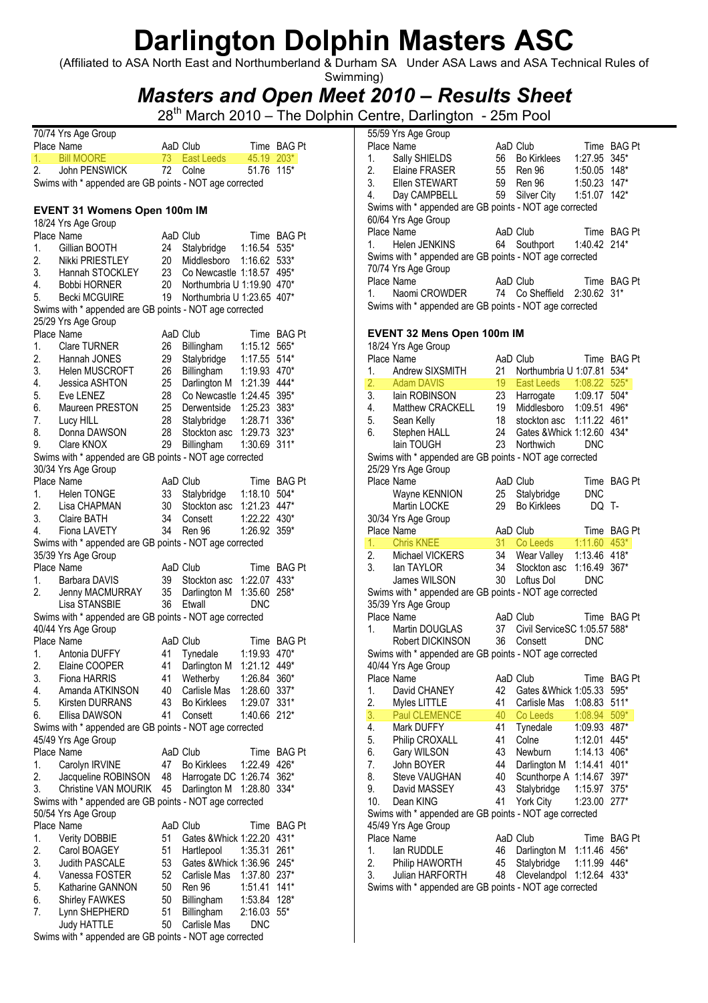(Affiliated to ASA North East and Northumberland & Durham SA Under ASA Laws and ASA Technical Rules of Swimming)

### Masters and Open Meet 2010 – Results Sheet

|    | 70/74 Yrs Age Group                                     |                 |                            |              |               |
|----|---------------------------------------------------------|-----------------|----------------------------|--------------|---------------|
|    | Place Name                                              |                 | AaD Club                   |              | Time BAG Pt   |
| 1. | <b>Bill MOORE</b>                                       | 73.             | East Leeds                 | 45.19 203*   |               |
| 2. | John PENSWICK                                           | 72              | Colne                      | 51.76        | $115*$        |
|    | Swims with * appended are GB points - NOT age corrected |                 |                            |              |               |
|    |                                                         |                 |                            |              |               |
|    | <b>EVENT 31 Womens Open 100m IM</b>                     |                 |                            |              |               |
|    | 18/24 Yrs Age Group                                     |                 |                            |              |               |
|    | Place Name                                              |                 | AaD Club                   |              | Time BAG Pt   |
|    |                                                         |                 |                            |              |               |
| 1. | Gillian BOOTH                                           | 24              | Stalybridge                | 1:16.54      | 535*          |
| 2. | Nikki PRIESTLEY                                         | 20              | Middlesboro                | 1:16.62      | 533*          |
| 3. | Hannah STOCKLEY                                         | 23              | Co Newcastle 1:18.57       |              | 495*          |
| 4. | <b>Bobbi HORNER</b>                                     | 20              | Northumbria U 1:19.90 470* |              |               |
| 5. | <b>Becki MCGUIRE</b>                                    | 19              | Northumbria U 1:23.65      |              | 407*          |
|    | Swims with * appended are GB points - NOT age corrected |                 |                            |              |               |
|    | 25/29 Yrs Age Group                                     |                 |                            |              |               |
|    | Place Name                                              |                 | AaD Club                   | Time         | <b>BAG Pt</b> |
| 1. | <b>Clare TURNER</b>                                     | 26              | Billingham                 | 1:15.12      | 565*          |
| 2. | Hannah JONES                                            | 29              | Stalybridge                | 1:17.55 514* |               |
| 3. | Helen MUSCROFT                                          | 26              | Billingham                 | 1:19.93 470* |               |
| 4. | Jessica ASHTON                                          | 25              | Darlington M               | 1:21.39      | 444*          |
| 5. | Eve LENEZ                                               | 28              | Co Newcastle 1:24.45 395*  |              |               |
| 6. | Maureen PRESTON                                         | 25              | Derwentside                | 1:25.23 383* |               |
| 7. | Lucy HILL                                               | 28              | Stalybridge                | 1:28.71      | $336*$        |
| 8. | Donna DAWSON                                            | 28              | Stockton asc               | 1:29.73      | $323*$        |
| 9. | Clare KNOX                                              | 29              | Billingham                 | 1:30.69      | $311*$        |
|    | Swims with * appended are GB points - NOT age corrected |                 |                            |              |               |
|    | 30/34 Yrs Age Group                                     |                 |                            |              |               |
|    | Place Name                                              |                 | AaD Club                   |              | Time BAG Pt   |
| 1. | <b>Helen TONGE</b>                                      | 33              | Stalybridge                | 1:18.10 504* |               |
| 2. | Lisa CHAPMAN                                            | 30              | Stockton asc               | 1:21.23      | 447*          |
| 3. | <b>Claire BATH</b>                                      | 34              | Consett                    | 1:22.22      | 430*          |
| 4. | Fiona LAVETY                                            | 34              | Ren 96                     | 1:26.92      | 359*          |
|    | Swims with * appended are GB points - NOT age corrected |                 |                            |              |               |
|    | 35/39 Yrs Age Group                                     |                 |                            |              |               |
|    | Place Name                                              |                 | AaD Club                   |              | Time BAG Pt   |
| 1. | Barbara DAVIS                                           | 39              | Stockton asc               | 1:22.07      | 433*          |
| 2. | Jenny MACMURRAY                                         | 35 <sub>o</sub> | Darlington M               | 1:35.60      | 258*          |
|    | Lisa STANSBIE                                           | 36              | Etwall                     | <b>DNC</b>   |               |
|    | Swims with * appended are GB points - NOT age corrected |                 |                            |              |               |
|    | 40/44 Yrs Age Group                                     |                 |                            |              |               |
|    | Place Name                                              |                 | AaD Club                   |              | Time BAG Pt   |
| 1. | Antonia DUFFY                                           | 41              | Tynedale                   | 1:19.93 470* |               |
| 2. | Elaine COOPER                                           | 41              | Darlington M 1:21.12 449*  |              |               |
| 3. | Fiona HARRIS                                            | 41              | Wetherby                   | 1:26.84      | 360*          |
| 4. | Amanda ATKINSON                                         | 40              | Carlisle Mas               | 1:28.60      | $337*$        |
| 5. | <b>Kirsten DURRANS</b>                                  | 43              | <b>Bo Kirklees</b>         | 1:29.07      | $331*$        |
| 6. | Ellisa DAWSON                                           | 41              | Consett                    | 1:40.66      | $212*$        |
|    | Swims with * appended are GB points - NOT age corrected |                 |                            |              |               |
|    | 45/49 Yrs Age Group                                     |                 |                            |              |               |
|    | Place Name                                              |                 |                            |              | <b>BAG Pt</b> |
|    |                                                         |                 | AaD Club                   | Time         |               |
| 1. | Carolyn IRVINE                                          | 47              | <b>Bo Kirklees</b>         | 1:22.49      | 426*          |
| 2. | Jacqueline ROBINSON                                     | 48              | Harrogate DC 1:26.74       |              | 362*          |
| 3. | Christine VAN MOURIK                                    | 45              | Darlington M               | 1:28.80      | 334*          |
|    | Swims with * appended are GB points - NOT age corrected |                 |                            |              |               |
|    | 50/54 Yrs Age Group                                     |                 |                            |              |               |
|    | Place Name                                              |                 | AaD Club                   | Time         | BAG Pt        |
| 1. | Verity DOBBIE                                           | 51              | Gates & Whick 1:22.20      |              | 431*          |
| 2. | Carol BOAGEY                                            | 51              | Hartlepool                 | 1:35.31      | 261*          |
| 3. | Judith PASCALE                                          | 53              | Gates & Whick 1:36.96      |              | $245*$        |
| 4. | Vanessa FOSTER                                          | 52              | Carlisle Mas               | 1:37.80      | 237*          |
| 5. | Katharine GANNON                                        | 50              | Ren 96                     | 1:51.41      | $141*$        |
| 6. | <b>Shirley FAWKES</b>                                   | 50              | Billingham                 | 1:53.84      | $128*$        |
| 7. | Lynn SHEPHERD                                           | 51              | Billingham                 | 2:16.03      | $55*$         |
|    | <b>Judy HATTLE</b>                                      | 50              | Carlisle Mas               | <b>DNC</b>   |               |
|    | Swims with * appended are GB points - NOT age corrected |                 |                            |              |               |

|          | Place Name                                                                        |                 | AaD Club                                        |                         | Time BAG Pt   |
|----------|-----------------------------------------------------------------------------------|-----------------|-------------------------------------------------|-------------------------|---------------|
|          | 1. Sally SHIELDS                                                                  |                 | 56 Bo Kirklees                                  | 1:27.95                 | $345*$        |
|          | 2. Elaine FRASER                                                                  |                 | 55 Ren 96                                       | 1:50.05                 | $148*$        |
| 3.       | Ellen STEWART                                                                     |                 | 59 Ren 96                                       | 1:50.23 147*            |               |
| 4.       | Day CAMPBELL                                                                      | 59              | Silver City                                     | 1:51.07                 | $142*$        |
|          | Swims with * appended are GB points - NOT age corrected                           |                 |                                                 |                         |               |
|          | 60/64 Yrs Age Group                                                               |                 |                                                 |                         |               |
|          | Place Name<br>Helen JENKINS                                                       | 64              | AaD Club                                        | 1:40.42 214*            | Time BAG Pt   |
| 1.       | Swims with * appended are GB points - NOT age corrected                           |                 | Southport                                       |                         |               |
|          | 70/74 Yrs Age Group                                                               |                 |                                                 |                         |               |
|          | Place Name                                                                        |                 | AaD Club                                        |                         | Time BAG Pt   |
| 1.       | Naomi CROWDER                                                                     | 74              | Co Sheffield                                    | 2:30.62                 | $31*$         |
|          | Swims with * appended are GB points - NOT age corrected                           |                 |                                                 |                         |               |
|          |                                                                                   |                 |                                                 |                         |               |
|          | EVENT 32 Mens Open 100m IM                                                        |                 |                                                 |                         |               |
|          | 18/24 Yrs Age Group                                                               |                 |                                                 |                         |               |
|          | Place Name                                                                        |                 | AaD Club                                        |                         | Time BAG Pt   |
| 1.       | Andrew SIXSMITH                                                                   | 21              | Northumbria U 1:07.81                           |                         | 534*          |
| 2.       | Adam DAVIS                                                                        | 19 <sup>°</sup> | East Leeds                                      | 1:08.22                 | $525*$        |
| 3.       | lain ROBINSON                                                                     |                 | 23 Harrogate                                    | 1:09.17                 | $504*$        |
|          | 4. Matthew CRACKELL                                                               | 19              | Middlesboro                                     | 1:09.51                 | 496*          |
|          | 5. Sean Kelly                                                                     | 18              | stockton asc                                    | 1:11.22                 | 461*          |
| 6.       | Stephen HALL                                                                      | 24              | Gates & Whick 1:12.60 434*                      |                         |               |
|          | lain TOUGH                                                                        | 23              | Northwich                                       | <b>DNC</b>              |               |
|          | Swims with * appended are GB points - NOT age corrected                           |                 |                                                 |                         |               |
|          | 25/29 Yrs Age Group<br>Place Name                                                 |                 | AaD Club                                        |                         | Time BAG Pt   |
|          |                                                                                   | 25              |                                                 | <b>DNC</b>              |               |
|          | Wayne KENNION<br>Martin LOCKE                                                     | 29              | Stalybridge<br><b>Bo Kirklees</b>               | DQ T-                   |               |
|          | 30/34 Yrs Age Group                                                               |                 |                                                 |                         |               |
|          | Place Name                                                                        |                 |                                                 |                         |               |
|          |                                                                                   |                 |                                                 |                         |               |
|          |                                                                                   |                 | AaD Club                                        |                         | Time BAG Pt   |
| 2.       | 1. Chris KNEE                                                                     |                 | 31 Co Leeds                                     | $1:11.60$ 453*          |               |
| 3.       | Michael VICKERS<br>lan TAYLOR                                                     |                 |                                                 | 1:13.46 418*<br>1:16.49 | 367*          |
|          | James WILSON                                                                      | 30              | 34 Wear Valley<br>34 Stockton asc<br>Loftus Dol | <b>DNC</b>              |               |
|          | Swims with * appended are GB points - NOT age corrected                           |                 |                                                 |                         |               |
|          | 35/39 Yrs Age Group                                                               |                 |                                                 |                         |               |
|          | Place Name                                                                        |                 | AaD Club                                        |                         | Time BAG Pt   |
| 1.       | Martin DOUGLAS                                                                    |                 | 37 Civil ServiceSC 1:05.57 588*                 |                         |               |
|          | Robert DICKINSON                                                                  | 36              | Consett                                         | <b>DNC</b>              |               |
|          | Swims with * appended are GB points - NOT age corrected                           |                 |                                                 |                         |               |
|          | 40/44 Yrs Age Group                                                               |                 |                                                 |                         |               |
|          | Place Name                                                                        |                 | AaD Club                                        |                         | Time BAG Pt   |
| 1.       | David CHANEY                                                                      | 42              | Gates & Whick 1:05.33                           |                         | 595*          |
| 2.       | Myles LITTLE                                                                      | 41              | Carlisle Mas                                    | 1:08.83                 | 511*          |
| 3.       | <b>Paul CLEMENCE</b>                                                              | 40              | Co Leeds                                        | 1:08.94                 | $509*$        |
| 4.       | Mark DUFFY                                                                        | 41              | Tynedale                                        | 1:09.93                 | 487*          |
| 5.       | Philip CROXALL                                                                    | 41<br>43        | Colne<br><b>Newburn</b>                         | 1:12.01                 | 445*          |
| 6.<br>7. | Gary WILSON<br>John BOYER                                                         | 44              | Darlington M                                    | 1:14.13<br>1:14.41      | 406*<br>401*  |
| 8.       | <b>Steve VAUGHAN</b>                                                              | 40              | Scunthorpe A                                    | 1:14.67                 | 397*          |
| 9.       | David MASSEY                                                                      | 43              | Stalybridge                                     | 1:15.97                 | $375*$        |
| 10.      | Dean KING                                                                         | 41              | <b>York City</b>                                | 1:23.00                 | $277*$        |
|          | Swims with * appended are GB points - NOT age corrected                           |                 |                                                 |                         |               |
|          | 45/49 Yrs Age Group                                                               |                 |                                                 |                         |               |
|          | Place Name                                                                        |                 | AaD Club                                        | Time                    | <b>BAG Pt</b> |
| 1.       | lan RUDDLE                                                                        | 46              | Darlington M                                    | 1:11.46                 | 456*          |
| 2.       | Philip HAWORTH                                                                    | 45              | Stalybridge                                     | 1:11.99                 | 446*          |
| 3.       | <b>Julian HARFORTH</b><br>Swims with * appended are GB points - NOT age corrected | 48              | Clevelandpol                                    | 1:12.64                 | 433*          |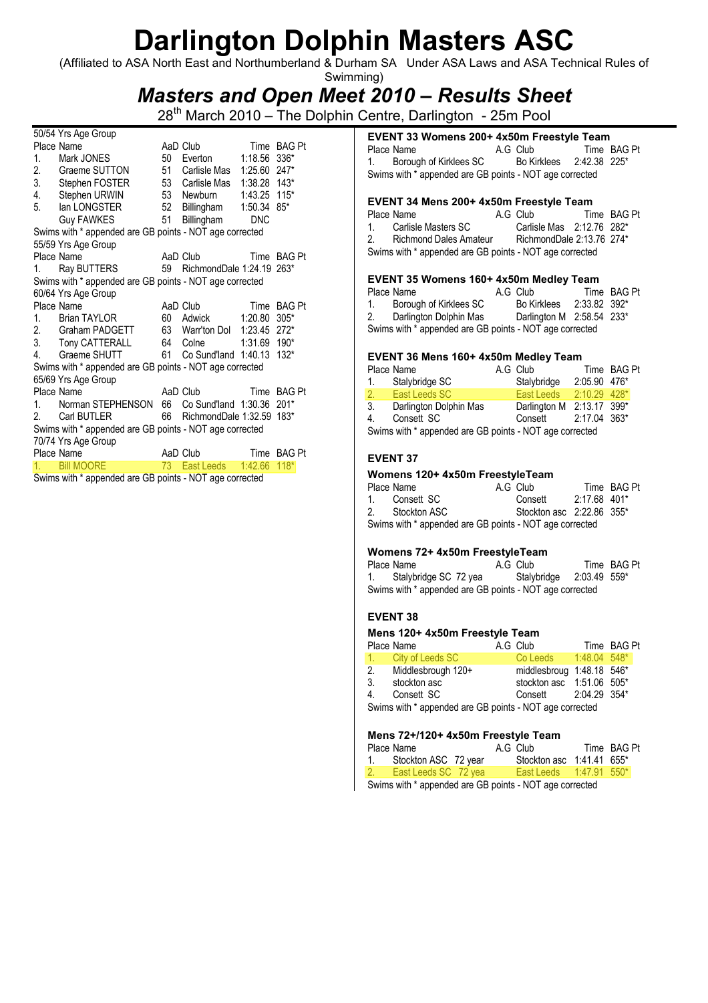(Affiliated to ASA North East and Northumberland & Durham SA Under ASA Laws and ASA Technical Rules of Swimming)

### Masters and Open Meet 2010 – Results Sheet

28<sup>th</sup> March 2010 – The Dolphin Centre, Darlington - 25m Pool

| 50/54 Yrs Age Group |                                                                                                                                                                                                                                                                                          |    |                              |             |             |
|---------------------|------------------------------------------------------------------------------------------------------------------------------------------------------------------------------------------------------------------------------------------------------------------------------------------|----|------------------------------|-------------|-------------|
|                     | Place Name                                                                                                                                                                                                                                                                               |    | AaD Club                     | Time BAG Pt |             |
| 1.                  | Mark JONES                                                                                                                                                                                                                                                                               | 50 | Everton                      | 1:18.56     | 336*        |
|                     | 2. Graeme SUTTON                                                                                                                                                                                                                                                                         |    | 51 Carlisle Mas              | 1:25.60     | $247*$      |
|                     | 3. Stephen FOSTER                                                                                                                                                                                                                                                                        |    | 53 Carlisle Mas 1:38.28 143* |             |             |
|                     | 4. Stephen URWIN                                                                                                                                                                                                                                                                         |    | 53 Newburn  1:43.25 115*     |             |             |
|                     | 5. Ian LONGSTER                                                                                                                                                                                                                                                                          |    | 52 Billingham 1:50.34 85*    |             |             |
|                     | Guy FAWKES 51                                                                                                                                                                                                                                                                            |    | Billingham                   | <b>DNC</b>  |             |
|                     | Swims with * appended are GB points - NOT age corrected                                                                                                                                                                                                                                  |    |                              |             |             |
|                     | 55/59 Yrs Age Group                                                                                                                                                                                                                                                                      |    |                              |             |             |
|                     | Place Name                                                                                                                                                                                                                                                                               |    | AaD Club                     |             | Time BAG Pt |
|                     | 1. Ray BUTTERS 59 RichmondDale 1:24.19 263*                                                                                                                                                                                                                                              |    |                              |             |             |
|                     | Swims with * appended are GB points - NOT age corrected                                                                                                                                                                                                                                  |    |                              |             |             |
|                     | 60/64 Yrs Age Group                                                                                                                                                                                                                                                                      |    |                              |             |             |
|                     | Place Name                                                                                                                                                                                                                                                                               |    | AaD Club                     | Time BAG Pt |             |
|                     | 1. Brian TAYLOR                                                                                                                                                                                                                                                                          |    | 60 Adwick                    | 1:20.80     | $305*$      |
|                     | 2. Graham PADGETT                                                                                                                                                                                                                                                                        |    | 63 Warr'ton Dol 1:23.45 272* |             |             |
|                     | 3. Tony CATTERALL                                                                                                                                                                                                                                                                        |    | 64 Colne 1:31.69 190*        |             |             |
|                     | 4. Graeme SHUTT                                                                                                                                                                                                                                                                          |    | 61 Co Sund'land 1:40.13      |             | $132*$      |
|                     | Swims with * appended are GB points - NOT age corrected                                                                                                                                                                                                                                  |    |                              |             |             |
|                     | 65/69 Yrs Age Group                                                                                                                                                                                                                                                                      |    |                              |             |             |
|                     | Place Name                                                                                                                                                                                                                                                                               |    | AaD Club <b>AaD</b>          |             | Time BAG Pt |
| 1 <sup>1</sup>      | Norman STEPHENSON 66 Co Sund'land 1:30.36 201*                                                                                                                                                                                                                                           |    |                              |             |             |
|                     | 2. Carl BUTLER                                                                                                                                                                                                                                                                           |    | 66 RichmondDale 1:32.59 183* |             |             |
|                     | Swims with * appended are GB points - NOT age corrected                                                                                                                                                                                                                                  |    |                              |             |             |
|                     | 70/74 Yrs Age Group                                                                                                                                                                                                                                                                      |    |                              |             |             |
|                     | Place Name                                                                                                                                                                                                                                                                               |    | AaD Club Time BAG Pt         |             |             |
| 1.                  | <b>Bill MOORE</b>                                                                                                                                                                                                                                                                        | 73 | East Leeds 1:42.66           |             | $118*$      |
|                     | $O(1)$ and $\frac{1}{2}$ and $\frac{1}{2}$ are $\frac{1}{2}$ and $\frac{1}{2}$ and $\frac{1}{2}$ and $\frac{1}{2}$ and $\frac{1}{2}$ and $\frac{1}{2}$ and $\frac{1}{2}$ and $\frac{1}{2}$ and $\frac{1}{2}$ and $\frac{1}{2}$ and $\frac{1}{2}$ and $\frac{1}{2}$ and $\frac{1}{2}$ and |    |                              |             |             |

Swims with \* appended are GB points - NOT age corrected

### EVENT 33 Womens 200+ 4x50m Freestyle Team

| Place Name                                              | A.G Club    |              | Time BAG Pt |
|---------------------------------------------------------|-------------|--------------|-------------|
| 1. Borough of Kirklees SC                               | Bo Kirklees | 2:42.38 225* |             |
| Swims with * appended are GB points - NOT age corrected |             |              |             |

#### EVENT 34 Mens 200+ 4x50m Freestyle Team

|                                                         | Place Name                    |  | A.G Club                  |  | Time BAG Pt |
|---------------------------------------------------------|-------------------------------|--|---------------------------|--|-------------|
| $\mathbf{1}$                                            | Carlisle Masters SC           |  | Carlisle Mas 2:12.76 282* |  |             |
| 2.                                                      | <b>Richmond Dales Amateur</b> |  | RichmondDale 2:13.76 274* |  |             |
| Swims with * appended are GB points - NOT age corrected |                               |  |                           |  |             |

#### EVENT 35 Womens 160+ 4x50m Medley Team

#### EVENT 36 Mens 160+ 4x50m Medley Team

|                                                         | Place Name             |  | A.G Club                  |                | Time BAG Pt |  |  |
|---------------------------------------------------------|------------------------|--|---------------------------|----------------|-------------|--|--|
|                                                         | 1. Stalybridge SC      |  | Stalybridge               | 2:05.90 476*   |             |  |  |
|                                                         | 2. East Leeds SC       |  | East Leeds                | $2:10.29$ 428* |             |  |  |
| 3.                                                      | Darlington Dolphin Mas |  | Darlington M 2:13.17 399* |                |             |  |  |
| 4.                                                      | Consett SC             |  | Consett                   | 2:17.04 363*   |             |  |  |
| Swims with * appended are GB points - NOT age corrected |                        |  |                           |                |             |  |  |

#### EVENT 37

#### Womens 120+ 4x50m FreestyleTeam

| Place Name                                              | A.G Club                  | Time BAG Pt |
|---------------------------------------------------------|---------------------------|-------------|
| 1. Consett SC                                           | Consett 2:17.68 401*      |             |
| 2. Stockton ASC                                         | Stockton asc 2:22.86 355* |             |
| Swims with * appended are GB points - NOT age corrected |                           |             |

#### Womens 72+ 4x50m FreestyleTeam

| Place Name                                              | A.G Club                 | Time BAG Pt |
|---------------------------------------------------------|--------------------------|-------------|
| 1. Stalybridge SC 72 yea                                | Stalybridge 2:03.49 559* |             |
| Swims with * appended are GB points - NOT age corrected |                          |             |

### EVENT 38

#### Mens 120+ 4x50m Freestyle Team

|    | Place Name                                              | A.G Club                  | Time BAG Pt |  |
|----|---------------------------------------------------------|---------------------------|-------------|--|
|    | 1. City of Leeds SC                                     | Co Leeds 1:48.04 548*     |             |  |
|    | 2. Middlesbrough 120+                                   | middlesbroug 1:48.18 546* |             |  |
|    | 3. stockton asc                                         | stockton asc 1:51.06 505* |             |  |
| 4. | Consett SC                                              | Consett 2:04.29 354*      |             |  |
|    | Swims with * appended are GB points - NOT age corrected |                           |             |  |

#### $\sim$   $\sim$   $\sim$   $\sim$   $\sim$

| Mens /2+/120+ 4x50m Freestyle Team |                                                        |  |  |                           |  |             |  |
|------------------------------------|--------------------------------------------------------|--|--|---------------------------|--|-------------|--|
|                                    | Place Name                                             |  |  | A.G Club                  |  | Time BAG Pt |  |
|                                    | 1. Stockton ASC 72 year                                |  |  | Stockton asc 1:41.41 655* |  |             |  |
|                                    | 2. East Leeds SC 72 yea                                |  |  | East Leeds 1:47.91 550*   |  |             |  |
|                                    | Cuime with * annonded are CD points. NOT ago corrected |  |  |                           |  |             |  |

Swims with \* appended are GB points - NOT age corrected